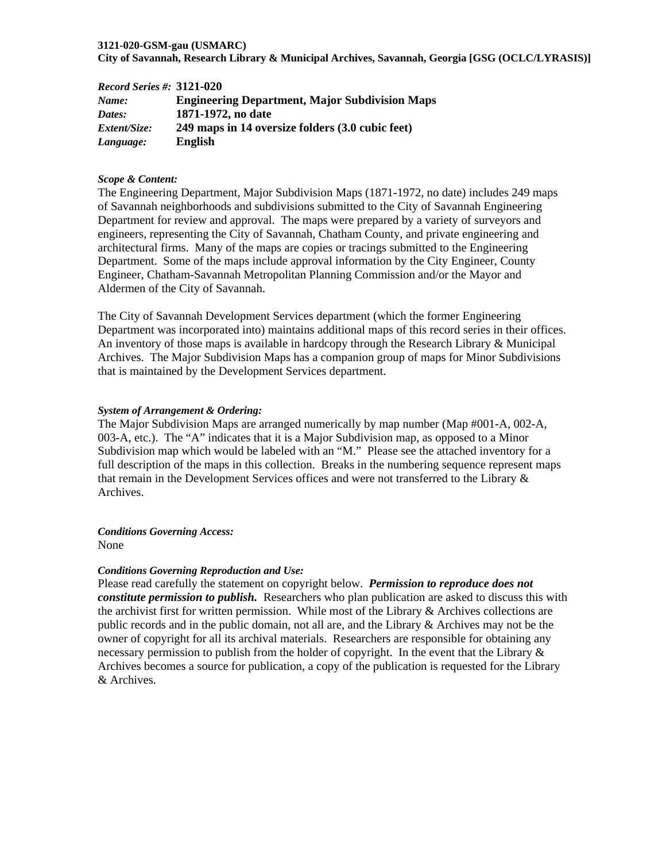#### **3121-020-GSM-gau (USMARC)**

**City of Savannah, Research Library & Municipal Archives, Savannah, Georgia [GSG (OCLC/LYRASIS)]** 

| <b>Record Series #: 3121-020</b> |                                                       |
|----------------------------------|-------------------------------------------------------|
| Name:                            | <b>Engineering Department, Major Subdivision Maps</b> |
| Dates:                           | 1871-1972, no date                                    |
| <i>Extent/Size:</i>              | 249 maps in 14 oversize folders (3.0 cubic feet)      |
| Language:                        | English                                               |

#### *Scope & Content:*

The Engineering Department, Major Subdivision Maps (1871-1972, no date) includes 249 maps of Savannah neighborhoods and subdivisions submitted to the City of Savannah Engineering Department for review and approval. The maps were prepared by a variety of surveyors and engineers, representing the City of Savannah, Chatham County, and private engineering and architectural firms. Many of the maps are copies or tracings submitted to the Engineering Department. Some of the maps include approval information by the City Engineer, County Engineer, Chatham-Savannah Metropolitan Planning Commission and/or the Mayor and Aldermen of the City of Savannah.

The City of Savannah Development Services department (which the former Engineering Department was incorporated into) maintains additional maps of this record series in their offices. An inventory of those maps is available in hardcopy through the Research Library & Municipal Archives. The Major Subdivision Maps has a companion group of maps for Minor Subdivisions that is maintained by the Development Services department.

#### *System of Arrangement & Ordering:*

The Major Subdivision Maps are arranged numerically by map number (Map #001-A, 002-A, 003-A, etc.). The "A" indicates that it is a Major Subdivision map, as opposed to a Minor Subdivision map which would be labeled with an "M." Please see the attached inventory for a full description of the maps in this collection. Breaks in the numbering sequence represent maps that remain in the Development Services offices and were not transferred to the Library & Archives.

*Conditions Governing Access:*  None

#### *Conditions Governing Reproduction and Use:*

Please read carefully the statement on copyright below. *Permission to reproduce does not constitute permission to publish.* Researchers who plan publication are asked to discuss this with the archivist first for written permission. While most of the Library  $\&$  Archives collections are public records and in the public domain, not all are, and the Library & Archives may not be the owner of copyright for all its archival materials. Researchers are responsible for obtaining any necessary permission to publish from the holder of copyright. In the event that the Library  $\&$ Archives becomes a source for publication, a copy of the publication is requested for the Library & Archives.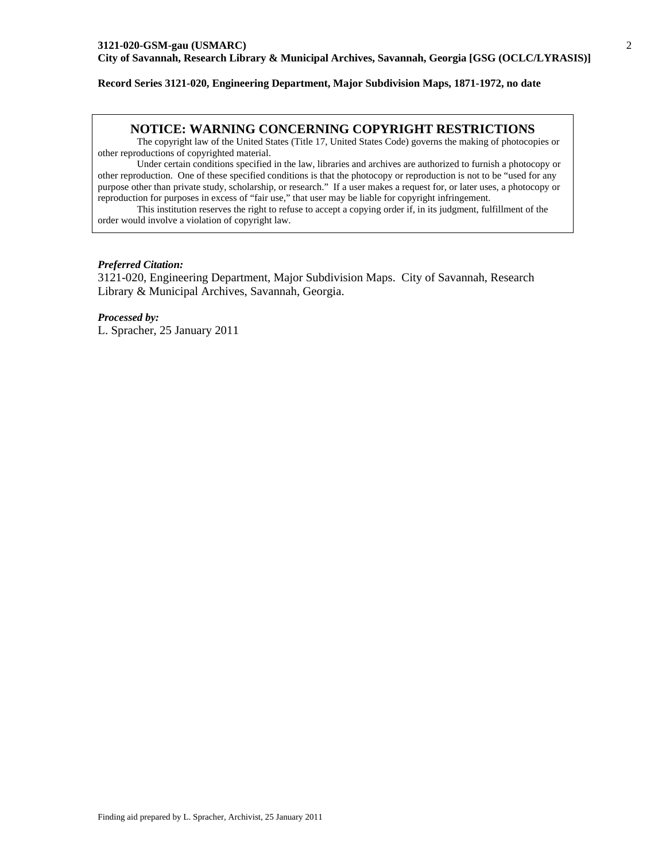#### **Record Series 3121-020, Engineering Department, Major Subdivision Maps, 1871-1972, no date**

#### **NOTICE: WARNING CONCERNING COPYRIGHT RESTRICTIONS**

The copyright law of the United States (Title 17, United States Code) governs the making of photocopies or other reproductions of copyrighted material.

Under certain conditions specified in the law, libraries and archives are authorized to furnish a photocopy or other reproduction. One of these specified conditions is that the photocopy or reproduction is not to be "used for any purpose other than private study, scholarship, or research." If a user makes a request for, or later uses, a photocopy or reproduction for purposes in excess of "fair use," that user may be liable for copyright infringement.

This institution reserves the right to refuse to accept a copying order if, in its judgment, fulfillment of the order would involve a violation of copyright law.

#### *Preferred Citation:*

3121-020, Engineering Department, Major Subdivision Maps. City of Savannah, Research Library & Municipal Archives, Savannah, Georgia.

*Processed by:* L. Spracher, 25 January 2011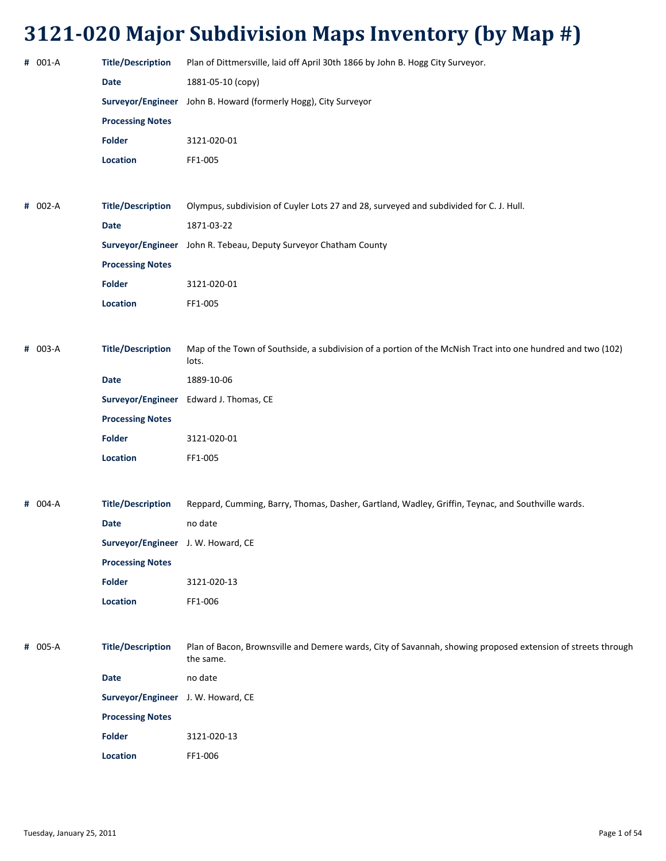| # 001-A     | <b>Title/Description</b>           | Plan of Dittmersville, laid off April 30th 1866 by John B. Hogg City Surveyor.                                            |
|-------------|------------------------------------|---------------------------------------------------------------------------------------------------------------------------|
|             | <b>Date</b>                        | 1881-05-10 (copy)                                                                                                         |
|             |                                    | Surveyor/Engineer John B. Howard (formerly Hogg), City Surveyor                                                           |
|             | <b>Processing Notes</b>            |                                                                                                                           |
|             | <b>Folder</b>                      | 3121-020-01                                                                                                               |
|             | Location                           | FF1-005                                                                                                                   |
|             |                                    |                                                                                                                           |
| # 002-A     | <b>Title/Description</b>           | Olympus, subdivision of Cuyler Lots 27 and 28, surveyed and subdivided for C. J. Hull.                                    |
|             | <b>Date</b>                        | 1871-03-22                                                                                                                |
|             |                                    | Surveyor/Engineer John R. Tebeau, Deputy Surveyor Chatham County                                                          |
|             | <b>Processing Notes</b>            |                                                                                                                           |
|             | <b>Folder</b>                      | 3121-020-01                                                                                                               |
|             | Location                           | FF1-005                                                                                                                   |
|             |                                    |                                                                                                                           |
| # 003-A     | <b>Title/Description</b>           | Map of the Town of Southside, a subdivision of a portion of the McNish Tract into one hundred and two (102)<br>lots.      |
|             | <b>Date</b>                        | 1889-10-06                                                                                                                |
|             |                                    | Surveyor/Engineer Edward J. Thomas, CE                                                                                    |
|             | <b>Processing Notes</b>            |                                                                                                                           |
|             | <b>Folder</b>                      | 3121-020-01                                                                                                               |
|             | Location                           | FF1-005                                                                                                                   |
|             |                                    |                                                                                                                           |
| $# 004 - A$ | <b>Title/Description</b>           | Reppard, Cumming, Barry, Thomas, Dasher, Gartland, Wadley, Griffin, Teynac, and Southville wards.                         |
|             | <b>Date</b>                        | no date                                                                                                                   |
|             | Surveyor/Engineer J. W. Howard, CE |                                                                                                                           |
|             | <b>Processing Notes</b>            |                                                                                                                           |
|             | Folder                             | 3121-020-13                                                                                                               |
|             | Location                           | FF1-006                                                                                                                   |
|             |                                    |                                                                                                                           |
| # 005-A     | <b>Title/Description</b>           | Plan of Bacon, Brownsville and Demere wards, City of Savannah, showing proposed extension of streets through<br>the same. |
|             | <b>Date</b>                        | no date                                                                                                                   |
|             | Surveyor/Engineer J. W. Howard, CE |                                                                                                                           |
|             | <b>Processing Notes</b>            |                                                                                                                           |
|             | <b>Folder</b>                      | 3121-020-13                                                                                                               |
|             | Location                           | FF1-006                                                                                                                   |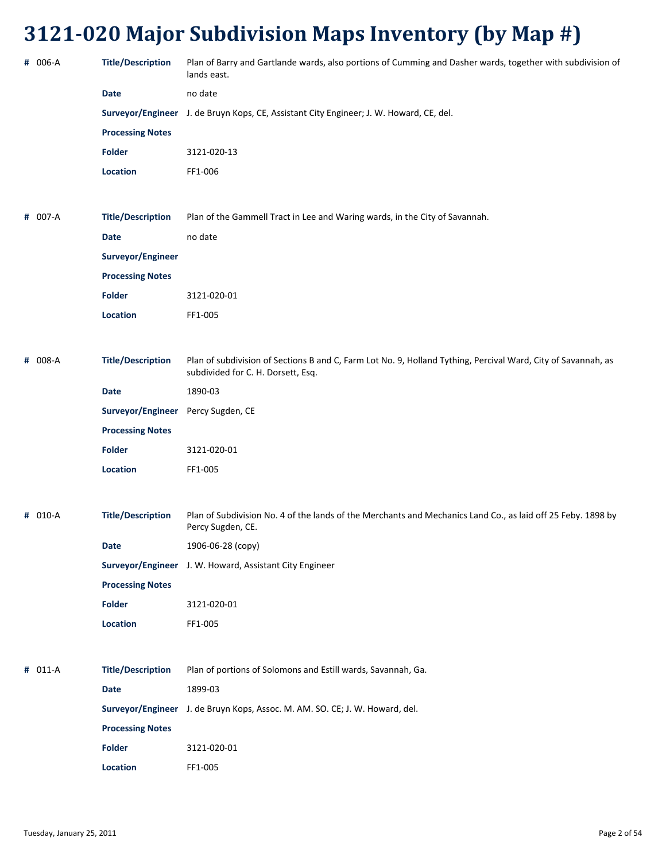| # 006-A | <b>Title/Description</b> | Plan of Barry and Gartlande wards, also portions of Cumming and Dasher wards, together with subdivision of<br>lands east.                           |
|---------|--------------------------|-----------------------------------------------------------------------------------------------------------------------------------------------------|
|         | <b>Date</b>              | no date                                                                                                                                             |
|         |                          | Surveyor/Engineer J. de Bruyn Kops, CE, Assistant City Engineer; J. W. Howard, CE, del.                                                             |
|         | <b>Processing Notes</b>  |                                                                                                                                                     |
|         | <b>Folder</b>            | 3121-020-13                                                                                                                                         |
|         | Location                 | FF1-006                                                                                                                                             |
|         |                          |                                                                                                                                                     |
| # 007-A | <b>Title/Description</b> | Plan of the Gammell Tract in Lee and Waring wards, in the City of Savannah.                                                                         |
|         | <b>Date</b>              | no date                                                                                                                                             |
|         | Surveyor/Engineer        |                                                                                                                                                     |
|         | <b>Processing Notes</b>  |                                                                                                                                                     |
|         | <b>Folder</b>            | 3121-020-01                                                                                                                                         |
|         | Location                 | FF1-005                                                                                                                                             |
|         |                          |                                                                                                                                                     |
| # 008-A | <b>Title/Description</b> | Plan of subdivision of Sections B and C, Farm Lot No. 9, Holland Tything, Percival Ward, City of Savannah, as<br>subdivided for C. H. Dorsett, Esq. |
|         | <b>Date</b>              | 1890-03                                                                                                                                             |
|         | Surveyor/Engineer        | Percy Sugden, CE                                                                                                                                    |
|         | <b>Processing Notes</b>  |                                                                                                                                                     |
|         | <b>Folder</b>            | 3121-020-01                                                                                                                                         |
|         | Location                 | FF1-005                                                                                                                                             |
|         |                          |                                                                                                                                                     |
| # 010-A | <b>Title/Description</b> | Plan of Subdivision No. 4 of the lands of the Merchants and Mechanics Land Co., as laid off 25 Feby. 1898 by<br>Percy Sugden, CE.                   |
|         | <b>Date</b>              | 1906-06-28 (copy)                                                                                                                                   |
|         |                          | Surveyor/Engineer J. W. Howard, Assistant City Engineer                                                                                             |
|         | <b>Processing Notes</b>  |                                                                                                                                                     |
|         | <b>Folder</b>            | 3121-020-01                                                                                                                                         |
|         | Location                 | FF1-005                                                                                                                                             |
|         |                          |                                                                                                                                                     |
| # 011-A | <b>Title/Description</b> | Plan of portions of Solomons and Estill wards, Savannah, Ga.                                                                                        |
|         | <b>Date</b>              | 1899-03                                                                                                                                             |
|         |                          | Surveyor/Engineer J. de Bruyn Kops, Assoc. M. AM. SO. CE; J. W. Howard, del.                                                                        |
|         | <b>Processing Notes</b>  |                                                                                                                                                     |
|         | <b>Folder</b>            | 3121-020-01                                                                                                                                         |
|         | Location                 | FF1-005                                                                                                                                             |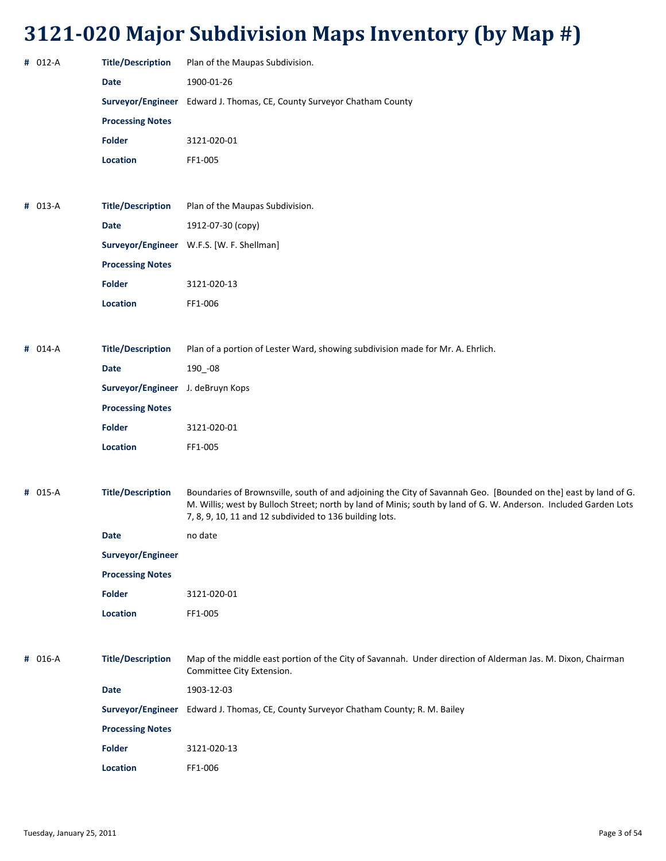| # 012-A | <b>Title/Description</b>          | Plan of the Maupas Subdivision.                                                                                                                                                                                                                                                                |
|---------|-----------------------------------|------------------------------------------------------------------------------------------------------------------------------------------------------------------------------------------------------------------------------------------------------------------------------------------------|
|         | <b>Date</b>                       | 1900-01-26                                                                                                                                                                                                                                                                                     |
|         |                                   | Surveyor/Engineer Edward J. Thomas, CE, County Surveyor Chatham County                                                                                                                                                                                                                         |
|         | <b>Processing Notes</b>           |                                                                                                                                                                                                                                                                                                |
|         | <b>Folder</b>                     | 3121-020-01                                                                                                                                                                                                                                                                                    |
|         | Location                          | FF1-005                                                                                                                                                                                                                                                                                        |
|         |                                   |                                                                                                                                                                                                                                                                                                |
| # 013-A | <b>Title/Description</b>          | Plan of the Maupas Subdivision.                                                                                                                                                                                                                                                                |
|         | <b>Date</b>                       | 1912-07-30 (copy)                                                                                                                                                                                                                                                                              |
|         |                                   | Surveyor/Engineer W.F.S. [W. F. Shellman]                                                                                                                                                                                                                                                      |
|         | <b>Processing Notes</b>           |                                                                                                                                                                                                                                                                                                |
|         | <b>Folder</b>                     | 3121-020-13                                                                                                                                                                                                                                                                                    |
|         | Location                          | FF1-006                                                                                                                                                                                                                                                                                        |
|         |                                   |                                                                                                                                                                                                                                                                                                |
| # 014-A | <b>Title/Description</b>          | Plan of a portion of Lester Ward, showing subdivision made for Mr. A. Ehrlich.                                                                                                                                                                                                                 |
|         | Date                              | 190_-08                                                                                                                                                                                                                                                                                        |
|         | Surveyor/Engineer J. deBruyn Kops |                                                                                                                                                                                                                                                                                                |
|         | <b>Processing Notes</b>           |                                                                                                                                                                                                                                                                                                |
|         | Folder                            | 3121-020-01                                                                                                                                                                                                                                                                                    |
|         | Location                          | FF1-005                                                                                                                                                                                                                                                                                        |
|         |                                   |                                                                                                                                                                                                                                                                                                |
| # 015-A | <b>Title/Description</b>          | Boundaries of Brownsville, south of and adjoining the City of Savannah Geo. [Bounded on the] east by land of G.<br>M. Willis; west by Bulloch Street; north by land of Minis; south by land of G. W. Anderson. Included Garden Lots<br>7, 8, 9, 10, 11 and 12 subdivided to 136 building lots. |
|         | Date                              | no date                                                                                                                                                                                                                                                                                        |
|         | Surveyor/Engineer                 |                                                                                                                                                                                                                                                                                                |
|         | <b>Processing Notes</b>           |                                                                                                                                                                                                                                                                                                |
|         | Folder                            | 3121-020-01                                                                                                                                                                                                                                                                                    |
|         | Location                          | FF1-005                                                                                                                                                                                                                                                                                        |
|         |                                   |                                                                                                                                                                                                                                                                                                |
| # 016-A | <b>Title/Description</b>          | Map of the middle east portion of the City of Savannah. Under direction of Alderman Jas. M. Dixon, Chairman<br>Committee City Extension.                                                                                                                                                       |
|         | <b>Date</b>                       | 1903-12-03                                                                                                                                                                                                                                                                                     |
|         | Surveyor/Engineer                 | Edward J. Thomas, CE, County Surveyor Chatham County; R. M. Bailey                                                                                                                                                                                                                             |
|         | <b>Processing Notes</b>           |                                                                                                                                                                                                                                                                                                |
|         | <b>Folder</b>                     | 3121-020-13                                                                                                                                                                                                                                                                                    |
|         | Location                          | FF1-006                                                                                                                                                                                                                                                                                        |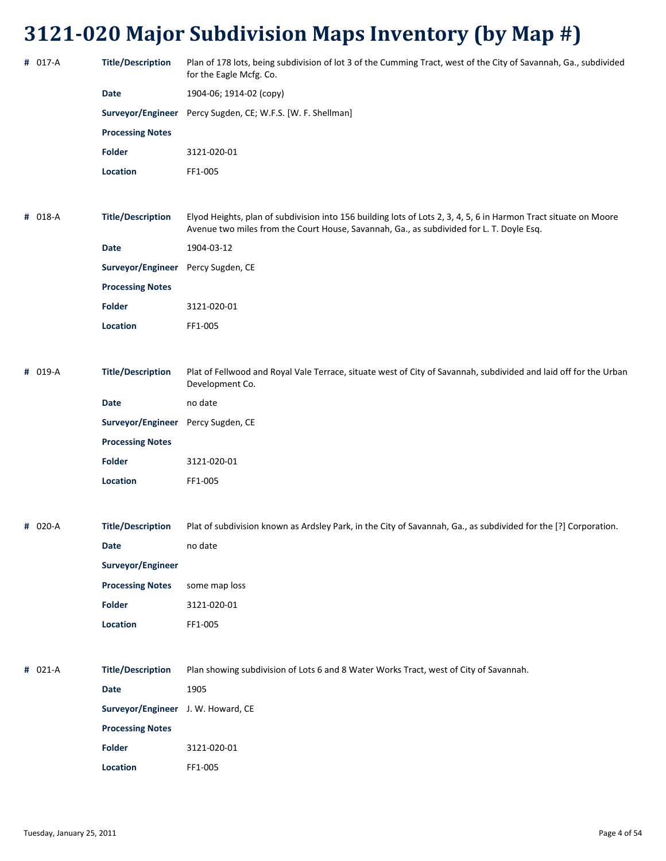| # 017-A | <b>Title/Description</b>           | Plan of 178 lots, being subdivision of lot 3 of the Cumming Tract, west of the City of Savannah, Ga., subdivided<br>for the Eagle Mcfg. Co.                                                                  |
|---------|------------------------------------|--------------------------------------------------------------------------------------------------------------------------------------------------------------------------------------------------------------|
|         | <b>Date</b>                        | 1904-06; 1914-02 (copy)                                                                                                                                                                                      |
|         |                                    | Surveyor/Engineer Percy Sugden, CE; W.F.S. [W. F. Shellman]                                                                                                                                                  |
|         | <b>Processing Notes</b>            |                                                                                                                                                                                                              |
|         | <b>Folder</b>                      | 3121-020-01                                                                                                                                                                                                  |
|         | Location                           | FF1-005                                                                                                                                                                                                      |
|         |                                    |                                                                                                                                                                                                              |
| # 018-A | <b>Title/Description</b>           | Elyod Heights, plan of subdivision into 156 building lots of Lots 2, 3, 4, 5, 6 in Harmon Tract situate on Moore<br>Avenue two miles from the Court House, Savannah, Ga., as subdivided for L. T. Doyle Esq. |
|         | <b>Date</b>                        | 1904-03-12                                                                                                                                                                                                   |
|         | Surveyor/Engineer Percy Sugden, CE |                                                                                                                                                                                                              |
|         | <b>Processing Notes</b>            |                                                                                                                                                                                                              |
|         | <b>Folder</b>                      | 3121-020-01                                                                                                                                                                                                  |
|         | Location                           | FF1-005                                                                                                                                                                                                      |
|         |                                    |                                                                                                                                                                                                              |
| # 019-A | <b>Title/Description</b>           | Plat of Fellwood and Royal Vale Terrace, situate west of City of Savannah, subdivided and laid off for the Urban<br>Development Co.                                                                          |
|         | Date                               | no date                                                                                                                                                                                                      |
|         | Surveyor/Engineer Percy Sugden, CE |                                                                                                                                                                                                              |
|         | <b>Processing Notes</b>            |                                                                                                                                                                                                              |
|         | <b>Folder</b>                      | 3121-020-01                                                                                                                                                                                                  |
|         | Location                           | FF1-005                                                                                                                                                                                                      |
|         |                                    |                                                                                                                                                                                                              |
| # 020-A | <b>Title/Description</b>           | Plat of subdivision known as Ardsley Park, in the City of Savannah, Ga., as subdivided for the [?] Corporation.                                                                                              |
|         | <b>Date</b>                        | no date                                                                                                                                                                                                      |
|         | Surveyor/Engineer                  |                                                                                                                                                                                                              |
|         | <b>Processing Notes</b>            | some map loss                                                                                                                                                                                                |
|         | Folder                             | 3121-020-01                                                                                                                                                                                                  |
|         | Location                           | FF1-005                                                                                                                                                                                                      |
|         |                                    |                                                                                                                                                                                                              |
| # 021-A | <b>Title/Description</b>           | Plan showing subdivision of Lots 6 and 8 Water Works Tract, west of City of Savannah.                                                                                                                        |
|         | Date                               | 1905                                                                                                                                                                                                         |
|         | Surveyor/Engineer J. W. Howard, CE |                                                                                                                                                                                                              |
|         | <b>Processing Notes</b>            |                                                                                                                                                                                                              |
|         | <b>Folder</b>                      | 3121-020-01                                                                                                                                                                                                  |
|         | Location                           | FF1-005                                                                                                                                                                                                      |
|         |                                    |                                                                                                                                                                                                              |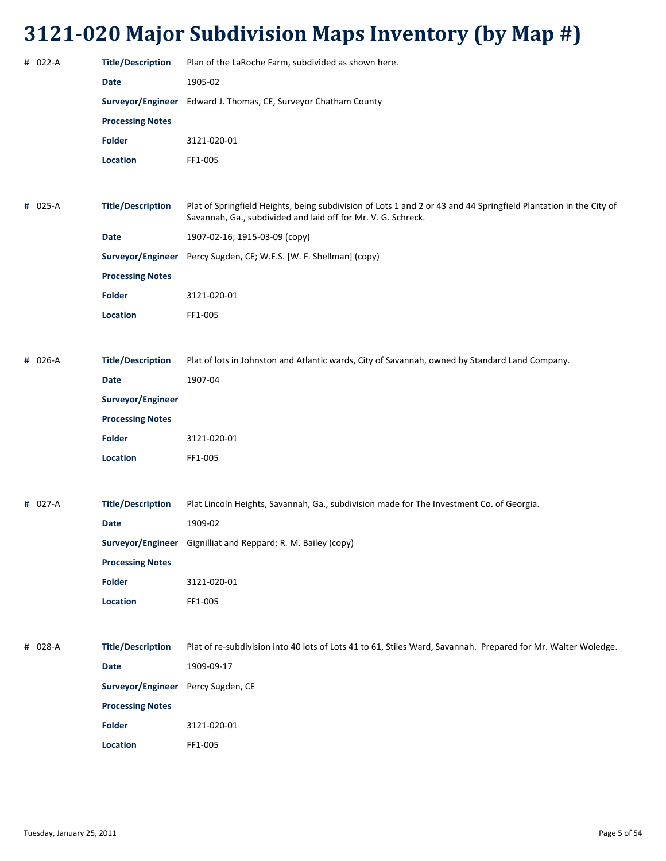| # 022-A | <b>Title/Description</b> | Plan of the LaRoche Farm, subdivided as shown here.                                                                                                                                |
|---------|--------------------------|------------------------------------------------------------------------------------------------------------------------------------------------------------------------------------|
|         | <b>Date</b>              | 1905-02                                                                                                                                                                            |
|         |                          | Surveyor/Engineer Edward J. Thomas, CE, Surveyor Chatham County                                                                                                                    |
|         | <b>Processing Notes</b>  |                                                                                                                                                                                    |
|         | <b>Folder</b>            | 3121-020-01                                                                                                                                                                        |
|         | Location                 | FF1-005                                                                                                                                                                            |
|         |                          |                                                                                                                                                                                    |
| # 025-A | <b>Title/Description</b> | Plat of Springfield Heights, being subdivision of Lots 1 and 2 or 43 and 44 Springfield Plantation in the City of<br>Savannah, Ga., subdivided and laid off for Mr. V. G. Schreck. |
|         | <b>Date</b>              | 1907-02-16; 1915-03-09 (сору)                                                                                                                                                      |
|         | Surveyor/Engineer        | Percy Sugden, CE; W.F.S. [W. F. Shellman] (copy)                                                                                                                                   |
|         | <b>Processing Notes</b>  |                                                                                                                                                                                    |
|         | <b>Folder</b>            | 3121-020-01                                                                                                                                                                        |
|         | Location                 | FF1-005                                                                                                                                                                            |
|         |                          |                                                                                                                                                                                    |
| # 026-A | <b>Title/Description</b> | Plat of lots in Johnston and Atlantic wards, City of Savannah, owned by Standard Land Company.                                                                                     |
|         | <b>Date</b>              | 1907-04                                                                                                                                                                            |
|         | Surveyor/Engineer        |                                                                                                                                                                                    |
|         | <b>Processing Notes</b>  |                                                                                                                                                                                    |
|         | <b>Folder</b>            | 3121-020-01                                                                                                                                                                        |
|         | Location                 | FF1-005                                                                                                                                                                            |
|         |                          |                                                                                                                                                                                    |
| # 027-A | <b>Title/Description</b> | Plat Lincoln Heights, Savannah, Ga., subdivision made for The Investment Co. of Georgia.                                                                                           |
|         | <b>Date</b>              | 1909-02                                                                                                                                                                            |
|         |                          | Surveyor/Engineer Gignilliat and Reppard; R. M. Bailey (copy)                                                                                                                      |
|         | <b>Processing Notes</b>  |                                                                                                                                                                                    |
|         | <b>Folder</b>            | 3121-020-01                                                                                                                                                                        |
|         | Location                 | FF1-005                                                                                                                                                                            |
|         |                          |                                                                                                                                                                                    |
| # 028-A | <b>Title/Description</b> | Plat of re-subdivision into 40 lots of Lots 41 to 61, Stiles Ward, Savannah. Prepared for Mr. Walter Woledge.                                                                      |
|         | Date                     | 1909-09-17                                                                                                                                                                         |
|         | Surveyor/Engineer        | Percy Sugden, CE                                                                                                                                                                   |
|         | <b>Processing Notes</b>  |                                                                                                                                                                                    |
|         | <b>Folder</b>            | 3121-020-01                                                                                                                                                                        |
|         | Location                 | FF1-005                                                                                                                                                                            |
|         |                          |                                                                                                                                                                                    |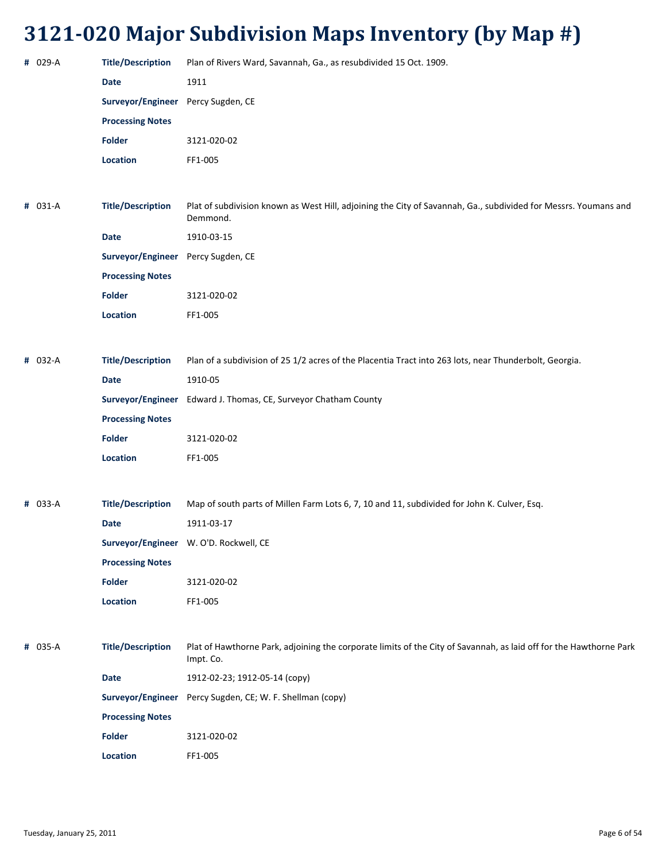| # 029-A | <b>Title/Description</b>           | Plan of Rivers Ward, Savannah, Ga., as resubdivided 15 Oct. 1909.                                                               |
|---------|------------------------------------|---------------------------------------------------------------------------------------------------------------------------------|
|         | <b>Date</b>                        | 1911                                                                                                                            |
|         | Surveyor/Engineer Percy Sugden, CE |                                                                                                                                 |
|         | <b>Processing Notes</b>            |                                                                                                                                 |
|         | Folder                             | 3121-020-02                                                                                                                     |
|         |                                    |                                                                                                                                 |
|         | Location                           | FF1-005                                                                                                                         |
|         |                                    |                                                                                                                                 |
| # 031-A | <b>Title/Description</b>           | Plat of subdivision known as West Hill, adjoining the City of Savannah, Ga., subdivided for Messrs. Youmans and<br>Demmond.     |
|         | <b>Date</b>                        | 1910-03-15                                                                                                                      |
|         | Surveyor/Engineer Percy Sugden, CE |                                                                                                                                 |
|         | <b>Processing Notes</b>            |                                                                                                                                 |
|         | <b>Folder</b>                      | 3121-020-02                                                                                                                     |
|         | Location                           | FF1-005                                                                                                                         |
|         |                                    |                                                                                                                                 |
| # 032-A | <b>Title/Description</b>           | Plan of a subdivision of 25 1/2 acres of the Placentia Tract into 263 lots, near Thunderbolt, Georgia.                          |
|         | <b>Date</b>                        | 1910-05                                                                                                                         |
|         |                                    | Surveyor/Engineer Edward J. Thomas, CE, Surveyor Chatham County                                                                 |
|         | <b>Processing Notes</b>            |                                                                                                                                 |
|         | <b>Folder</b>                      | 3121-020-02                                                                                                                     |
|         | Location                           | FF1-005                                                                                                                         |
|         |                                    |                                                                                                                                 |
| # 033-A | <b>Title/Description</b>           | Map of south parts of Millen Farm Lots 6, 7, 10 and 11, subdivided for John K. Culver, Esq.                                     |
|         | <b>Date</b>                        | 1911-03-17                                                                                                                      |
|         |                                    | Surveyor/Engineer W. O'D. Rockwell, CE                                                                                          |
|         |                                    |                                                                                                                                 |
|         | <b>Processing Notes</b><br>Folder  |                                                                                                                                 |
|         | Location                           | 3121-020-02<br>FF1-005                                                                                                          |
|         |                                    |                                                                                                                                 |
|         |                                    |                                                                                                                                 |
| # 035-A | <b>Title/Description</b>           | Plat of Hawthorne Park, adjoining the corporate limits of the City of Savannah, as laid off for the Hawthorne Park<br>Impt. Co. |
|         | <b>Date</b>                        | 1912-02-23; 1912-05-14 (copy)                                                                                                   |
|         |                                    | Surveyor/Engineer Percy Sugden, CE; W. F. Shellman (copy)                                                                       |
|         | <b>Processing Notes</b>            |                                                                                                                                 |
|         | <b>Folder</b>                      | 3121-020-02                                                                                                                     |
|         | Location                           | FF1-005                                                                                                                         |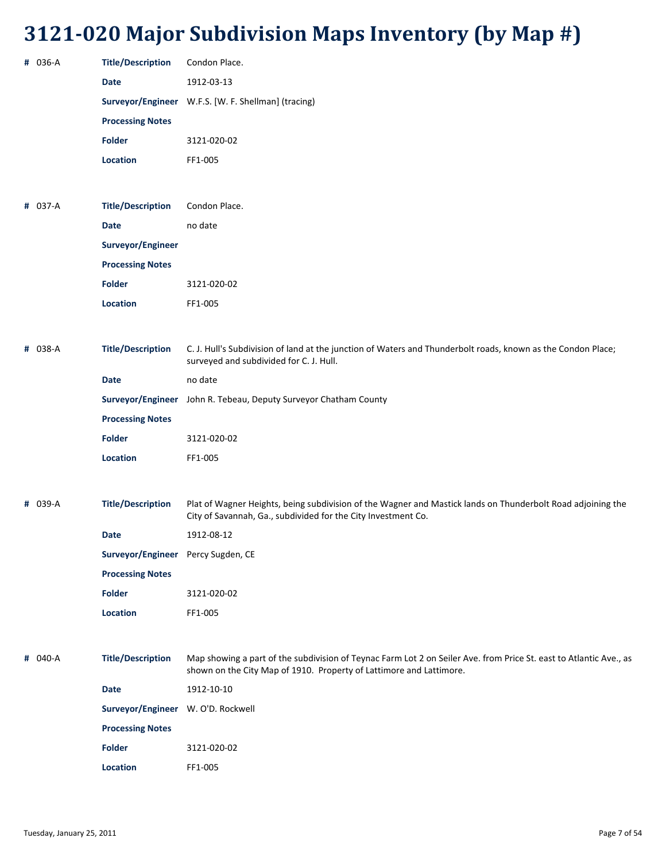| # 036-A | <b>Title/Description</b>           | Condon Place.                                                                                                                                                                             |
|---------|------------------------------------|-------------------------------------------------------------------------------------------------------------------------------------------------------------------------------------------|
|         | <b>Date</b>                        | 1912-03-13                                                                                                                                                                                |
|         |                                    | Surveyor/Engineer W.F.S. [W. F. Shellman] (tracing)                                                                                                                                       |
|         | <b>Processing Notes</b>            |                                                                                                                                                                                           |
|         | <b>Folder</b>                      | 3121-020-02                                                                                                                                                                               |
|         | <b>Location</b>                    | FF1-005                                                                                                                                                                                   |
|         |                                    |                                                                                                                                                                                           |
| # 037-A | <b>Title/Description</b>           | Condon Place.                                                                                                                                                                             |
|         | <b>Date</b>                        | no date                                                                                                                                                                                   |
|         | Surveyor/Engineer                  |                                                                                                                                                                                           |
|         | <b>Processing Notes</b>            |                                                                                                                                                                                           |
|         | <b>Folder</b>                      | 3121-020-02                                                                                                                                                                               |
|         | <b>Location</b>                    | FF1-005                                                                                                                                                                                   |
|         |                                    |                                                                                                                                                                                           |
| # 038-A | <b>Title/Description</b>           | C. J. Hull's Subdivision of land at the junction of Waters and Thunderbolt roads, known as the Condon Place;<br>surveyed and subdivided for C. J. Hull.                                   |
|         | <b>Date</b>                        | no date                                                                                                                                                                                   |
|         |                                    | Surveyor/Engineer John R. Tebeau, Deputy Surveyor Chatham County                                                                                                                          |
|         | <b>Processing Notes</b>            |                                                                                                                                                                                           |
|         | <b>Folder</b>                      | 3121-020-02                                                                                                                                                                               |
|         | <b>Location</b>                    | FF1-005                                                                                                                                                                                   |
|         |                                    |                                                                                                                                                                                           |
| # 039-A | <b>Title/Description</b>           | Plat of Wagner Heights, being subdivision of the Wagner and Mastick lands on Thunderbolt Road adjoining the<br>City of Savannah, Ga., subdivided for the City Investment Co.              |
|         | Date                               | 1912-08-12                                                                                                                                                                                |
|         | Surveyor/Engineer Percy Sugden, CE |                                                                                                                                                                                           |
|         | <b>Processing Notes</b>            |                                                                                                                                                                                           |
|         | <b>Folder</b>                      | 3121-020-02                                                                                                                                                                               |
|         | Location                           | FF1-005                                                                                                                                                                                   |
|         |                                    |                                                                                                                                                                                           |
| # 040-A | <b>Title/Description</b>           | Map showing a part of the subdivision of Teynac Farm Lot 2 on Seiler Ave. from Price St. east to Atlantic Ave., as<br>shown on the City Map of 1910. Property of Lattimore and Lattimore. |
|         | Date                               | 1912-10-10                                                                                                                                                                                |
|         | Surveyor/Engineer W. O'D. Rockwell |                                                                                                                                                                                           |
|         | <b>Processing Notes</b>            |                                                                                                                                                                                           |
|         | <b>Folder</b>                      | 3121-020-02                                                                                                                                                                               |
|         |                                    |                                                                                                                                                                                           |

**Location** FF1‐005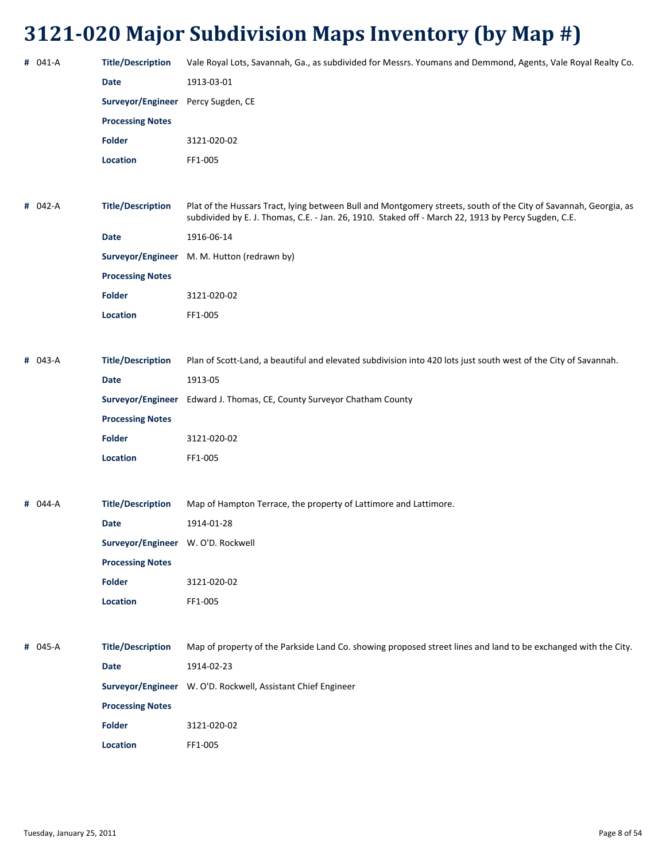| # 041-A | <b>Title/Description</b>           | Vale Royal Lots, Savannah, Ga., as subdivided for Messrs. Youmans and Demmond, Agents, Vale Royal Realty Co.                                                                                                            |
|---------|------------------------------------|-------------------------------------------------------------------------------------------------------------------------------------------------------------------------------------------------------------------------|
|         | <b>Date</b>                        | 1913-03-01                                                                                                                                                                                                              |
|         | Surveyor/Engineer Percy Sugden, CE |                                                                                                                                                                                                                         |
|         | <b>Processing Notes</b>            |                                                                                                                                                                                                                         |
|         | <b>Folder</b>                      | 3121-020-02                                                                                                                                                                                                             |
|         | Location                           | FF1-005                                                                                                                                                                                                                 |
|         |                                    |                                                                                                                                                                                                                         |
| # 042-A | <b>Title/Description</b>           | Plat of the Hussars Tract, lying between Bull and Montgomery streets, south of the City of Savannah, Georgia, as<br>subdivided by E. J. Thomas, C.E. - Jan. 26, 1910. Staked off - March 22, 1913 by Percy Sugden, C.E. |
|         | <b>Date</b>                        | 1916-06-14                                                                                                                                                                                                              |
|         |                                    | Surveyor/Engineer M. M. Hutton (redrawn by)                                                                                                                                                                             |
|         | <b>Processing Notes</b>            |                                                                                                                                                                                                                         |
|         | <b>Folder</b>                      | 3121-020-02                                                                                                                                                                                                             |
|         | Location                           | FF1-005                                                                                                                                                                                                                 |
|         |                                    |                                                                                                                                                                                                                         |
| # 043-A | <b>Title/Description</b>           | Plan of Scott-Land, a beautiful and elevated subdivision into 420 lots just south west of the City of Savannah.                                                                                                         |
|         | <b>Date</b>                        | 1913-05                                                                                                                                                                                                                 |
|         |                                    | Surveyor/Engineer Edward J. Thomas, CE, County Surveyor Chatham County                                                                                                                                                  |
|         | <b>Processing Notes</b>            |                                                                                                                                                                                                                         |
|         | <b>Folder</b>                      | 3121-020-02                                                                                                                                                                                                             |
|         | Location                           | FF1-005                                                                                                                                                                                                                 |
|         |                                    |                                                                                                                                                                                                                         |
| # 044-A | <b>Title/Description</b>           | Map of Hampton Terrace, the property of Lattimore and Lattimore.                                                                                                                                                        |
|         | <b>Date</b>                        | 1914-01-28                                                                                                                                                                                                              |
|         | Surveyor/Engineer W. O'D. Rockwell |                                                                                                                                                                                                                         |
|         | <b>Processing Notes</b>            |                                                                                                                                                                                                                         |
|         | <b>Folder</b>                      | 3121-020-02                                                                                                                                                                                                             |
|         | Location                           | FF1-005                                                                                                                                                                                                                 |
|         |                                    |                                                                                                                                                                                                                         |
| # 045-A | <b>Title/Description</b>           | Map of property of the Parkside Land Co. showing proposed street lines and land to be exchanged with the City.                                                                                                          |
|         | <b>Date</b>                        | 1914-02-23                                                                                                                                                                                                              |
|         |                                    | Surveyor/Engineer W. O'D. Rockwell, Assistant Chief Engineer                                                                                                                                                            |
|         | <b>Processing Notes</b>            |                                                                                                                                                                                                                         |
|         | <b>Folder</b>                      | 3121-020-02                                                                                                                                                                                                             |
|         | Location                           | FF1-005                                                                                                                                                                                                                 |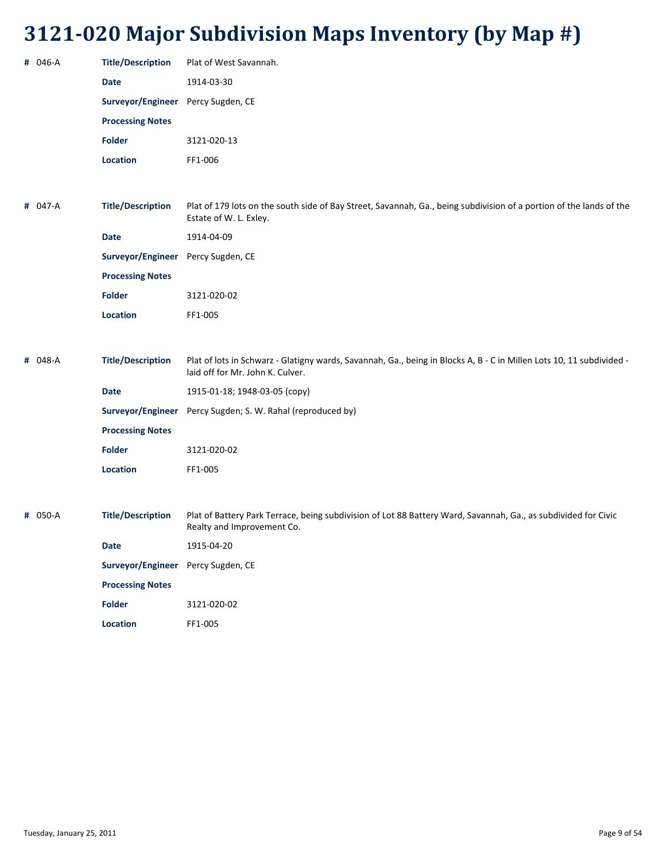| # 046-A | <b>Title/Description</b>           | Plat of West Savannah.                                                                                                                                   |
|---------|------------------------------------|----------------------------------------------------------------------------------------------------------------------------------------------------------|
|         | <b>Date</b>                        | 1914-03-30                                                                                                                                               |
|         | Surveyor/Engineer Percy Sugden, CE |                                                                                                                                                          |
|         | <b>Processing Notes</b>            |                                                                                                                                                          |
|         | <b>Folder</b>                      | 3121-020-13                                                                                                                                              |
|         | Location                           | FF1-006                                                                                                                                                  |
|         |                                    |                                                                                                                                                          |
| # 047-A | <b>Title/Description</b>           | Plat of 179 lots on the south side of Bay Street, Savannah, Ga., being subdivision of a portion of the lands of the<br>Estate of W. L. Exley.            |
|         | <b>Date</b>                        | 1914-04-09                                                                                                                                               |
|         | Surveyor/Engineer                  | Percy Sugden, CE                                                                                                                                         |
|         | <b>Processing Notes</b>            |                                                                                                                                                          |
|         | <b>Folder</b>                      | 3121-020-02                                                                                                                                              |
|         | <b>Location</b>                    | FF1-005                                                                                                                                                  |
|         |                                    |                                                                                                                                                          |
| # 048-A | <b>Title/Description</b>           | Plat of lots in Schwarz - Glatigny wards, Savannah, Ga., being in Blocks A, B - C in Millen Lots 10, 11 subdivided -<br>laid off for Mr. John K. Culver. |
|         | <b>Date</b>                        | 1915-01-18; 1948-03-05 (copy)                                                                                                                            |
|         |                                    | Surveyor/Engineer Percy Sugden; S. W. Rahal (reproduced by)                                                                                              |
|         | <b>Processing Notes</b>            |                                                                                                                                                          |
|         | <b>Folder</b>                      | 3121-020-02                                                                                                                                              |
|         | Location                           | FF1-005                                                                                                                                                  |
|         |                                    |                                                                                                                                                          |
| # 050-A | <b>Title/Description</b>           | Plat of Battery Park Terrace, being subdivision of Lot 88 Battery Ward, Savannah, Ga., as subdivided for Civic<br>Realty and Improvement Co.             |
|         | <b>Date</b>                        | 1915-04-20                                                                                                                                               |
|         | Surveyor/Engineer Percy Sugden, CE |                                                                                                                                                          |
|         | <b>Processing Notes</b>            |                                                                                                                                                          |
|         | Folder                             | 3121-020-02                                                                                                                                              |
|         | Location                           | FF1-005                                                                                                                                                  |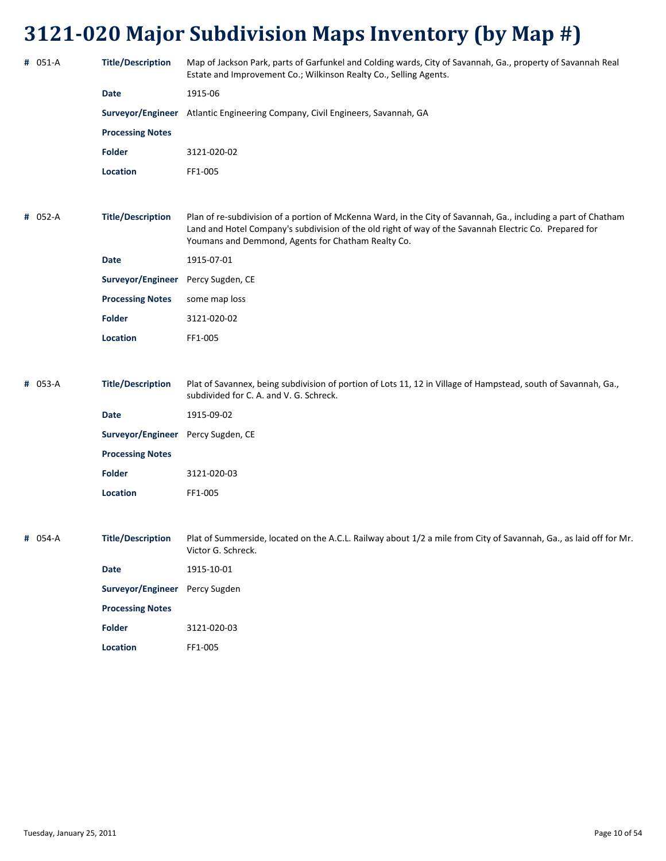| # 051-A | <b>Title/Description</b>           | Map of Jackson Park, parts of Garfunkel and Colding wards, City of Savannah, Ga., property of Savannah Real<br>Estate and Improvement Co.; Wilkinson Realty Co., Selling Agents.                                                                                               |
|---------|------------------------------------|--------------------------------------------------------------------------------------------------------------------------------------------------------------------------------------------------------------------------------------------------------------------------------|
|         | <b>Date</b>                        | 1915-06                                                                                                                                                                                                                                                                        |
|         |                                    | Surveyor/Engineer Atlantic Engineering Company, Civil Engineers, Savannah, GA                                                                                                                                                                                                  |
|         | <b>Processing Notes</b>            |                                                                                                                                                                                                                                                                                |
|         | <b>Folder</b>                      | 3121-020-02                                                                                                                                                                                                                                                                    |
|         | <b>Location</b>                    | FF1-005                                                                                                                                                                                                                                                                        |
|         |                                    |                                                                                                                                                                                                                                                                                |
| # 052-A | <b>Title/Description</b>           | Plan of re-subdivision of a portion of McKenna Ward, in the City of Savannah, Ga., including a part of Chatham<br>Land and Hotel Company's subdivision of the old right of way of the Savannah Electric Co. Prepared for<br>Youmans and Demmond, Agents for Chatham Realty Co. |
|         | <b>Date</b>                        | 1915-07-01                                                                                                                                                                                                                                                                     |
|         | Surveyor/Engineer                  | Percy Sugden, CE                                                                                                                                                                                                                                                               |
|         | <b>Processing Notes</b>            | some map loss                                                                                                                                                                                                                                                                  |
|         | <b>Folder</b>                      | 3121-020-02                                                                                                                                                                                                                                                                    |
|         | <b>Location</b>                    | FF1-005                                                                                                                                                                                                                                                                        |
|         |                                    |                                                                                                                                                                                                                                                                                |
| # 053-A | <b>Title/Description</b>           | Plat of Savannex, being subdivision of portion of Lots 11, 12 in Village of Hampstead, south of Savannah, Ga.,<br>subdivided for C. A. and V. G. Schreck.                                                                                                                      |
|         | Date                               | 1915-09-02                                                                                                                                                                                                                                                                     |
|         | Surveyor/Engineer Percy Sugden, CE |                                                                                                                                                                                                                                                                                |
|         | <b>Processing Notes</b>            |                                                                                                                                                                                                                                                                                |
|         | <b>Folder</b>                      | 3121-020-03                                                                                                                                                                                                                                                                    |
|         | <b>Location</b>                    | FF1-005                                                                                                                                                                                                                                                                        |
|         |                                    |                                                                                                                                                                                                                                                                                |
| # 054-A | <b>Title/Description</b>           | Plat of Summerside, located on the A.C.L. Railway about 1/2 a mile from City of Savannah, Ga., as laid off for Mr.<br>Victor G. Schreck.                                                                                                                                       |
|         | <b>Date</b>                        | 1915-10-01                                                                                                                                                                                                                                                                     |
|         | Surveyor/Engineer Percy Sugden     |                                                                                                                                                                                                                                                                                |
|         | <b>Processing Notes</b>            |                                                                                                                                                                                                                                                                                |
|         | Folder                             | 3121-020-03                                                                                                                                                                                                                                                                    |
|         | <b>Location</b>                    | FF1-005                                                                                                                                                                                                                                                                        |
|         |                                    |                                                                                                                                                                                                                                                                                |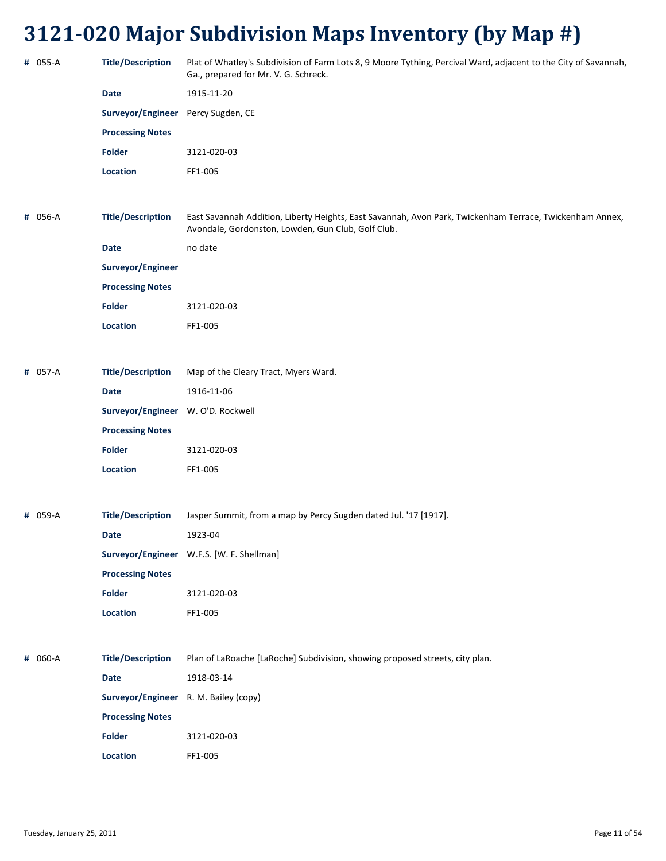| # 055-A | <b>Title/Description</b>              | Plat of Whatley's Subdivision of Farm Lots 8, 9 Moore Tything, Percival Ward, adjacent to the City of Savannah,<br>Ga., prepared for Mr. V. G. Schreck.        |
|---------|---------------------------------------|----------------------------------------------------------------------------------------------------------------------------------------------------------------|
|         | <b>Date</b>                           | 1915-11-20                                                                                                                                                     |
|         | Surveyor/Engineer Percy Sugden, CE    |                                                                                                                                                                |
|         | <b>Processing Notes</b>               |                                                                                                                                                                |
|         | <b>Folder</b>                         | 3121-020-03                                                                                                                                                    |
|         | Location                              | FF1-005                                                                                                                                                        |
|         |                                       |                                                                                                                                                                |
| # 056-A | <b>Title/Description</b>              | East Savannah Addition, Liberty Heights, East Savannah, Avon Park, Twickenham Terrace, Twickenham Annex,<br>Avondale, Gordonston, Lowden, Gun Club, Golf Club. |
|         | <b>Date</b>                           | no date                                                                                                                                                        |
|         | Surveyor/Engineer                     |                                                                                                                                                                |
|         | <b>Processing Notes</b>               |                                                                                                                                                                |
|         | Folder                                | 3121-020-03                                                                                                                                                    |
|         | Location                              | FF1-005                                                                                                                                                        |
|         |                                       |                                                                                                                                                                |
| # 057-A | <b>Title/Description</b>              | Map of the Cleary Tract, Myers Ward.                                                                                                                           |
|         | <b>Date</b>                           | 1916-11-06                                                                                                                                                     |
|         | Surveyor/Engineer W. O'D. Rockwell    |                                                                                                                                                                |
|         | <b>Processing Notes</b>               |                                                                                                                                                                |
|         | <b>Folder</b>                         | 3121-020-03                                                                                                                                                    |
|         | Location                              | FF1-005                                                                                                                                                        |
|         |                                       |                                                                                                                                                                |
| # 059-A | <b>Title/Description</b>              | Jasper Summit, from a map by Percy Sugden dated Jul. '17 [1917].                                                                                               |
|         | Date                                  | 1923-04                                                                                                                                                        |
|         |                                       | Surveyor/Engineer W.F.S. [W. F. Shellman]                                                                                                                      |
|         | <b>Processing Notes</b>               |                                                                                                                                                                |
|         | Folder                                | 3121-020-03                                                                                                                                                    |
|         | Location                              | FF1-005                                                                                                                                                        |
|         |                                       |                                                                                                                                                                |
| # 060-A | <b>Title/Description</b>              | Plan of LaRoache [LaRoche] Subdivision, showing proposed streets, city plan.                                                                                   |
|         | <b>Date</b>                           | 1918-03-14                                                                                                                                                     |
|         | Surveyor/Engineer R. M. Bailey (copy) |                                                                                                                                                                |
|         | <b>Processing Notes</b>               |                                                                                                                                                                |
|         | <b>Folder</b>                         | 3121-020-03                                                                                                                                                    |
|         | Location                              | FF1-005                                                                                                                                                        |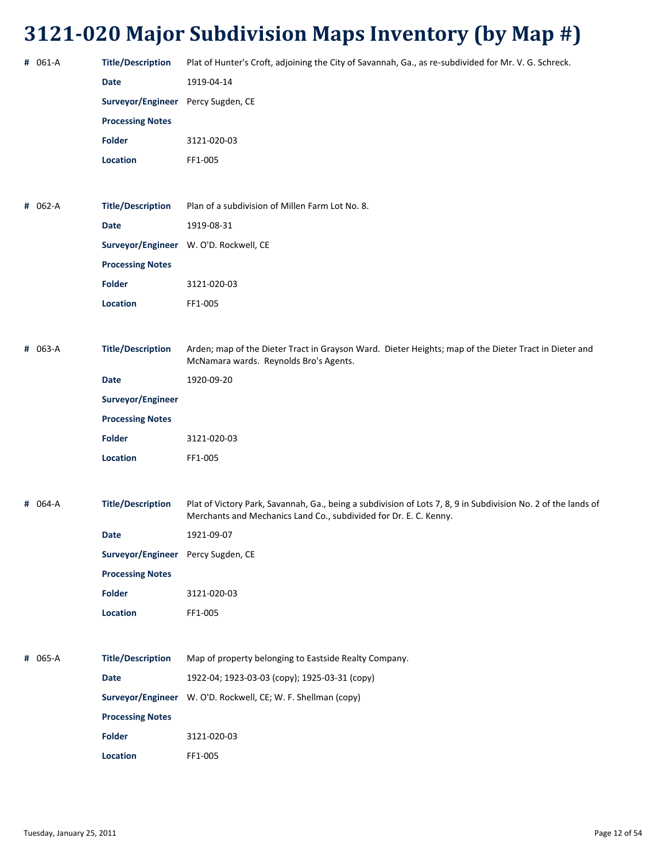| # 061-A | <b>Title/Description</b>           | Plat of Hunter's Croft, adjoining the City of Savannah, Ga., as re-subdivided for Mr. V. G. Schreck.                                                                               |
|---------|------------------------------------|------------------------------------------------------------------------------------------------------------------------------------------------------------------------------------|
|         | <b>Date</b>                        | 1919-04-14                                                                                                                                                                         |
|         | Surveyor/Engineer                  | Percy Sugden, CE                                                                                                                                                                   |
|         | <b>Processing Notes</b>            |                                                                                                                                                                                    |
|         | <b>Folder</b>                      | 3121-020-03                                                                                                                                                                        |
|         | Location                           | FF1-005                                                                                                                                                                            |
|         |                                    |                                                                                                                                                                                    |
| # 062-A | <b>Title/Description</b>           | Plan of a subdivision of Millen Farm Lot No. 8.                                                                                                                                    |
|         | <b>Date</b>                        | 1919-08-31                                                                                                                                                                         |
|         |                                    | Surveyor/Engineer W. O'D. Rockwell, CE                                                                                                                                             |
|         | <b>Processing Notes</b>            |                                                                                                                                                                                    |
|         | <b>Folder</b>                      | 3121-020-03                                                                                                                                                                        |
|         | Location                           | FF1-005                                                                                                                                                                            |
|         |                                    |                                                                                                                                                                                    |
| # 063-A | <b>Title/Description</b>           | Arden; map of the Dieter Tract in Grayson Ward. Dieter Heights; map of the Dieter Tract in Dieter and<br>McNamara wards. Reynolds Bro's Agents.                                    |
|         | <b>Date</b>                        | 1920-09-20                                                                                                                                                                         |
|         | Surveyor/Engineer                  |                                                                                                                                                                                    |
|         | <b>Processing Notes</b>            |                                                                                                                                                                                    |
|         | <b>Folder</b>                      | 3121-020-03                                                                                                                                                                        |
|         | Location                           | FF1-005                                                                                                                                                                            |
|         |                                    |                                                                                                                                                                                    |
| # 064-A | <b>Title/Description</b>           | Plat of Victory Park, Savannah, Ga., being a subdivision of Lots 7, 8, 9 in Subdivision No. 2 of the lands of<br>Merchants and Mechanics Land Co., subdivided for Dr. E. C. Kenny. |
|         | Date                               | 1921-09-07                                                                                                                                                                         |
|         | Surveyor/Engineer Percy Sugden, CE |                                                                                                                                                                                    |
|         | <b>Processing Notes</b>            |                                                                                                                                                                                    |
|         | <b>Folder</b>                      | 3121-020-03                                                                                                                                                                        |
|         | Location                           | FF1-005                                                                                                                                                                            |
|         |                                    |                                                                                                                                                                                    |
| # 065-A | <b>Title/Description</b>           | Map of property belonging to Eastside Realty Company.                                                                                                                              |
|         | Date                               | 1922-04; 1923-03-03 (copy); 1925-03-31 (copy)                                                                                                                                      |
|         |                                    | Surveyor/Engineer W. O'D. Rockwell, CE; W. F. Shellman (copy)                                                                                                                      |
|         | <b>Processing Notes</b>            |                                                                                                                                                                                    |
|         | <b>Folder</b>                      | 3121-020-03                                                                                                                                                                        |
|         | Location                           | FF1-005                                                                                                                                                                            |
|         |                                    |                                                                                                                                                                                    |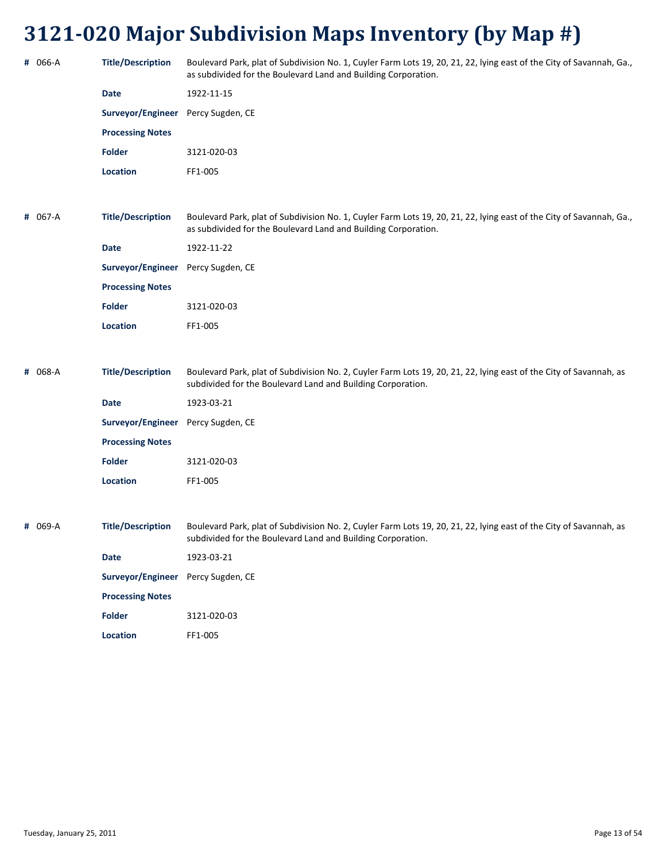| # 066-A | <b>Title/Description</b>           | Boulevard Park, plat of Subdivision No. 1, Cuyler Farm Lots 19, 20, 21, 22, lying east of the City of Savannah, Ga.,<br>as subdivided for the Boulevard Land and Building Corporation. |
|---------|------------------------------------|----------------------------------------------------------------------------------------------------------------------------------------------------------------------------------------|
|         | Date                               | 1922-11-15                                                                                                                                                                             |
|         | Surveyor/Engineer Percy Sugden, CE |                                                                                                                                                                                        |
|         | <b>Processing Notes</b>            |                                                                                                                                                                                        |
|         | <b>Folder</b>                      | 3121-020-03                                                                                                                                                                            |
|         | <b>Location</b>                    | FF1-005                                                                                                                                                                                |
|         |                                    |                                                                                                                                                                                        |
| # 067-A | <b>Title/Description</b>           | Boulevard Park, plat of Subdivision No. 1, Cuyler Farm Lots 19, 20, 21, 22, lying east of the City of Savannah, Ga.,<br>as subdivided for the Boulevard Land and Building Corporation. |
|         | Date                               | 1922-11-22                                                                                                                                                                             |
|         | Surveyor/Engineer Percy Sugden, CE |                                                                                                                                                                                        |
|         | <b>Processing Notes</b>            |                                                                                                                                                                                        |
|         | <b>Folder</b>                      | 3121-020-03                                                                                                                                                                            |
|         | <b>Location</b>                    | FF1-005                                                                                                                                                                                |
|         |                                    |                                                                                                                                                                                        |
| # 068-A | <b>Title/Description</b>           | Boulevard Park, plat of Subdivision No. 2, Cuyler Farm Lots 19, 20, 21, 22, lying east of the City of Savannah, as<br>subdivided for the Boulevard Land and Building Corporation.      |
|         | Date                               | 1923-03-21                                                                                                                                                                             |
|         | Surveyor/Engineer                  | Percy Sugden, CE                                                                                                                                                                       |
|         | <b>Processing Notes</b>            |                                                                                                                                                                                        |
|         | <b>Folder</b>                      | 3121-020-03                                                                                                                                                                            |
|         | <b>Location</b>                    | FF1-005                                                                                                                                                                                |
|         |                                    |                                                                                                                                                                                        |
| # 069-A | <b>Title/Description</b>           | Boulevard Park, plat of Subdivision No. 2, Cuyler Farm Lots 19, 20, 21, 22, lying east of the City of Savannah, as<br>subdivided for the Boulevard Land and Building Corporation.      |
|         | <b>Date</b>                        | 1923-03-21                                                                                                                                                                             |
|         | Surveyor/Engineer Percy Sugden, CE |                                                                                                                                                                                        |

**Processing Notes**

**Folder** 3121‐020‐03 **Location** FF1‐005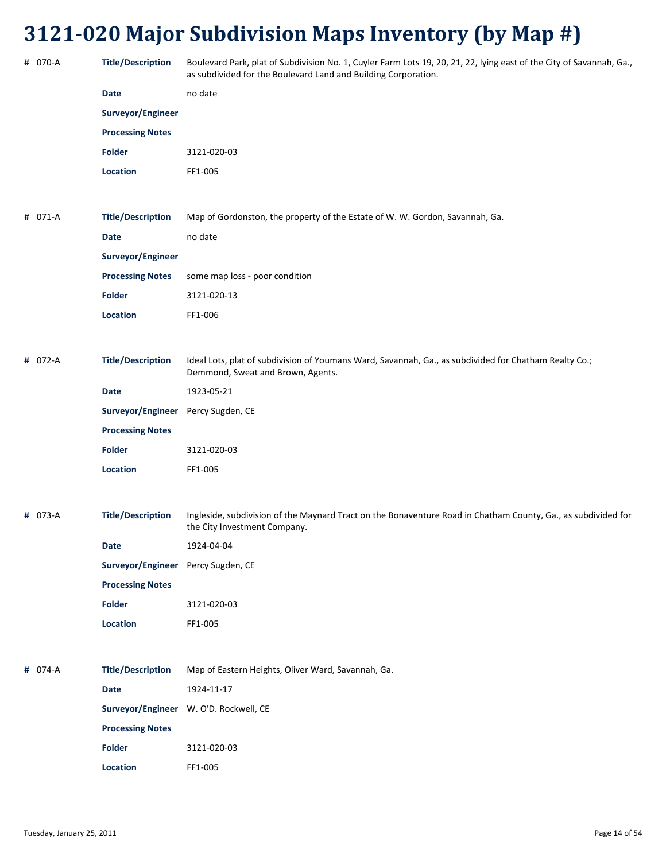| # 070-A | <b>Title/Description</b>           | Boulevard Park, plat of Subdivision No. 1, Cuyler Farm Lots 19, 20, 21, 22, lying east of the City of Savannah, Ga.,<br>as subdivided for the Boulevard Land and Building Corporation. |
|---------|------------------------------------|----------------------------------------------------------------------------------------------------------------------------------------------------------------------------------------|
|         | Date                               | no date                                                                                                                                                                                |
|         | Surveyor/Engineer                  |                                                                                                                                                                                        |
|         | <b>Processing Notes</b>            |                                                                                                                                                                                        |
|         | <b>Folder</b>                      | 3121-020-03                                                                                                                                                                            |
|         | <b>Location</b>                    | FF1-005                                                                                                                                                                                |
|         |                                    |                                                                                                                                                                                        |
| # 071-A | <b>Title/Description</b>           | Map of Gordonston, the property of the Estate of W. W. Gordon, Savannah, Ga.                                                                                                           |
|         | Date                               | no date                                                                                                                                                                                |
|         | Surveyor/Engineer                  |                                                                                                                                                                                        |
|         | <b>Processing Notes</b>            | some map loss - poor condition                                                                                                                                                         |
|         | <b>Folder</b>                      | 3121-020-13                                                                                                                                                                            |
|         | <b>Location</b>                    | FF1-006                                                                                                                                                                                |
|         |                                    |                                                                                                                                                                                        |
| # 072-A | <b>Title/Description</b>           | Ideal Lots, plat of subdivision of Youmans Ward, Savannah, Ga., as subdivided for Chatham Realty Co.;<br>Demmond, Sweat and Brown, Agents.                                             |
|         | <b>Date</b>                        | 1923-05-21                                                                                                                                                                             |
|         | Surveyor/Engineer Percy Sugden, CE |                                                                                                                                                                                        |
|         | <b>Processing Notes</b>            |                                                                                                                                                                                        |
|         | <b>Folder</b>                      | 3121-020-03                                                                                                                                                                            |
|         | <b>Location</b>                    | FF1-005                                                                                                                                                                                |
|         |                                    |                                                                                                                                                                                        |
| # 073-A | <b>Title/Description</b>           | Ingleside, subdivision of the Maynard Tract on the Bonaventure Road in Chatham County, Ga., as subdivided for<br>the City Investment Company.                                          |
|         | Date                               | 1924-04-04                                                                                                                                                                             |
|         | Surveyor/Engineer Percy Sugden, CE |                                                                                                                                                                                        |
|         | <b>Processing Notes</b>            |                                                                                                                                                                                        |
|         | <b>Folder</b>                      | 3121-020-03                                                                                                                                                                            |
|         | Location                           | FF1-005                                                                                                                                                                                |
|         |                                    |                                                                                                                                                                                        |
| # 074-A | <b>Title/Description</b>           | Map of Eastern Heights, Oliver Ward, Savannah, Ga.                                                                                                                                     |
|         | Date                               | 1924-11-17                                                                                                                                                                             |
|         |                                    | Surveyor/Engineer W. O'D. Rockwell, CE                                                                                                                                                 |
|         | <b>Processing Notes</b>            |                                                                                                                                                                                        |
|         | Folder                             | 3121-020-03                                                                                                                                                                            |
|         | Location                           | FF1-005                                                                                                                                                                                |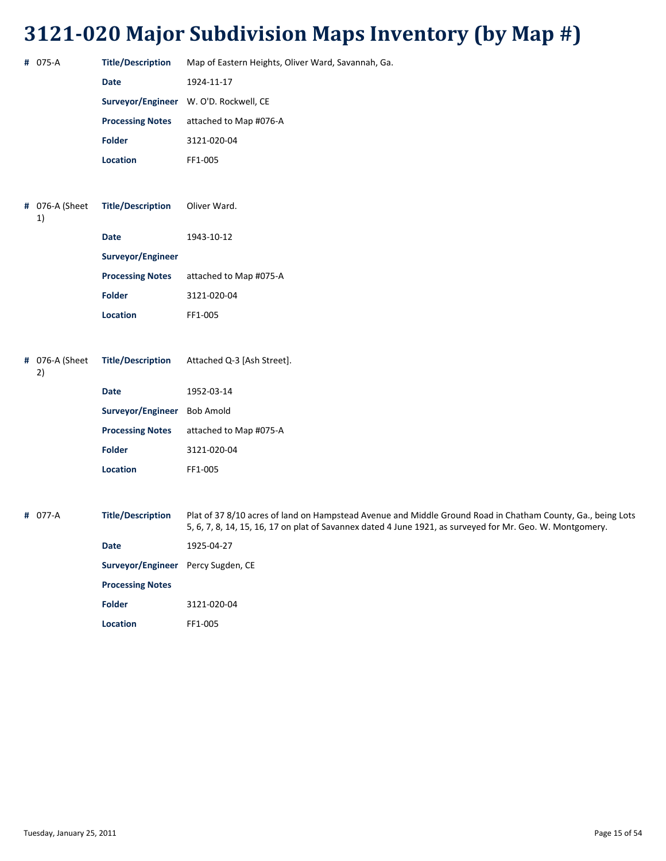| # 075-A              | <b>Title/Description</b>           | Map of Eastern Heights, Oliver Ward, Savannah, Ga.                                                                                                                                                                       |
|----------------------|------------------------------------|--------------------------------------------------------------------------------------------------------------------------------------------------------------------------------------------------------------------------|
|                      | <b>Date</b>                        | 1924-11-17                                                                                                                                                                                                               |
|                      | Surveyor/Engineer                  | W. O'D. Rockwell, CE                                                                                                                                                                                                     |
|                      | <b>Processing Notes</b>            | attached to Map #076-A                                                                                                                                                                                                   |
|                      | <b>Folder</b>                      | 3121-020-04                                                                                                                                                                                                              |
|                      | Location                           | FF1-005                                                                                                                                                                                                                  |
|                      |                                    |                                                                                                                                                                                                                          |
| # 076-A (Sheet<br>1) | <b>Title/Description</b>           | Oliver Ward.                                                                                                                                                                                                             |
|                      | <b>Date</b>                        | 1943-10-12                                                                                                                                                                                                               |
|                      | Surveyor/Engineer                  |                                                                                                                                                                                                                          |
|                      | <b>Processing Notes</b>            | attached to Map #075-A                                                                                                                                                                                                   |
|                      | <b>Folder</b>                      | 3121-020-04                                                                                                                                                                                                              |
|                      | Location                           | FF1-005                                                                                                                                                                                                                  |
|                      |                                    |                                                                                                                                                                                                                          |
| # 076-A (Sheet<br>2) | <b>Title/Description</b>           | Attached Q-3 [Ash Street].                                                                                                                                                                                               |
|                      | <b>Date</b>                        | 1952-03-14                                                                                                                                                                                                               |
|                      | Surveyor/Engineer                  | <b>Bob Amold</b>                                                                                                                                                                                                         |
|                      | <b>Processing Notes</b>            | attached to Map #075-A                                                                                                                                                                                                   |
|                      | Folder                             | 3121-020-04                                                                                                                                                                                                              |
|                      | Location                           | FF1-005                                                                                                                                                                                                                  |
|                      |                                    |                                                                                                                                                                                                                          |
| # 077-A              | <b>Title/Description</b>           | Plat of 37 8/10 acres of land on Hampstead Avenue and Middle Ground Road in Chatham County, Ga., being Lots<br>5, 6, 7, 8, 14, 15, 16, 17 on plat of Savannex dated 4 June 1921, as surveyed for Mr. Geo. W. Montgomery. |
|                      | Date                               | 1925-04-27                                                                                                                                                                                                               |
|                      | Surveyor/Engineer Percy Sugden, CE |                                                                                                                                                                                                                          |
|                      | <b>Processing Notes</b>            |                                                                                                                                                                                                                          |
|                      | Folder                             | 3121-020-04                                                                                                                                                                                                              |
|                      | Location                           | FF1-005                                                                                                                                                                                                                  |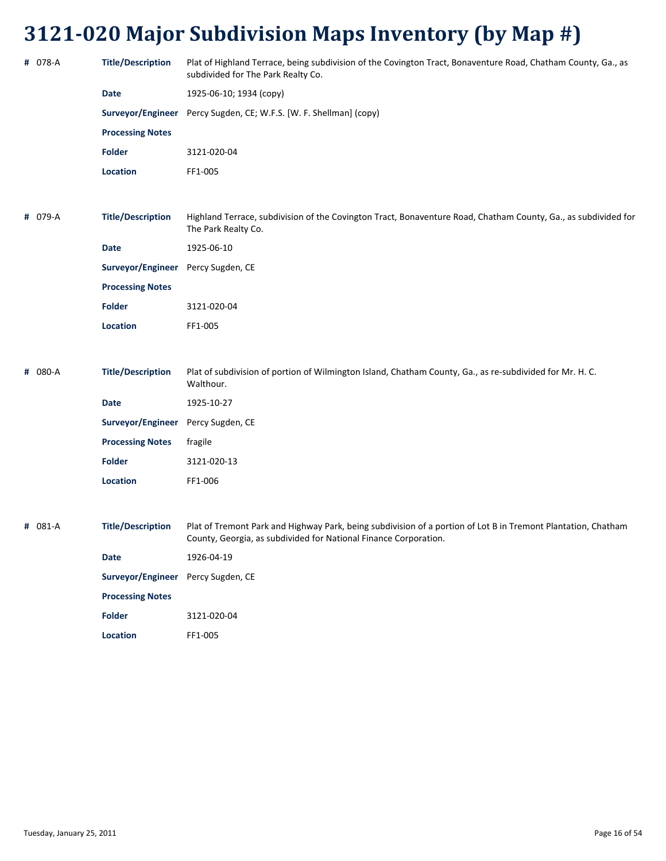| # 078-A | <b>Title/Description</b>           | Plat of Highland Terrace, being subdivision of the Covington Tract, Bonaventure Road, Chatham County, Ga., as<br>subdivided for The Park Realty Co.                               |
|---------|------------------------------------|-----------------------------------------------------------------------------------------------------------------------------------------------------------------------------------|
|         | <b>Date</b>                        | 1925-06-10; 1934 (copy)                                                                                                                                                           |
|         |                                    | Surveyor/Engineer Percy Sugden, CE; W.F.S. [W. F. Shellman] (copy)                                                                                                                |
|         | <b>Processing Notes</b>            |                                                                                                                                                                                   |
|         | <b>Folder</b>                      | 3121-020-04                                                                                                                                                                       |
|         | Location                           | FF1-005                                                                                                                                                                           |
|         |                                    |                                                                                                                                                                                   |
| # 079-A | <b>Title/Description</b>           | Highland Terrace, subdivision of the Covington Tract, Bonaventure Road, Chatham County, Ga., as subdivided for<br>The Park Realty Co.                                             |
|         | <b>Date</b>                        | 1925-06-10                                                                                                                                                                        |
|         | Surveyor/Engineer Percy Sugden, CE |                                                                                                                                                                                   |
|         | <b>Processing Notes</b>            |                                                                                                                                                                                   |
|         | <b>Folder</b>                      | 3121-020-04                                                                                                                                                                       |
|         | <b>Location</b>                    | FF1-005                                                                                                                                                                           |
|         |                                    |                                                                                                                                                                                   |
| # 080-A | <b>Title/Description</b>           | Plat of subdivision of portion of Wilmington Island, Chatham County, Ga., as re-subdivided for Mr. H. C.<br>Walthour.                                                             |
|         | <b>Date</b>                        | 1925-10-27                                                                                                                                                                        |
|         | Surveyor/Engineer Percy Sugden, CE |                                                                                                                                                                                   |
|         | <b>Processing Notes</b>            | fragile                                                                                                                                                                           |
|         | <b>Folder</b>                      | 3121-020-13                                                                                                                                                                       |
|         | <b>Location</b>                    | FF1-006                                                                                                                                                                           |
|         |                                    |                                                                                                                                                                                   |
| # 081-A | <b>Title/Description</b>           | Plat of Tremont Park and Highway Park, being subdivision of a portion of Lot B in Tremont Plantation, Chatham<br>County, Georgia, as subdivided for National Finance Corporation. |

| Date                               | 1926-04-19  |
|------------------------------------|-------------|
| Surveyor/Engineer Percy Sugden, CE |             |
| <b>Processing Notes</b>            |             |
| <b>Folder</b>                      | 3121-020-04 |
| Location                           | FF1-005     |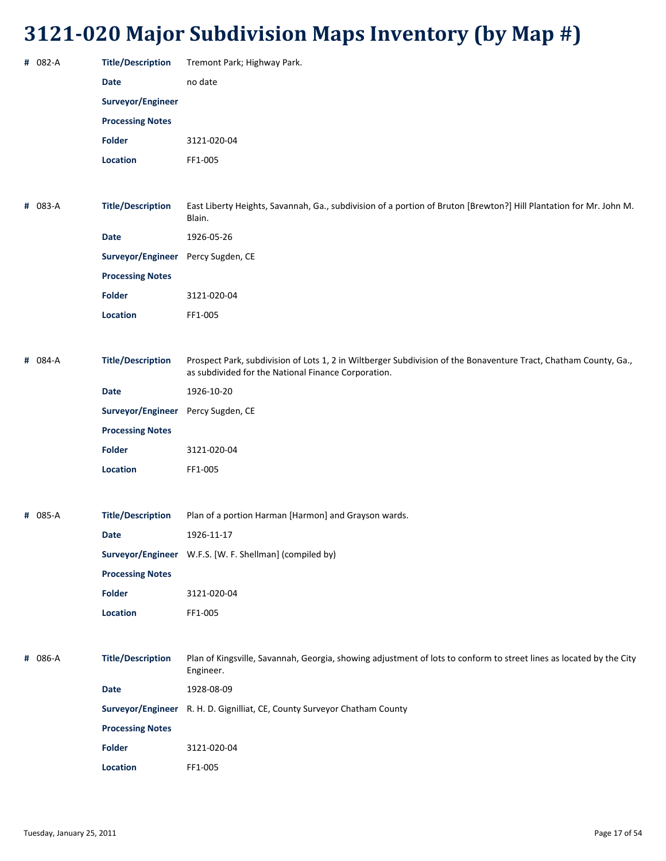| # 082-A | <b>Title/Description</b>           | Tremont Park; Highway Park.                                                                                                                                             |
|---------|------------------------------------|-------------------------------------------------------------------------------------------------------------------------------------------------------------------------|
|         | <b>Date</b>                        | no date                                                                                                                                                                 |
|         | Surveyor/Engineer                  |                                                                                                                                                                         |
|         | <b>Processing Notes</b>            |                                                                                                                                                                         |
|         | <b>Folder</b>                      | 3121-020-04                                                                                                                                                             |
|         | Location                           | FF1-005                                                                                                                                                                 |
|         |                                    |                                                                                                                                                                         |
| # 083-A | <b>Title/Description</b>           | East Liberty Heights, Savannah, Ga., subdivision of a portion of Bruton [Brewton?] Hill Plantation for Mr. John M.<br>Blain.                                            |
|         | <b>Date</b>                        | 1926-05-26                                                                                                                                                              |
|         | Surveyor/Engineer Percy Sugden, CE |                                                                                                                                                                         |
|         | <b>Processing Notes</b>            |                                                                                                                                                                         |
|         | <b>Folder</b>                      | 3121-020-04                                                                                                                                                             |
|         | Location                           | FF1-005                                                                                                                                                                 |
|         |                                    |                                                                                                                                                                         |
| # 084-A | <b>Title/Description</b>           | Prospect Park, subdivision of Lots 1, 2 in Wiltberger Subdivision of the Bonaventure Tract, Chatham County, Ga.,<br>as subdivided for the National Finance Corporation. |
|         | <b>Date</b>                        | 1926-10-20                                                                                                                                                              |
|         | Surveyor/Engineer                  | Percy Sugden, CE                                                                                                                                                        |
|         | <b>Processing Notes</b>            |                                                                                                                                                                         |
|         | <b>Folder</b>                      | 3121-020-04                                                                                                                                                             |
|         | Location                           | FF1-005                                                                                                                                                                 |
|         |                                    |                                                                                                                                                                         |
| # 085-A | <b>Title/Description</b>           | Plan of a portion Harman [Harmon] and Grayson wards.                                                                                                                    |
|         | Date                               | 1926-11-17                                                                                                                                                              |
|         |                                    | Surveyor/Engineer W.F.S. [W. F. Shellman] (compiled by)                                                                                                                 |
|         | <b>Processing Notes</b>            |                                                                                                                                                                         |
|         | <b>Folder</b>                      | 3121-020-04                                                                                                                                                             |
|         | Location                           | FF1-005                                                                                                                                                                 |
|         |                                    |                                                                                                                                                                         |
| # 086-A | <b>Title/Description</b>           | Plan of Kingsville, Savannah, Georgia, showing adjustment of lots to conform to street lines as located by the City<br>Engineer.                                        |
|         | <b>Date</b>                        | 1928-08-09                                                                                                                                                              |
|         |                                    | Surveyor/Engineer R. H. D. Gignilliat, CE, County Surveyor Chatham County                                                                                               |
|         | <b>Processing Notes</b>            |                                                                                                                                                                         |
|         | <b>Folder</b>                      | 3121-020-04                                                                                                                                                             |
|         | Location                           | FF1-005                                                                                                                                                                 |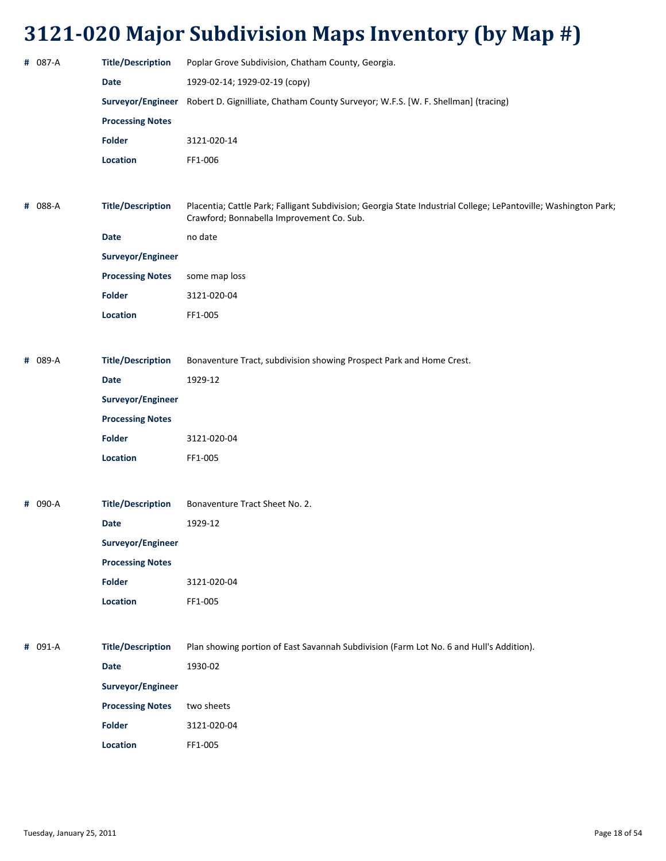| # 087-A | <b>Title/Description</b> | Poplar Grove Subdivision, Chatham County, Georgia.                                                                                                           |
|---------|--------------------------|--------------------------------------------------------------------------------------------------------------------------------------------------------------|
|         | <b>Date</b>              | 1929-02-14; 1929-02-19 (сору)                                                                                                                                |
|         | Surveyor/Engineer        | Robert D. Gignilliate, Chatham County Surveyor; W.F.S. [W. F. Shellman] (tracing)                                                                            |
|         | <b>Processing Notes</b>  |                                                                                                                                                              |
|         | <b>Folder</b>            | 3121-020-14                                                                                                                                                  |
|         | Location                 | FF1-006                                                                                                                                                      |
|         |                          |                                                                                                                                                              |
| # 088-A | <b>Title/Description</b> | Placentia; Cattle Park; Falligant Subdivision; Georgia State Industrial College; LePantoville; Washington Park;<br>Crawford; Bonnabella Improvement Co. Sub. |
|         | <b>Date</b>              | no date                                                                                                                                                      |
|         | Surveyor/Engineer        |                                                                                                                                                              |
|         | <b>Processing Notes</b>  | some map loss                                                                                                                                                |
|         | <b>Folder</b>            | 3121-020-04                                                                                                                                                  |
|         | Location                 | FF1-005                                                                                                                                                      |
|         |                          |                                                                                                                                                              |
| # 089-A | <b>Title/Description</b> | Bonaventure Tract, subdivision showing Prospect Park and Home Crest.                                                                                         |
|         | Date                     | 1929-12                                                                                                                                                      |
|         | Surveyor/Engineer        |                                                                                                                                                              |
|         | <b>Processing Notes</b>  |                                                                                                                                                              |
|         | <b>Folder</b>            | 3121-020-04                                                                                                                                                  |
|         | Location                 | FF1-005                                                                                                                                                      |
|         |                          |                                                                                                                                                              |
| # 090-A | <b>Title/Description</b> | Bonaventure Tract Sheet No. 2.                                                                                                                               |
|         | <b>Date</b>              | 1929-12                                                                                                                                                      |
|         | Surveyor/Engineer        |                                                                                                                                                              |
|         | <b>Processing Notes</b>  |                                                                                                                                                              |
|         | <b>Folder</b>            | 3121-020-04                                                                                                                                                  |
|         | Location                 | FF1-005                                                                                                                                                      |
|         |                          |                                                                                                                                                              |
| # 091-A | <b>Title/Description</b> | Plan showing portion of East Savannah Subdivision (Farm Lot No. 6 and Hull's Addition).                                                                      |
|         | Date                     | 1930-02                                                                                                                                                      |
|         | Surveyor/Engineer        |                                                                                                                                                              |
|         | <b>Processing Notes</b>  | two sheets                                                                                                                                                   |
|         | <b>Folder</b>            | 3121-020-04                                                                                                                                                  |
|         | Location                 | FF1-005                                                                                                                                                      |
|         |                          |                                                                                                                                                              |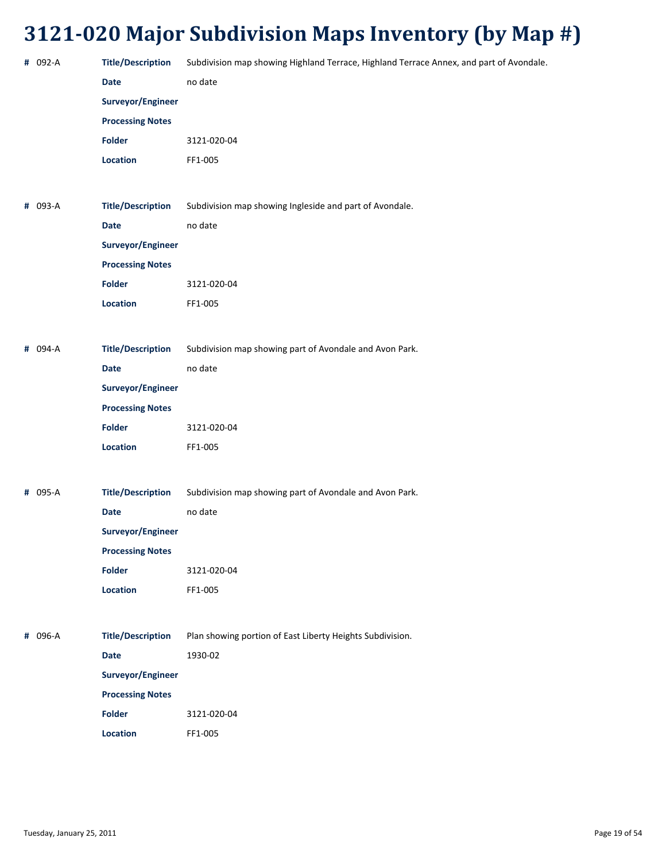| # 092-A | <b>Title/Description</b> | Subdivision map showing Highland Terrace, Highland Terrace Annex, and part of Avondale. |
|---------|--------------------------|-----------------------------------------------------------------------------------------|
|         | <b>Date</b>              | no date                                                                                 |
|         | Surveyor/Engineer        |                                                                                         |
|         | <b>Processing Notes</b>  |                                                                                         |
|         | Folder                   | 3121-020-04                                                                             |
|         | Location                 | FF1-005                                                                                 |
|         |                          |                                                                                         |
| # 093-A | <b>Title/Description</b> | Subdivision map showing Ingleside and part of Avondale.                                 |
|         | <b>Date</b>              | no date                                                                                 |
|         | Surveyor/Engineer        |                                                                                         |
|         | <b>Processing Notes</b>  |                                                                                         |
|         | <b>Folder</b>            | 3121-020-04                                                                             |
|         | Location                 | FF1-005                                                                                 |
|         |                          |                                                                                         |
| # 094-A | <b>Title/Description</b> | Subdivision map showing part of Avondale and Avon Park.                                 |
|         | <b>Date</b>              | no date                                                                                 |
|         | Surveyor/Engineer        |                                                                                         |
|         | <b>Processing Notes</b>  |                                                                                         |
|         | <b>Folder</b>            | 3121-020-04                                                                             |
|         | Location                 | FF1-005                                                                                 |
|         |                          |                                                                                         |
| # 095-A | <b>Title/Description</b> | Subdivision map showing part of Avondale and Avon Park.                                 |
|         | <b>Date</b>              | no date                                                                                 |
|         | Surveyor/Engineer        |                                                                                         |
|         | <b>Processing Notes</b>  |                                                                                         |
|         | Folder                   | 3121-020-04                                                                             |
|         | Location                 | FF1-005                                                                                 |
|         |                          |                                                                                         |
| # 096-A | <b>Title/Description</b> | Plan showing portion of East Liberty Heights Subdivision.                               |
|         | <b>Date</b>              | 1930-02                                                                                 |
|         | Surveyor/Engineer        |                                                                                         |
|         | <b>Processing Notes</b>  |                                                                                         |
|         | Folder                   | 3121-020-04                                                                             |
|         | Location                 | FF1-005                                                                                 |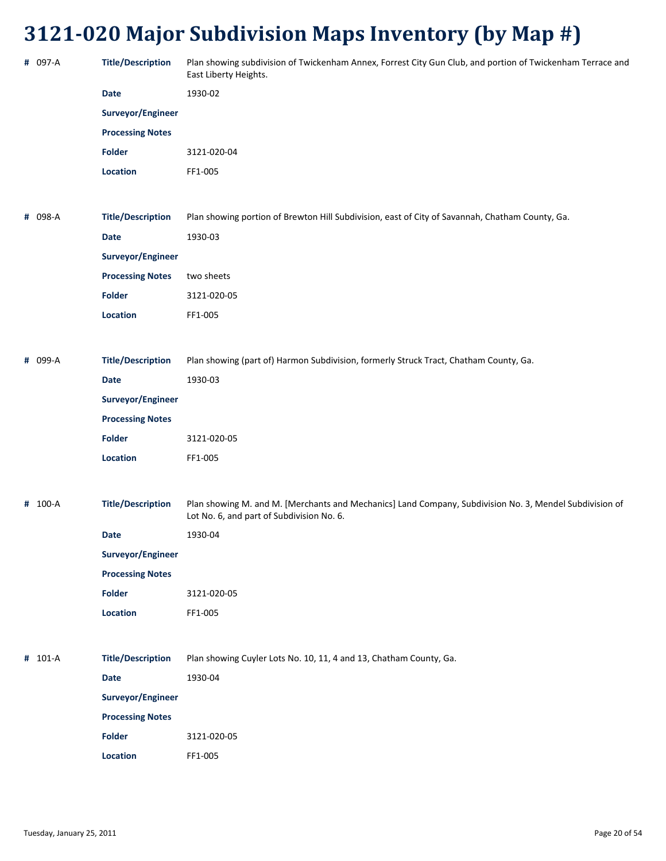| # 097-A | <b>Title/Description</b> | Plan showing subdivision of Twickenham Annex, Forrest City Gun Club, and portion of Twickenham Terrace and<br>East Liberty Heights.                  |
|---------|--------------------------|------------------------------------------------------------------------------------------------------------------------------------------------------|
|         | <b>Date</b>              | 1930-02                                                                                                                                              |
|         | Surveyor/Engineer        |                                                                                                                                                      |
|         | <b>Processing Notes</b>  |                                                                                                                                                      |
|         | <b>Folder</b>            | 3121-020-04                                                                                                                                          |
|         | Location                 | FF1-005                                                                                                                                              |
| # 098-A | <b>Title/Description</b> | Plan showing portion of Brewton Hill Subdivision, east of City of Savannah, Chatham County, Ga.                                                      |
|         | <b>Date</b>              | 1930-03                                                                                                                                              |
|         | Surveyor/Engineer        |                                                                                                                                                      |
|         | <b>Processing Notes</b>  | two sheets                                                                                                                                           |
|         | <b>Folder</b>            | 3121-020-05                                                                                                                                          |
|         | Location                 | FF1-005                                                                                                                                              |
| # 099-A | <b>Title/Description</b> | Plan showing (part of) Harmon Subdivision, formerly Struck Tract, Chatham County, Ga.                                                                |
|         | <b>Date</b>              | 1930-03                                                                                                                                              |
|         | Surveyor/Engineer        |                                                                                                                                                      |
|         | <b>Processing Notes</b>  |                                                                                                                                                      |
|         | <b>Folder</b>            | 3121-020-05                                                                                                                                          |
|         | Location                 | FF1-005                                                                                                                                              |
| # 100-A | <b>Title/Description</b> | Plan showing M. and M. [Merchants and Mechanics] Land Company, Subdivision No. 3, Mendel Subdivision of<br>Lot No. 6, and part of Subdivision No. 6. |
|         | <b>Date</b>              | 1930-04                                                                                                                                              |
|         | Surveyor/Engineer        |                                                                                                                                                      |
|         | <b>Processing Notes</b>  |                                                                                                                                                      |
|         | <b>Folder</b>            | 3121-020-05                                                                                                                                          |
|         | Location                 | FF1-005                                                                                                                                              |
| # 101-A | <b>Title/Description</b> | Plan showing Cuyler Lots No. 10, 11, 4 and 13, Chatham County, Ga.                                                                                   |
|         | Date                     | 1930-04                                                                                                                                              |
|         | Surveyor/Engineer        |                                                                                                                                                      |
|         | <b>Processing Notes</b>  |                                                                                                                                                      |
|         | <b>Folder</b>            | 3121-020-05                                                                                                                                          |
|         | Location                 | FF1-005                                                                                                                                              |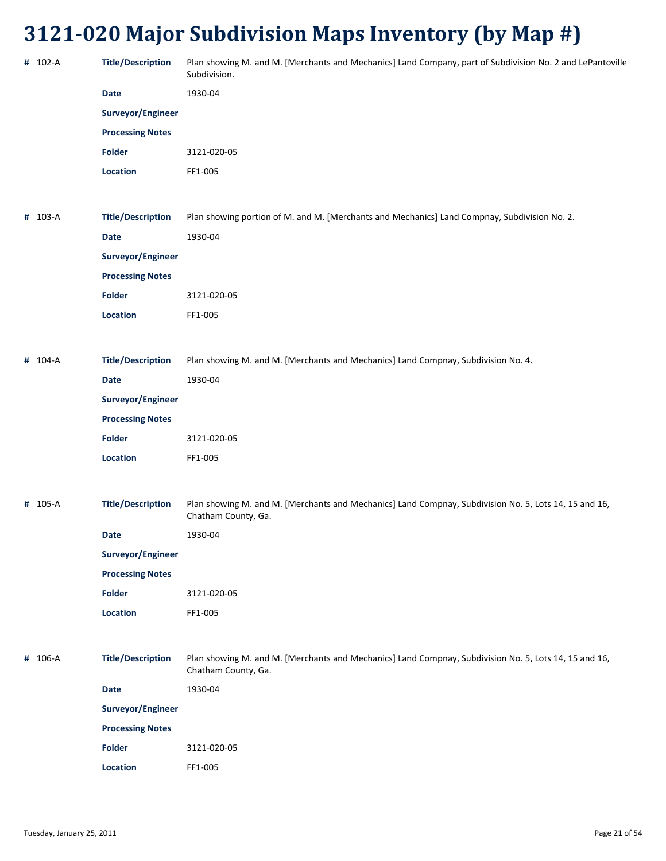| # 102-A | <b>Title/Description</b> | Plan showing M. and M. [Merchants and Mechanics] Land Company, part of Subdivision No. 2 and LePantoville<br>Subdivision.    |
|---------|--------------------------|------------------------------------------------------------------------------------------------------------------------------|
|         | <b>Date</b>              | 1930-04                                                                                                                      |
|         | Surveyor/Engineer        |                                                                                                                              |
|         | <b>Processing Notes</b>  |                                                                                                                              |
|         | Folder                   | 3121-020-05                                                                                                                  |
|         | Location                 | FF1-005                                                                                                                      |
|         |                          |                                                                                                                              |
| # 103-A | <b>Title/Description</b> | Plan showing portion of M. and M. [Merchants and Mechanics] Land Compnay, Subdivision No. 2.                                 |
|         | <b>Date</b>              | 1930-04                                                                                                                      |
|         | Surveyor/Engineer        |                                                                                                                              |
|         | <b>Processing Notes</b>  |                                                                                                                              |
|         | <b>Folder</b>            | 3121-020-05                                                                                                                  |
|         | Location                 | FF1-005                                                                                                                      |
|         |                          |                                                                                                                              |
| # 104-A | <b>Title/Description</b> | Plan showing M. and M. [Merchants and Mechanics] Land Compnay, Subdivision No. 4.                                            |
|         | Date                     | 1930-04                                                                                                                      |
|         | Surveyor/Engineer        |                                                                                                                              |
|         | <b>Processing Notes</b>  |                                                                                                                              |
|         | <b>Folder</b>            | 3121-020-05                                                                                                                  |
|         | Location                 | FF1-005                                                                                                                      |
|         |                          |                                                                                                                              |
| # 105-A | <b>Title/Description</b> | Plan showing M. and M. [Merchants and Mechanics] Land Compnay, Subdivision No. 5, Lots 14, 15 and 16,<br>Chatham County, Ga. |
|         | Date                     | 1930-04                                                                                                                      |
|         | Surveyor/Engineer        |                                                                                                                              |
|         | <b>Processing Notes</b>  |                                                                                                                              |
|         | <b>Folder</b>            | 3121-020-05                                                                                                                  |
|         | Location                 | FF1-005                                                                                                                      |
|         |                          |                                                                                                                              |
| # 106-A | <b>Title/Description</b> | Plan showing M. and M. [Merchants and Mechanics] Land Compnay, Subdivision No. 5, Lots 14, 15 and 16,<br>Chatham County, Ga. |
|         | Date                     | 1930-04                                                                                                                      |
|         | Surveyor/Engineer        |                                                                                                                              |
|         | <b>Processing Notes</b>  |                                                                                                                              |
|         | Folder                   | 3121-020-05                                                                                                                  |
|         | Location                 | FF1-005                                                                                                                      |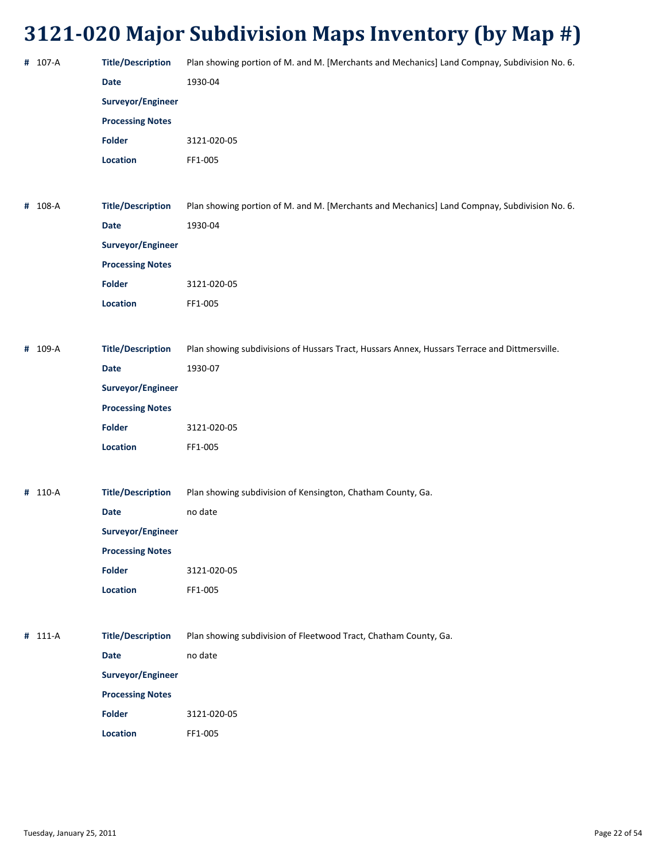| # 107-A<br># 108-A | <b>Title/Description</b><br><b>Date</b><br>Surveyor/Engineer<br><b>Processing Notes</b><br><b>Folder</b><br>Location<br><b>Title/Description</b> | Plan showing portion of M. and M. [Merchants and Mechanics] Land Compnay, Subdivision No. 6.<br>1930-04<br>3121-020-05<br>FF1-005 |
|--------------------|--------------------------------------------------------------------------------------------------------------------------------------------------|-----------------------------------------------------------------------------------------------------------------------------------|
|                    |                                                                                                                                                  |                                                                                                                                   |
|                    |                                                                                                                                                  |                                                                                                                                   |
|                    |                                                                                                                                                  |                                                                                                                                   |
|                    |                                                                                                                                                  |                                                                                                                                   |
|                    |                                                                                                                                                  |                                                                                                                                   |
|                    |                                                                                                                                                  |                                                                                                                                   |
|                    |                                                                                                                                                  |                                                                                                                                   |
|                    |                                                                                                                                                  | Plan showing portion of M. and M. [Merchants and Mechanics] Land Compnay, Subdivision No. 6.                                      |
|                    | <b>Date</b>                                                                                                                                      | 1930-04                                                                                                                           |
|                    | Surveyor/Engineer                                                                                                                                |                                                                                                                                   |
|                    | <b>Processing Notes</b>                                                                                                                          |                                                                                                                                   |
|                    | Folder                                                                                                                                           | 3121-020-05                                                                                                                       |
|                    | Location                                                                                                                                         | FF1-005                                                                                                                           |
|                    |                                                                                                                                                  |                                                                                                                                   |
| # 109-A            | <b>Title/Description</b>                                                                                                                         | Plan showing subdivisions of Hussars Tract, Hussars Annex, Hussars Terrace and Dittmersville.                                     |
|                    | <b>Date</b>                                                                                                                                      | 1930-07                                                                                                                           |
|                    | Surveyor/Engineer                                                                                                                                |                                                                                                                                   |
|                    | <b>Processing Notes</b>                                                                                                                          |                                                                                                                                   |
|                    | <b>Folder</b>                                                                                                                                    | 3121-020-05                                                                                                                       |
|                    | Location                                                                                                                                         | FF1-005                                                                                                                           |
|                    |                                                                                                                                                  |                                                                                                                                   |
| # 110-A            | <b>Title/Description</b>                                                                                                                         | Plan showing subdivision of Kensington, Chatham County, Ga.                                                                       |
|                    | <b>Date</b>                                                                                                                                      | no date                                                                                                                           |
|                    | Surveyor/Engineer                                                                                                                                |                                                                                                                                   |
|                    | <b>Processing Notes</b>                                                                                                                          |                                                                                                                                   |
|                    | <b>Folder</b>                                                                                                                                    | 3121-020-05                                                                                                                       |
|                    | Location                                                                                                                                         | FF1-005                                                                                                                           |
|                    |                                                                                                                                                  |                                                                                                                                   |
|                    |                                                                                                                                                  | Plan showing subdivision of Fleetwood Tract, Chatham County, Ga.                                                                  |
|                    | <b>Date</b>                                                                                                                                      | no date                                                                                                                           |
|                    | Surveyor/Engineer                                                                                                                                |                                                                                                                                   |
|                    | <b>Processing Notes</b>                                                                                                                          |                                                                                                                                   |
|                    | <b>Folder</b>                                                                                                                                    | 3121-020-05                                                                                                                       |
|                    |                                                                                                                                                  |                                                                                                                                   |
|                    | # 111-A                                                                                                                                          | <b>Title/Description</b>                                                                                                          |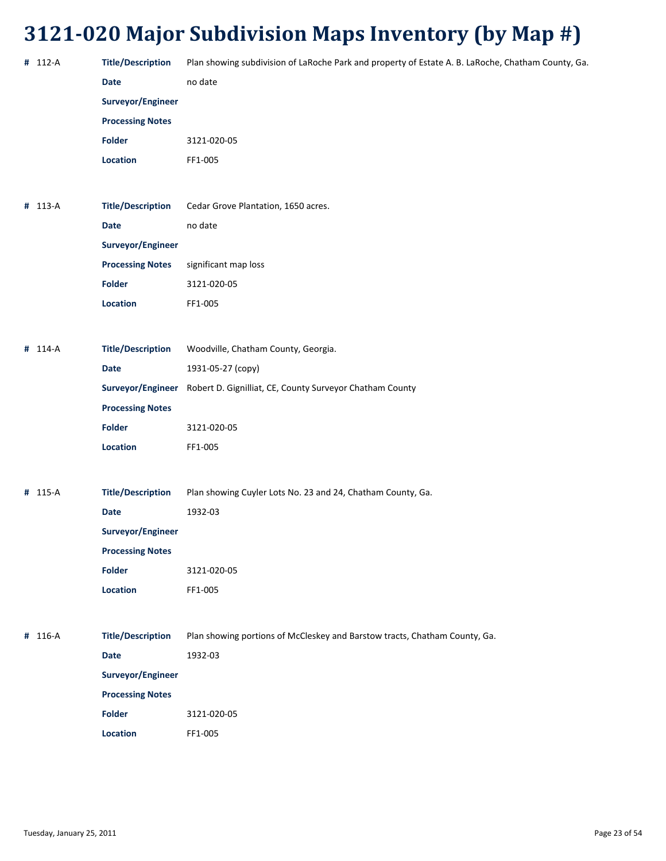| # 112-A | <b>Title/Description</b> | Plan showing subdivision of LaRoche Park and property of Estate A. B. LaRoche, Chatham County, Ga. |
|---------|--------------------------|----------------------------------------------------------------------------------------------------|
|         | <b>Date</b>              | no date                                                                                            |
|         | Surveyor/Engineer        |                                                                                                    |
|         | <b>Processing Notes</b>  |                                                                                                    |
|         | Folder                   | 3121-020-05                                                                                        |
|         | Location                 | FF1-005                                                                                            |
|         |                          |                                                                                                    |
| # 113-A | <b>Title/Description</b> | Cedar Grove Plantation, 1650 acres.                                                                |
|         | <b>Date</b>              | no date                                                                                            |
|         | Surveyor/Engineer        |                                                                                                    |
|         | <b>Processing Notes</b>  | significant map loss                                                                               |
|         | <b>Folder</b>            | 3121-020-05                                                                                        |
|         | Location                 | FF1-005                                                                                            |
|         |                          |                                                                                                    |
| # 114-A | <b>Title/Description</b> | Woodville, Chatham County, Georgia.                                                                |
|         | Date                     | 1931-05-27 (copy)                                                                                  |
|         |                          | Surveyor/Engineer Robert D. Gignilliat, CE, County Surveyor Chatham County                         |
|         | <b>Processing Notes</b>  |                                                                                                    |
|         | <b>Folder</b>            | 3121-020-05                                                                                        |
|         | Location                 | FF1-005                                                                                            |
|         |                          |                                                                                                    |
| # 115-A | <b>Title/Description</b> | Plan showing Cuyler Lots No. 23 and 24, Chatham County, Ga.                                        |
|         | <b>Date</b>              | 1932-03                                                                                            |
|         | Surveyor/Engineer        |                                                                                                    |
|         | <b>Processing Notes</b>  |                                                                                                    |
|         | <b>Folder</b>            | 3121-020-05                                                                                        |
|         | Location                 | FF1-005                                                                                            |
|         |                          |                                                                                                    |
| # 116-A | <b>Title/Description</b> | Plan showing portions of McCleskey and Barstow tracts, Chatham County, Ga.                         |
|         | <b>Date</b>              | 1932-03                                                                                            |
|         | Surveyor/Engineer        |                                                                                                    |
|         | <b>Processing Notes</b>  |                                                                                                    |
|         | <b>Folder</b>            | 3121-020-05                                                                                        |
|         | Location                 | FF1-005                                                                                            |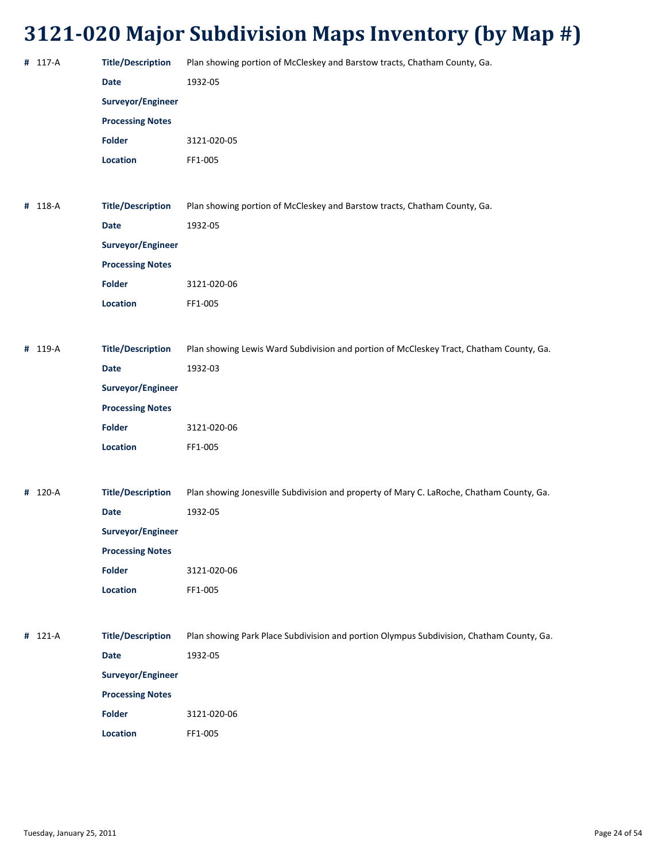| # 117-A | <b>Title/Description</b>                 | Plan showing portion of McCleskey and Barstow tracts, Chatham County, Ga.                |
|---------|------------------------------------------|------------------------------------------------------------------------------------------|
|         | <b>Date</b>                              | 1932-05                                                                                  |
|         | Surveyor/Engineer                        |                                                                                          |
|         | <b>Processing Notes</b>                  |                                                                                          |
|         | Folder                                   | 3121-020-05                                                                              |
|         | Location                                 | FF1-005                                                                                  |
|         |                                          |                                                                                          |
| # 118-A | <b>Title/Description</b>                 | Plan showing portion of McCleskey and Barstow tracts, Chatham County, Ga.                |
|         | <b>Date</b>                              | 1932-05                                                                                  |
|         | Surveyor/Engineer                        |                                                                                          |
|         | <b>Processing Notes</b>                  |                                                                                          |
|         | <b>Folder</b>                            | 3121-020-06                                                                              |
|         | Location                                 | FF1-005                                                                                  |
|         |                                          |                                                                                          |
| # 119-A | <b>Title/Description</b>                 | Plan showing Lewis Ward Subdivision and portion of McCleskey Tract, Chatham County, Ga.  |
|         | <b>Date</b>                              | 1932-03                                                                                  |
|         | Surveyor/Engineer                        |                                                                                          |
|         | <b>Processing Notes</b>                  |                                                                                          |
|         | <b>Folder</b>                            | 3121-020-06                                                                              |
|         | Location                                 | FF1-005                                                                                  |
|         |                                          |                                                                                          |
| # 120-A | <b>Title/Description</b>                 | Plan showing Jonesville Subdivision and property of Mary C. LaRoche, Chatham County, Ga. |
|         | Date                                     | 1932-05                                                                                  |
|         | Surveyor/Engineer                        |                                                                                          |
|         | <b>Processing Notes</b>                  |                                                                                          |
|         | <b>Folder</b>                            | 3121-020-06                                                                              |
|         | Location                                 | FF1-005                                                                                  |
|         |                                          |                                                                                          |
| # 121-A | <b>Title/Description</b>                 | Plan showing Park Place Subdivision and portion Olympus Subdivision, Chatham County, Ga. |
|         |                                          |                                                                                          |
|         | Date                                     | 1932-05                                                                                  |
|         | Surveyor/Engineer                        |                                                                                          |
|         | <b>Processing Notes</b><br><b>Folder</b> |                                                                                          |
|         |                                          | 3121-020-06                                                                              |
|         | Location                                 | FF1-005                                                                                  |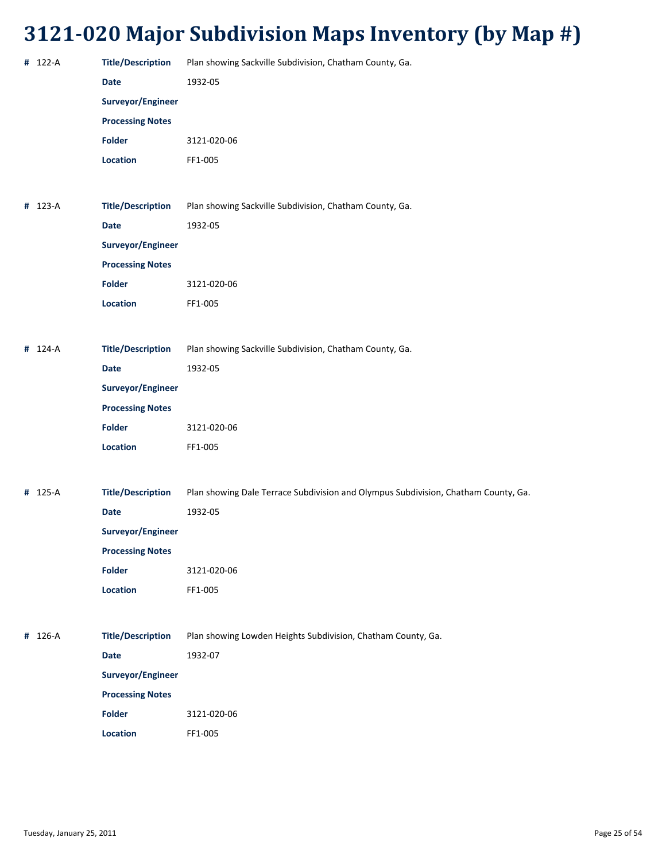| # 122-A | <b>Title/Description</b> | Plan showing Sackville Subdivision, Chatham County, Ga.                            |
|---------|--------------------------|------------------------------------------------------------------------------------|
|         | <b>Date</b>              | 1932-05                                                                            |
|         | Surveyor/Engineer        |                                                                                    |
|         | <b>Processing Notes</b>  |                                                                                    |
|         | <b>Folder</b>            | 3121-020-06                                                                        |
|         | Location                 | FF1-005                                                                            |
|         |                          |                                                                                    |
| # 123-A | <b>Title/Description</b> | Plan showing Sackville Subdivision, Chatham County, Ga.                            |
|         | <b>Date</b>              | 1932-05                                                                            |
|         | Surveyor/Engineer        |                                                                                    |
|         | <b>Processing Notes</b>  |                                                                                    |
|         | <b>Folder</b>            | 3121-020-06                                                                        |
|         | Location                 | FF1-005                                                                            |
|         |                          |                                                                                    |
| # 124-A | <b>Title/Description</b> | Plan showing Sackville Subdivision, Chatham County, Ga.                            |
|         | <b>Date</b>              | 1932-05                                                                            |
|         | Surveyor/Engineer        |                                                                                    |
|         | <b>Processing Notes</b>  |                                                                                    |
|         | <b>Folder</b>            | 3121-020-06                                                                        |
|         | Location                 | FF1-005                                                                            |
|         |                          |                                                                                    |
| # 125-A | <b>Title/Description</b> | Plan showing Dale Terrace Subdivision and Olympus Subdivision, Chatham County, Ga. |
|         | <b>Date</b>              | 1932-05                                                                            |
|         | Surveyor/Engineer        |                                                                                    |
|         | <b>Processing Notes</b>  |                                                                                    |
|         | <b>Folder</b>            | 3121-020-06                                                                        |
|         | Location                 | FF1-005                                                                            |
|         |                          |                                                                                    |
| # 126-A | <b>Title/Description</b> | Plan showing Lowden Heights Subdivision, Chatham County, Ga.                       |
|         | Date                     | 1932-07                                                                            |
|         | Surveyor/Engineer        |                                                                                    |
|         | <b>Processing Notes</b>  |                                                                                    |
|         | <b>Folder</b>            | 3121-020-06                                                                        |
|         | Location                 | FF1-005                                                                            |
|         |                          |                                                                                    |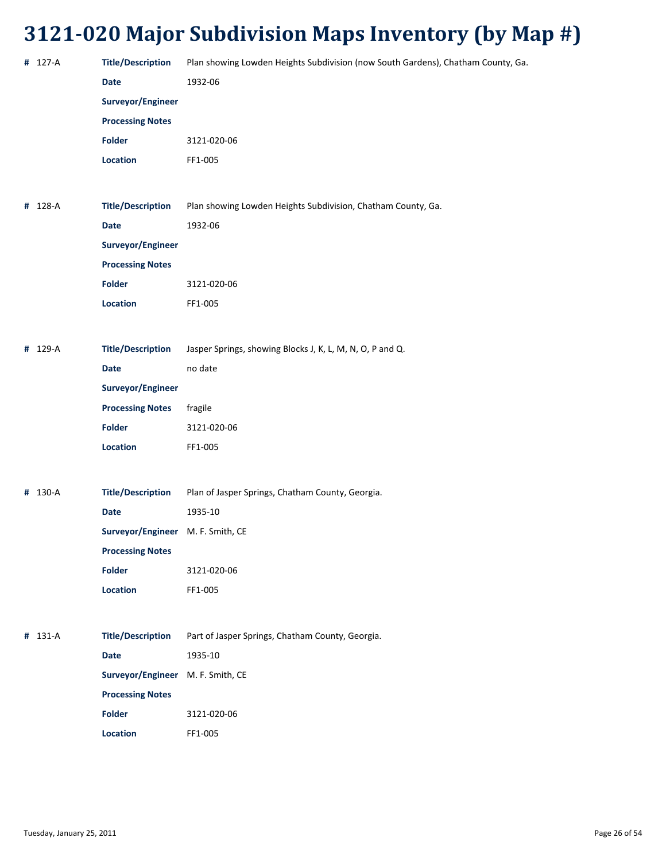| # 127-A | <b>Title/Description</b>          | Plan showing Lowden Heights Subdivision (now South Gardens), Chatham County, Ga. |
|---------|-----------------------------------|----------------------------------------------------------------------------------|
|         | <b>Date</b>                       | 1932-06                                                                          |
|         | Surveyor/Engineer                 |                                                                                  |
|         | <b>Processing Notes</b>           |                                                                                  |
|         | Folder                            | 3121-020-06                                                                      |
|         | <b>Location</b>                   | FF1-005                                                                          |
|         |                                   |                                                                                  |
| # 128-A | <b>Title/Description</b>          | Plan showing Lowden Heights Subdivision, Chatham County, Ga.                     |
|         | <b>Date</b>                       | 1932-06                                                                          |
|         | Surveyor/Engineer                 |                                                                                  |
|         | <b>Processing Notes</b>           |                                                                                  |
|         | <b>Folder</b>                     | 3121-020-06                                                                      |
|         | Location                          | FF1-005                                                                          |
|         |                                   |                                                                                  |
| # 129-A | <b>Title/Description</b>          | Jasper Springs, showing Blocks J, K, L, M, N, O, P and Q.                        |
|         | <b>Date</b>                       | no date                                                                          |
|         | Surveyor/Engineer                 |                                                                                  |
|         | <b>Processing Notes</b>           | fragile                                                                          |
|         | <b>Folder</b>                     | 3121-020-06                                                                      |
|         | Location                          | FF1-005                                                                          |
|         |                                   |                                                                                  |
| # 130-A | <b>Title/Description</b>          | Plan of Jasper Springs, Chatham County, Georgia.                                 |
|         | <b>Date</b>                       | 1935-10                                                                          |
|         | Surveyor/Engineer M. F. Smith, CE |                                                                                  |
|         | <b>Processing Notes</b>           |                                                                                  |
|         | <b>Folder</b>                     | 3121-020-06                                                                      |
|         | <b>Location</b>                   | FF1-005                                                                          |
|         |                                   |                                                                                  |
| # 131-A | <b>Title/Description</b>          | Part of Jasper Springs, Chatham County, Georgia.                                 |
|         | <b>Date</b>                       | 1935-10                                                                          |
|         | Surveyor/Engineer M. F. Smith, CE |                                                                                  |
|         | <b>Processing Notes</b>           |                                                                                  |
|         | <b>Folder</b>                     | 3121-020-06                                                                      |
|         | <b>Location</b>                   | FF1-005                                                                          |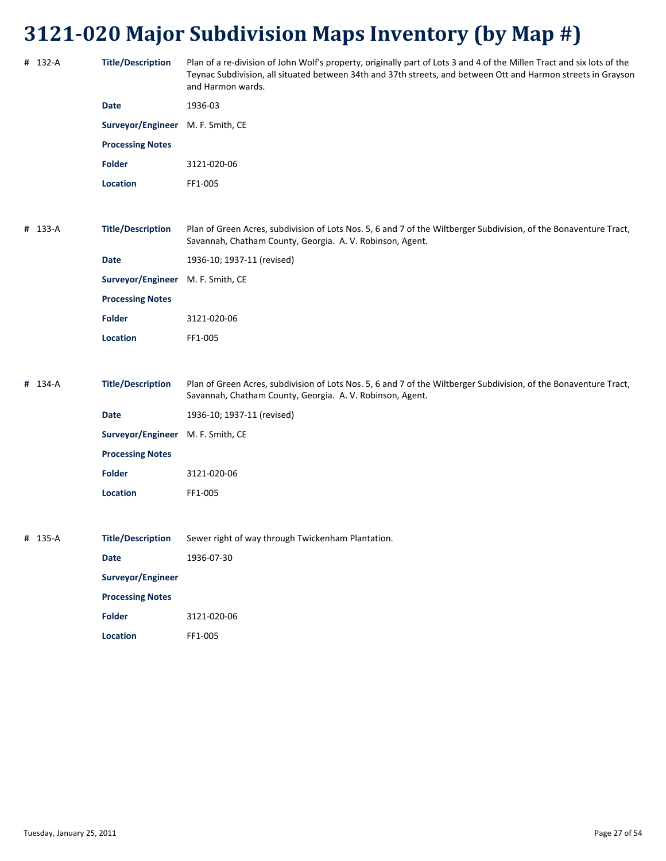| # 132-A | <b>Title/Description</b>          | Plan of a re-division of John Wolf's property, originally part of Lots 3 and 4 of the Millen Tract and six lots of the<br>Teynac Subdivision, all situated between 34th and 37th streets, and between Ott and Harmon streets in Grayson<br>and Harmon wards. |
|---------|-----------------------------------|--------------------------------------------------------------------------------------------------------------------------------------------------------------------------------------------------------------------------------------------------------------|
|         | <b>Date</b>                       | 1936-03                                                                                                                                                                                                                                                      |
|         | Surveyor/Engineer                 | M. F. Smith, CE                                                                                                                                                                                                                                              |
|         | <b>Processing Notes</b>           |                                                                                                                                                                                                                                                              |
|         | <b>Folder</b>                     | 3121-020-06                                                                                                                                                                                                                                                  |
|         | <b>Location</b>                   | FF1-005                                                                                                                                                                                                                                                      |
|         |                                   |                                                                                                                                                                                                                                                              |
| # 133-A | <b>Title/Description</b>          | Plan of Green Acres, subdivision of Lots Nos. 5, 6 and 7 of the Wiltberger Subdivision, of the Bonaventure Tract,<br>Savannah, Chatham County, Georgia. A. V. Robinson, Agent.                                                                               |
|         | <b>Date</b>                       | 1936-10; 1937-11 (revised)                                                                                                                                                                                                                                   |
|         | Surveyor/Engineer M. F. Smith, CE |                                                                                                                                                                                                                                                              |
|         | <b>Processing Notes</b>           |                                                                                                                                                                                                                                                              |
|         | <b>Folder</b>                     | 3121-020-06                                                                                                                                                                                                                                                  |
|         | Location                          | FF1-005                                                                                                                                                                                                                                                      |
|         |                                   |                                                                                                                                                                                                                                                              |
| # 134-A | <b>Title/Description</b>          | Plan of Green Acres, subdivision of Lots Nos. 5, 6 and 7 of the Wiltberger Subdivision, of the Bonaventure Tract,<br>Savannah, Chatham County, Georgia. A. V. Robinson, Agent.                                                                               |
|         | <b>Date</b>                       | 1936-10; 1937-11 (revised)                                                                                                                                                                                                                                   |
|         | Surveyor/Engineer                 | M. F. Smith, CE                                                                                                                                                                                                                                              |
|         | <b>Processing Notes</b>           |                                                                                                                                                                                                                                                              |
|         | <b>Folder</b>                     | 3121-020-06                                                                                                                                                                                                                                                  |
|         | <b>Location</b>                   | FF1-005                                                                                                                                                                                                                                                      |
|         |                                   |                                                                                                                                                                                                                                                              |
| # 135-A | <b>Title/Description</b>          | Sewer right of way through Twickenham Plantation.                                                                                                                                                                                                            |
|         | <b>Date</b>                       | 1936-07-30                                                                                                                                                                                                                                                   |
|         | Surveyor/Engineer                 |                                                                                                                                                                                                                                                              |
|         | <b>Processing Notes</b>           |                                                                                                                                                                                                                                                              |
|         | <b>Folder</b>                     | 3121-020-06                                                                                                                                                                                                                                                  |
|         | Location                          | FF1-005                                                                                                                                                                                                                                                      |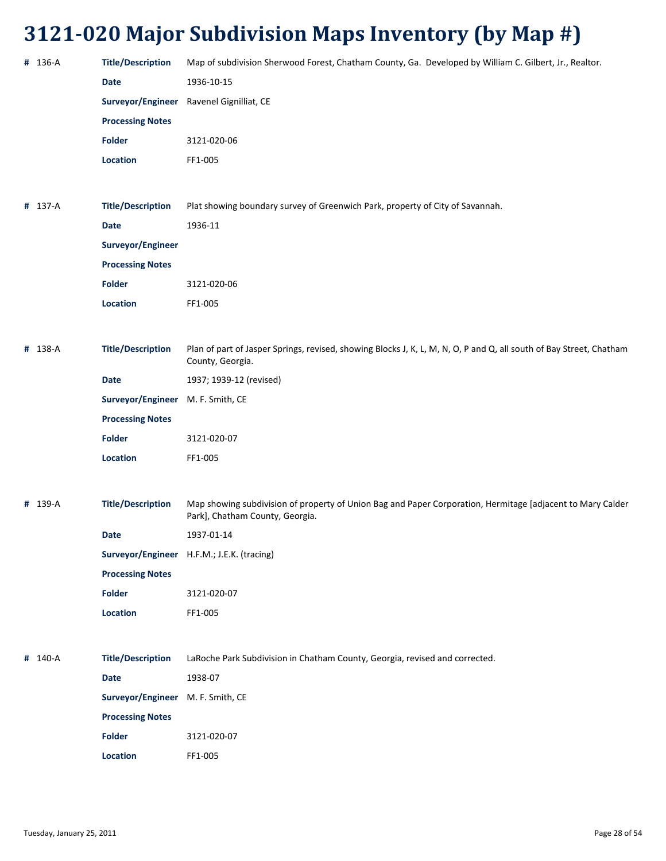| # 136-A | <b>Title/Description</b>          | Map of subdivision Sherwood Forest, Chatham County, Ga. Developed by William C. Gilbert, Jr., Realtor.                                        |
|---------|-----------------------------------|-----------------------------------------------------------------------------------------------------------------------------------------------|
|         | <b>Date</b>                       | 1936-10-15                                                                                                                                    |
|         |                                   | Surveyor/Engineer Ravenel Gignilliat, CE                                                                                                      |
|         | <b>Processing Notes</b>           |                                                                                                                                               |
|         | <b>Folder</b>                     | 3121-020-06                                                                                                                                   |
|         | Location                          | FF1-005                                                                                                                                       |
|         |                                   |                                                                                                                                               |
| # 137-A | <b>Title/Description</b>          | Plat showing boundary survey of Greenwich Park, property of City of Savannah.                                                                 |
|         | <b>Date</b>                       | 1936-11                                                                                                                                       |
|         | Surveyor/Engineer                 |                                                                                                                                               |
|         | <b>Processing Notes</b>           |                                                                                                                                               |
|         | <b>Folder</b>                     | 3121-020-06                                                                                                                                   |
|         | Location                          | FF1-005                                                                                                                                       |
|         |                                   |                                                                                                                                               |
| # 138-A | <b>Title/Description</b>          | Plan of part of Jasper Springs, revised, showing Blocks J, K, L, M, N, O, P and Q, all south of Bay Street, Chatham<br>County, Georgia.       |
|         | Date                              | 1937; 1939-12 (revised)                                                                                                                       |
|         | Surveyor/Engineer M. F. Smith, CE |                                                                                                                                               |
|         | <b>Processing Notes</b>           |                                                                                                                                               |
|         | <b>Folder</b>                     | 3121-020-07                                                                                                                                   |
|         | Location                          | FF1-005                                                                                                                                       |
|         |                                   |                                                                                                                                               |
| # 139-A | <b>Title/Description</b>          | Map showing subdivision of property of Union Bag and Paper Corporation, Hermitage [adjacent to Mary Calder<br>Park], Chatham County, Georgia. |
|         | Date                              | 1937-01-14                                                                                                                                    |
|         |                                   | Surveyor/Engineer H.F.M.; J.E.K. (tracing)                                                                                                    |
|         | <b>Processing Notes</b>           |                                                                                                                                               |
|         | <b>Folder</b>                     | 3121-020-07                                                                                                                                   |
|         | Location                          | FF1-005                                                                                                                                       |
|         |                                   |                                                                                                                                               |
| # 140-A | <b>Title/Description</b>          | LaRoche Park Subdivision in Chatham County, Georgia, revised and corrected.                                                                   |
|         | Date                              | 1938-07                                                                                                                                       |
|         | Surveyor/Engineer M. F. Smith, CE |                                                                                                                                               |
|         | <b>Processing Notes</b>           |                                                                                                                                               |
|         | <b>Folder</b>                     | 3121-020-07                                                                                                                                   |
|         | Location                          | FF1-005                                                                                                                                       |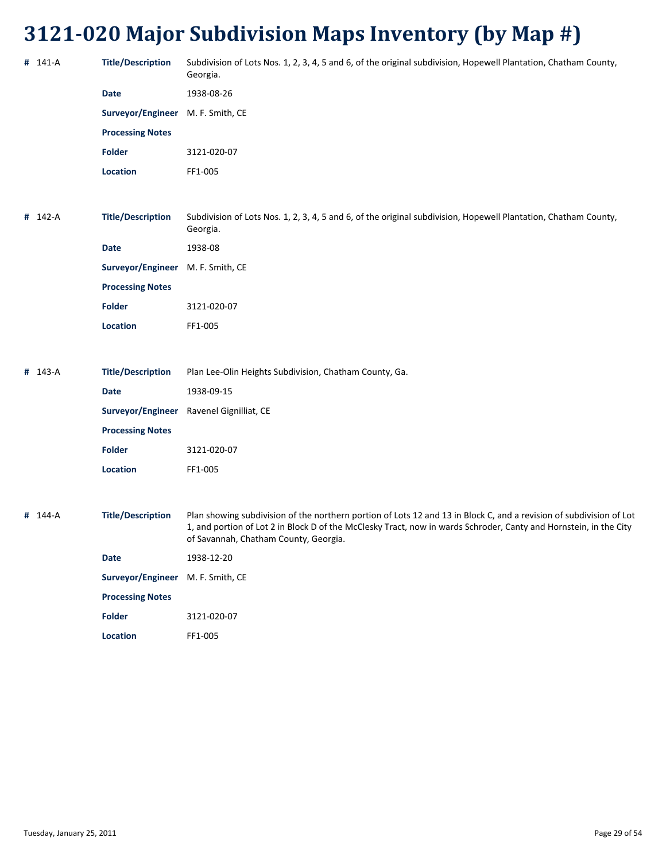| # 141-A | <b>Title/Description</b>          | Subdivision of Lots Nos. 1, 2, 3, 4, 5 and 6, of the original subdivision, Hopewell Plantation, Chatham County,<br>Georgia.                                                                                                                                                       |
|---------|-----------------------------------|-----------------------------------------------------------------------------------------------------------------------------------------------------------------------------------------------------------------------------------------------------------------------------------|
|         | <b>Date</b>                       | 1938-08-26                                                                                                                                                                                                                                                                        |
|         | Surveyor/Engineer M. F. Smith, CE |                                                                                                                                                                                                                                                                                   |
|         | <b>Processing Notes</b>           |                                                                                                                                                                                                                                                                                   |
|         | <b>Folder</b>                     | 3121-020-07                                                                                                                                                                                                                                                                       |
|         | <b>Location</b>                   | FF1-005                                                                                                                                                                                                                                                                           |
|         |                                   |                                                                                                                                                                                                                                                                                   |
| # 142-A | <b>Title/Description</b>          | Subdivision of Lots Nos. 1, 2, 3, 4, 5 and 6, of the original subdivision, Hopewell Plantation, Chatham County,<br>Georgia.                                                                                                                                                       |
|         | <b>Date</b>                       | 1938-08                                                                                                                                                                                                                                                                           |
|         | Surveyor/Engineer M. F. Smith, CE |                                                                                                                                                                                                                                                                                   |
|         | <b>Processing Notes</b>           |                                                                                                                                                                                                                                                                                   |
|         | <b>Folder</b>                     | 3121-020-07                                                                                                                                                                                                                                                                       |
|         | Location                          | FF1-005                                                                                                                                                                                                                                                                           |
|         |                                   |                                                                                                                                                                                                                                                                                   |
| # 143-A | <b>Title/Description</b>          | Plan Lee-Olin Heights Subdivision, Chatham County, Ga.                                                                                                                                                                                                                            |
|         | <b>Date</b>                       | 1938-09-15                                                                                                                                                                                                                                                                        |
|         |                                   | Surveyor/Engineer Ravenel Gignilliat, CE                                                                                                                                                                                                                                          |
|         | <b>Processing Notes</b>           |                                                                                                                                                                                                                                                                                   |
|         | <b>Folder</b>                     | 3121-020-07                                                                                                                                                                                                                                                                       |
|         | Location                          | FF1-005                                                                                                                                                                                                                                                                           |
|         |                                   |                                                                                                                                                                                                                                                                                   |
| # 144-A | <b>Title/Description</b>          | Plan showing subdivision of the northern portion of Lots 12 and 13 in Block C, and a revision of subdivision of Lot<br>1, and portion of Lot 2 in Block D of the McClesky Tract, now in wards Schroder, Canty and Hornstein, in the City<br>of Savannah, Chatham County, Georgia. |
|         | <b>Date</b>                       | 1938-12-20                                                                                                                                                                                                                                                                        |
|         | Surveyor/Engineer M. F. Smith, CE |                                                                                                                                                                                                                                                                                   |
|         | <b>Processing Notes</b>           |                                                                                                                                                                                                                                                                                   |
|         | Folder                            | 3121-020-07                                                                                                                                                                                                                                                                       |
|         | Location                          | FF1-005                                                                                                                                                                                                                                                                           |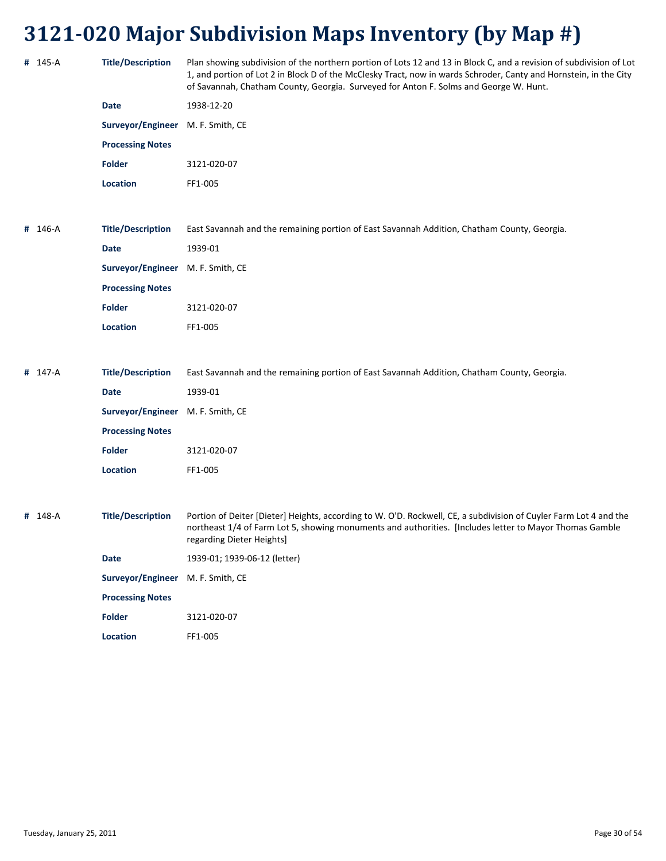|         |                                   | ----- <i>--</i> --                                                                                                                                                                                                                                                                                                                |
|---------|-----------------------------------|-----------------------------------------------------------------------------------------------------------------------------------------------------------------------------------------------------------------------------------------------------------------------------------------------------------------------------------|
| # 145-A | <b>Title/Description</b>          | Plan showing subdivision of the northern portion of Lots 12 and 13 in Block C, and a revision of subdivision of Lot<br>1, and portion of Lot 2 in Block D of the McClesky Tract, now in wards Schroder, Canty and Hornstein, in the City<br>of Savannah, Chatham County, Georgia. Surveyed for Anton F. Solms and George W. Hunt. |
|         | <b>Date</b>                       | 1938-12-20                                                                                                                                                                                                                                                                                                                        |
|         | Surveyor/Engineer M. F. Smith, CE |                                                                                                                                                                                                                                                                                                                                   |
|         | <b>Processing Notes</b>           |                                                                                                                                                                                                                                                                                                                                   |
|         | <b>Folder</b>                     | 3121-020-07                                                                                                                                                                                                                                                                                                                       |
|         | <b>Location</b>                   | FF1-005                                                                                                                                                                                                                                                                                                                           |
| # 146-A | <b>Title/Description</b>          | East Savannah and the remaining portion of East Savannah Addition, Chatham County, Georgia.                                                                                                                                                                                                                                       |
|         | <b>Date</b>                       | 1939-01                                                                                                                                                                                                                                                                                                                           |
|         | Surveyor/Engineer                 | M. F. Smith, CE                                                                                                                                                                                                                                                                                                                   |
|         | <b>Processing Notes</b>           |                                                                                                                                                                                                                                                                                                                                   |
|         | <b>Folder</b>                     | 3121-020-07                                                                                                                                                                                                                                                                                                                       |
|         | <b>Location</b>                   | FF1-005                                                                                                                                                                                                                                                                                                                           |
| # 147-A | <b>Title/Description</b>          | East Savannah and the remaining portion of East Savannah Addition, Chatham County, Georgia.                                                                                                                                                                                                                                       |
|         | <b>Date</b>                       | 1939-01                                                                                                                                                                                                                                                                                                                           |
|         | Surveyor/Engineer M. F. Smith, CE |                                                                                                                                                                                                                                                                                                                                   |
|         | <b>Processing Notes</b>           |                                                                                                                                                                                                                                                                                                                                   |
|         | <b>Folder</b>                     | 3121-020-07                                                                                                                                                                                                                                                                                                                       |
|         | <b>Location</b>                   | FF1-005                                                                                                                                                                                                                                                                                                                           |
| # 148-A | <b>Title/Description</b>          | Portion of Deiter [Dieter] Heights, according to W. O'D. Rockwell, CE, a subdivision of Cuyler Farm Lot 4 and the<br>northeast 1/4 of Farm Lot 5, showing monuments and authorities. [Includes letter to Mayor Thomas Gamble<br>regarding Dieter Heights]                                                                         |
|         | <b>Date</b>                       | 1939-01; 1939-06-12 (letter)                                                                                                                                                                                                                                                                                                      |
|         | Surveyor/Engineer M. F. Smith, CE |                                                                                                                                                                                                                                                                                                                                   |
|         | <b>Processing Notes</b>           |                                                                                                                                                                                                                                                                                                                                   |
|         |                                   |                                                                                                                                                                                                                                                                                                                                   |

**Location** FF1‐005

**Folder** 3121‐020‐07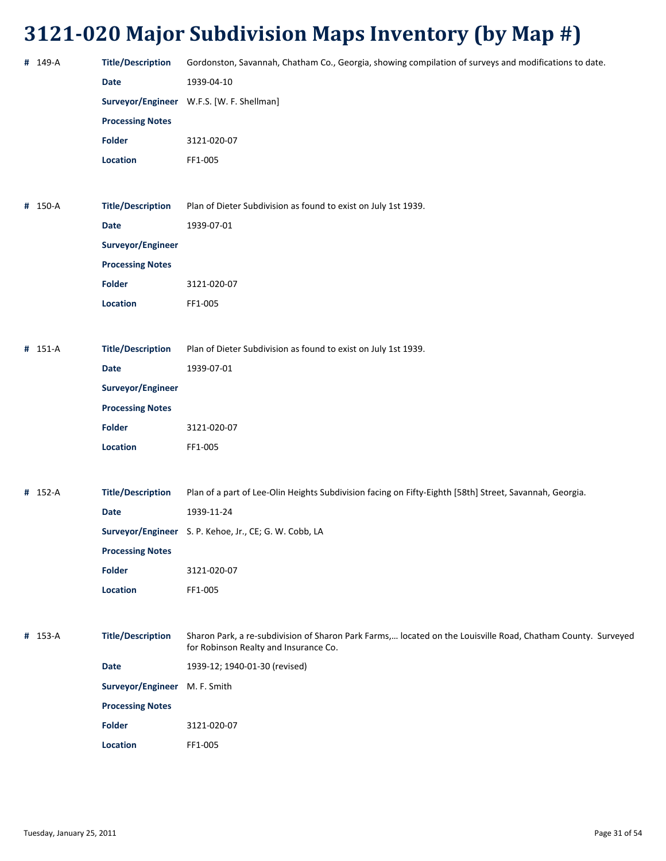| # 149-A | <b>Title/Description</b>      | Gordonston, Savannah, Chatham Co., Georgia, showing compilation of surveys and modifications to date.                                                 |
|---------|-------------------------------|-------------------------------------------------------------------------------------------------------------------------------------------------------|
|         | <b>Date</b>                   | 1939-04-10                                                                                                                                            |
|         |                               | Surveyor/Engineer W.F.S. [W. F. Shellman]                                                                                                             |
|         | <b>Processing Notes</b>       |                                                                                                                                                       |
|         | Folder                        | 3121-020-07                                                                                                                                           |
|         | Location                      | FF1-005                                                                                                                                               |
|         |                               |                                                                                                                                                       |
| # 150-A | <b>Title/Description</b>      | Plan of Dieter Subdivision as found to exist on July 1st 1939.                                                                                        |
|         | Date                          | 1939-07-01                                                                                                                                            |
|         | Surveyor/Engineer             |                                                                                                                                                       |
|         | <b>Processing Notes</b>       |                                                                                                                                                       |
|         | <b>Folder</b>                 | 3121-020-07                                                                                                                                           |
|         | Location                      | FF1-005                                                                                                                                               |
|         |                               |                                                                                                                                                       |
| # 151-A | <b>Title/Description</b>      | Plan of Dieter Subdivision as found to exist on July 1st 1939.                                                                                        |
|         | Date                          | 1939-07-01                                                                                                                                            |
|         | Surveyor/Engineer             |                                                                                                                                                       |
|         | <b>Processing Notes</b>       |                                                                                                                                                       |
|         | Folder                        | 3121-020-07                                                                                                                                           |
|         | Location                      | FF1-005                                                                                                                                               |
|         |                               |                                                                                                                                                       |
| # 152-A | <b>Title/Description</b>      | Plan of a part of Lee-Olin Heights Subdivision facing on Fifty-Eighth [58th] Street, Savannah, Georgia.                                               |
|         | Date                          | 1939-11-24                                                                                                                                            |
|         |                               | Surveyor/Engineer S. P. Kehoe, Jr., CE; G. W. Cobb, LA                                                                                                |
|         | <b>Processing Notes</b>       |                                                                                                                                                       |
|         | Folder                        | 3121-020-07                                                                                                                                           |
|         | <b>Location</b>               | FF1-005                                                                                                                                               |
|         |                               |                                                                                                                                                       |
| # 153-A | <b>Title/Description</b>      | Sharon Park, a re-subdivision of Sharon Park Farms, located on the Louisville Road, Chatham County. Surveyed<br>for Robinson Realty and Insurance Co. |
|         | <b>Date</b>                   | 1939-12; 1940-01-30 (revised)                                                                                                                         |
|         | Surveyor/Engineer M. F. Smith |                                                                                                                                                       |
|         | <b>Processing Notes</b>       |                                                                                                                                                       |
|         | <b>Folder</b>                 | 3121-020-07                                                                                                                                           |
|         | Location                      | FF1-005                                                                                                                                               |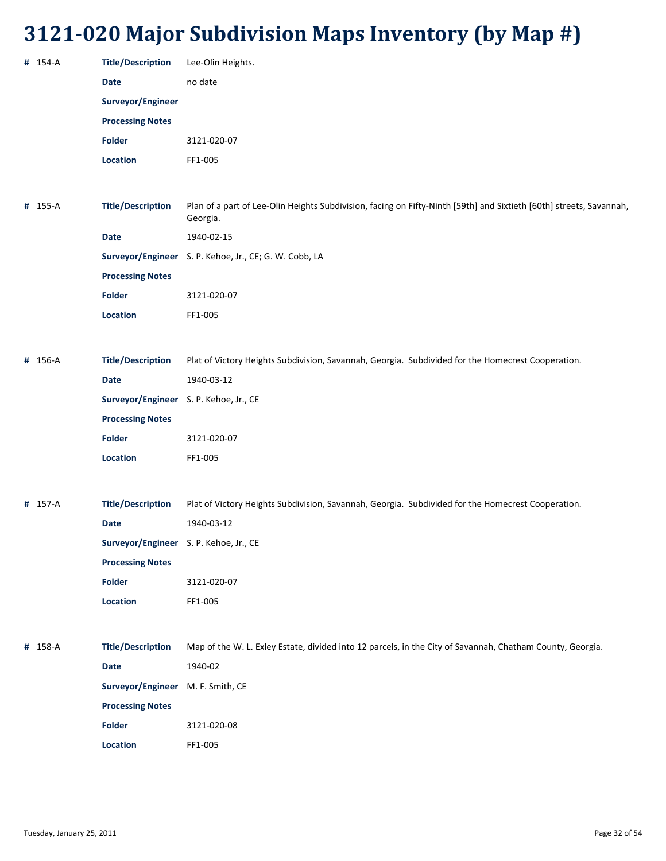| no date<br><b>Date</b><br>Surveyor/Engineer<br><b>Processing Notes</b><br><b>Folder</b><br>3121-020-07<br>Location<br>FF1-005<br><b>Title/Description</b><br># 155-A<br>Georgia.<br><b>Date</b><br>1940-02-15<br>Surveyor/Engineer S. P. Kehoe, Jr., CE; G. W. Cobb, LA<br><b>Processing Notes</b><br><b>Folder</b><br>3121-020-07<br>Location<br>FF1-005<br># 156-A<br><b>Title/Description</b><br>Plat of Victory Heights Subdivision, Savannah, Georgia. Subdivided for the Homecrest Cooperation.<br><b>Date</b><br>1940-03-12<br>Surveyor/Engineer S. P. Kehoe, Jr., CE<br><b>Processing Notes</b><br><b>Folder</b><br>3121-020-07<br>Location<br>FF1-005<br><b>Title/Description</b><br>Plat of Victory Heights Subdivision, Savannah, Georgia. Subdivided for the Homecrest Cooperation.<br># 157-A<br>1940-03-12<br><b>Date</b><br>Surveyor/Engineer S. P. Kehoe, Jr., CE<br><b>Processing Notes</b><br><b>Folder</b><br>3121-020-07 | Plan of a part of Lee-Olin Heights Subdivision, facing on Fifty-Ninth [59th] and Sixtieth [60th] streets, Savannah,<br>Location<br>FF1-005<br><b>Title/Description</b><br>Map of the W. L. Exley Estate, divided into 12 parcels, in the City of Savannah, Chatham County, Georgia.<br>1940-02<br>Date<br>Surveyor/Engineer M. F. Smith, CE<br><b>Processing Notes</b> | # 154-A | <b>Title/Description</b> | Lee-Olin Heights. |
|----------------------------------------------------------------------------------------------------------------------------------------------------------------------------------------------------------------------------------------------------------------------------------------------------------------------------------------------------------------------------------------------------------------------------------------------------------------------------------------------------------------------------------------------------------------------------------------------------------------------------------------------------------------------------------------------------------------------------------------------------------------------------------------------------------------------------------------------------------------------------------------------------------------------------------------------|------------------------------------------------------------------------------------------------------------------------------------------------------------------------------------------------------------------------------------------------------------------------------------------------------------------------------------------------------------------------|---------|--------------------------|-------------------|
|                                                                                                                                                                                                                                                                                                                                                                                                                                                                                                                                                                                                                                                                                                                                                                                                                                                                                                                                              |                                                                                                                                                                                                                                                                                                                                                                        |         |                          |                   |
|                                                                                                                                                                                                                                                                                                                                                                                                                                                                                                                                                                                                                                                                                                                                                                                                                                                                                                                                              |                                                                                                                                                                                                                                                                                                                                                                        |         |                          |                   |
|                                                                                                                                                                                                                                                                                                                                                                                                                                                                                                                                                                                                                                                                                                                                                                                                                                                                                                                                              |                                                                                                                                                                                                                                                                                                                                                                        |         |                          |                   |
|                                                                                                                                                                                                                                                                                                                                                                                                                                                                                                                                                                                                                                                                                                                                                                                                                                                                                                                                              |                                                                                                                                                                                                                                                                                                                                                                        |         |                          |                   |
|                                                                                                                                                                                                                                                                                                                                                                                                                                                                                                                                                                                                                                                                                                                                                                                                                                                                                                                                              |                                                                                                                                                                                                                                                                                                                                                                        |         |                          |                   |
|                                                                                                                                                                                                                                                                                                                                                                                                                                                                                                                                                                                                                                                                                                                                                                                                                                                                                                                                              |                                                                                                                                                                                                                                                                                                                                                                        |         |                          |                   |
|                                                                                                                                                                                                                                                                                                                                                                                                                                                                                                                                                                                                                                                                                                                                                                                                                                                                                                                                              |                                                                                                                                                                                                                                                                                                                                                                        |         |                          |                   |
|                                                                                                                                                                                                                                                                                                                                                                                                                                                                                                                                                                                                                                                                                                                                                                                                                                                                                                                                              |                                                                                                                                                                                                                                                                                                                                                                        |         |                          |                   |
|                                                                                                                                                                                                                                                                                                                                                                                                                                                                                                                                                                                                                                                                                                                                                                                                                                                                                                                                              |                                                                                                                                                                                                                                                                                                                                                                        |         |                          |                   |
|                                                                                                                                                                                                                                                                                                                                                                                                                                                                                                                                                                                                                                                                                                                                                                                                                                                                                                                                              |                                                                                                                                                                                                                                                                                                                                                                        |         |                          |                   |
|                                                                                                                                                                                                                                                                                                                                                                                                                                                                                                                                                                                                                                                                                                                                                                                                                                                                                                                                              |                                                                                                                                                                                                                                                                                                                                                                        |         |                          |                   |
|                                                                                                                                                                                                                                                                                                                                                                                                                                                                                                                                                                                                                                                                                                                                                                                                                                                                                                                                              |                                                                                                                                                                                                                                                                                                                                                                        |         |                          |                   |
|                                                                                                                                                                                                                                                                                                                                                                                                                                                                                                                                                                                                                                                                                                                                                                                                                                                                                                                                              |                                                                                                                                                                                                                                                                                                                                                                        |         |                          |                   |
|                                                                                                                                                                                                                                                                                                                                                                                                                                                                                                                                                                                                                                                                                                                                                                                                                                                                                                                                              |                                                                                                                                                                                                                                                                                                                                                                        |         |                          |                   |
|                                                                                                                                                                                                                                                                                                                                                                                                                                                                                                                                                                                                                                                                                                                                                                                                                                                                                                                                              |                                                                                                                                                                                                                                                                                                                                                                        |         |                          |                   |
|                                                                                                                                                                                                                                                                                                                                                                                                                                                                                                                                                                                                                                                                                                                                                                                                                                                                                                                                              |                                                                                                                                                                                                                                                                                                                                                                        |         |                          |                   |
|                                                                                                                                                                                                                                                                                                                                                                                                                                                                                                                                                                                                                                                                                                                                                                                                                                                                                                                                              |                                                                                                                                                                                                                                                                                                                                                                        |         |                          |                   |
|                                                                                                                                                                                                                                                                                                                                                                                                                                                                                                                                                                                                                                                                                                                                                                                                                                                                                                                                              |                                                                                                                                                                                                                                                                                                                                                                        |         |                          |                   |
|                                                                                                                                                                                                                                                                                                                                                                                                                                                                                                                                                                                                                                                                                                                                                                                                                                                                                                                                              |                                                                                                                                                                                                                                                                                                                                                                        |         |                          |                   |
|                                                                                                                                                                                                                                                                                                                                                                                                                                                                                                                                                                                                                                                                                                                                                                                                                                                                                                                                              |                                                                                                                                                                                                                                                                                                                                                                        |         |                          |                   |
|                                                                                                                                                                                                                                                                                                                                                                                                                                                                                                                                                                                                                                                                                                                                                                                                                                                                                                                                              |                                                                                                                                                                                                                                                                                                                                                                        |         |                          |                   |
|                                                                                                                                                                                                                                                                                                                                                                                                                                                                                                                                                                                                                                                                                                                                                                                                                                                                                                                                              |                                                                                                                                                                                                                                                                                                                                                                        |         |                          |                   |
|                                                                                                                                                                                                                                                                                                                                                                                                                                                                                                                                                                                                                                                                                                                                                                                                                                                                                                                                              |                                                                                                                                                                                                                                                                                                                                                                        |         |                          |                   |
|                                                                                                                                                                                                                                                                                                                                                                                                                                                                                                                                                                                                                                                                                                                                                                                                                                                                                                                                              |                                                                                                                                                                                                                                                                                                                                                                        |         |                          |                   |
|                                                                                                                                                                                                                                                                                                                                                                                                                                                                                                                                                                                                                                                                                                                                                                                                                                                                                                                                              |                                                                                                                                                                                                                                                                                                                                                                        |         |                          |                   |
|                                                                                                                                                                                                                                                                                                                                                                                                                                                                                                                                                                                                                                                                                                                                                                                                                                                                                                                                              |                                                                                                                                                                                                                                                                                                                                                                        |         |                          |                   |
|                                                                                                                                                                                                                                                                                                                                                                                                                                                                                                                                                                                                                                                                                                                                                                                                                                                                                                                                              |                                                                                                                                                                                                                                                                                                                                                                        |         |                          |                   |
| # 158-A                                                                                                                                                                                                                                                                                                                                                                                                                                                                                                                                                                                                                                                                                                                                                                                                                                                                                                                                      |                                                                                                                                                                                                                                                                                                                                                                        |         |                          |                   |
|                                                                                                                                                                                                                                                                                                                                                                                                                                                                                                                                                                                                                                                                                                                                                                                                                                                                                                                                              |                                                                                                                                                                                                                                                                                                                                                                        |         |                          |                   |
|                                                                                                                                                                                                                                                                                                                                                                                                                                                                                                                                                                                                                                                                                                                                                                                                                                                                                                                                              |                                                                                                                                                                                                                                                                                                                                                                        |         |                          |                   |
|                                                                                                                                                                                                                                                                                                                                                                                                                                                                                                                                                                                                                                                                                                                                                                                                                                                                                                                                              |                                                                                                                                                                                                                                                                                                                                                                        |         |                          |                   |
| <b>Folder</b><br>3121-020-08                                                                                                                                                                                                                                                                                                                                                                                                                                                                                                                                                                                                                                                                                                                                                                                                                                                                                                                 |                                                                                                                                                                                                                                                                                                                                                                        |         |                          |                   |
|                                                                                                                                                                                                                                                                                                                                                                                                                                                                                                                                                                                                                                                                                                                                                                                                                                                                                                                                              | Location<br>FF1-005                                                                                                                                                                                                                                                                                                                                                    |         |                          |                   |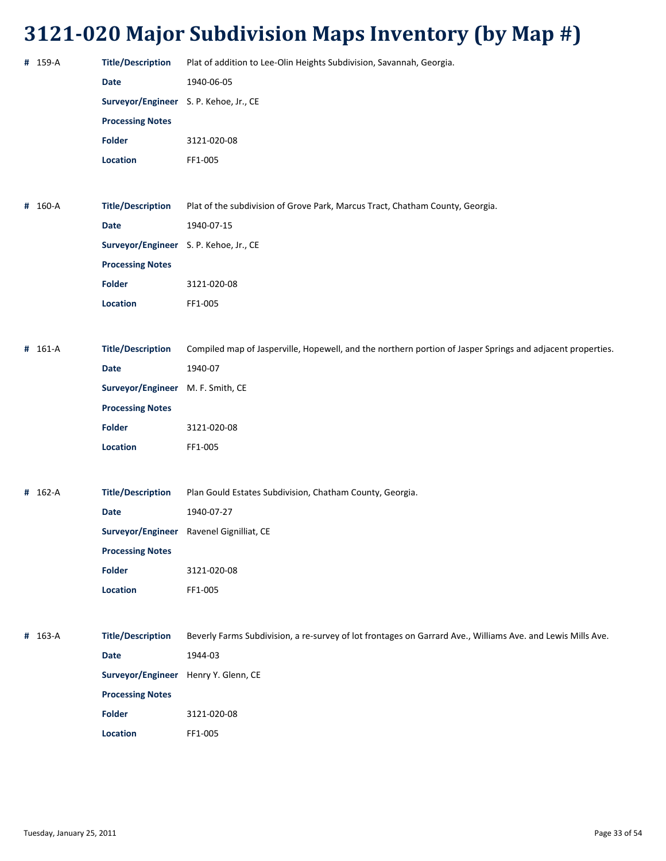| # 159-A | <b>Title/Description</b>               | Plat of addition to Lee-Olin Heights Subdivision, Savannah, Georgia.                                        |
|---------|----------------------------------------|-------------------------------------------------------------------------------------------------------------|
|         | <b>Date</b>                            | 1940-06-05                                                                                                  |
|         | Surveyor/Engineer S. P. Kehoe, Jr., CE |                                                                                                             |
|         | <b>Processing Notes</b>                |                                                                                                             |
|         | Folder                                 | 3121-020-08                                                                                                 |
|         | Location                               | FF1-005                                                                                                     |
|         |                                        |                                                                                                             |
| # 160-A | <b>Title/Description</b>               | Plat of the subdivision of Grove Park, Marcus Tract, Chatham County, Georgia.                               |
|         | <b>Date</b>                            | 1940-07-15                                                                                                  |
|         | Surveyor/Engineer S. P. Kehoe, Jr., CE |                                                                                                             |
|         | <b>Processing Notes</b>                |                                                                                                             |
|         | Folder                                 | 3121-020-08                                                                                                 |
|         | Location                               | FF1-005                                                                                                     |
|         |                                        |                                                                                                             |
| # 161-A | <b>Title/Description</b>               | Compiled map of Jasperville, Hopewell, and the northern portion of Jasper Springs and adjacent properties.  |
|         | <b>Date</b>                            | 1940-07                                                                                                     |
|         | Surveyor/Engineer                      | M. F. Smith, CE                                                                                             |
|         | <b>Processing Notes</b>                |                                                                                                             |
|         | Folder                                 | 3121-020-08                                                                                                 |
|         | Location                               | FF1-005                                                                                                     |
|         |                                        |                                                                                                             |
| # 162-A | <b>Title/Description</b>               | Plan Gould Estates Subdivision, Chatham County, Georgia.                                                    |
|         | <b>Date</b>                            | 1940-07-27                                                                                                  |
|         |                                        | Surveyor/Engineer Ravenel Gignilliat, CE                                                                    |
|         | <b>Processing Notes</b>                |                                                                                                             |
|         | <b>Folder</b>                          | 3121-020-08                                                                                                 |
|         | Location                               | FF1-005                                                                                                     |
|         |                                        |                                                                                                             |
| # 163-A | <b>Title/Description</b>               | Beverly Farms Subdivision, a re-survey of lot frontages on Garrard Ave., Williams Ave. and Lewis Mills Ave. |
|         | <b>Date</b>                            | 1944-03                                                                                                     |
|         | Surveyor/Engineer                      | Henry Y. Glenn, CE                                                                                          |
|         | <b>Processing Notes</b>                |                                                                                                             |
|         | <b>Folder</b>                          | 3121-020-08                                                                                                 |
|         | Location                               | FF1-005                                                                                                     |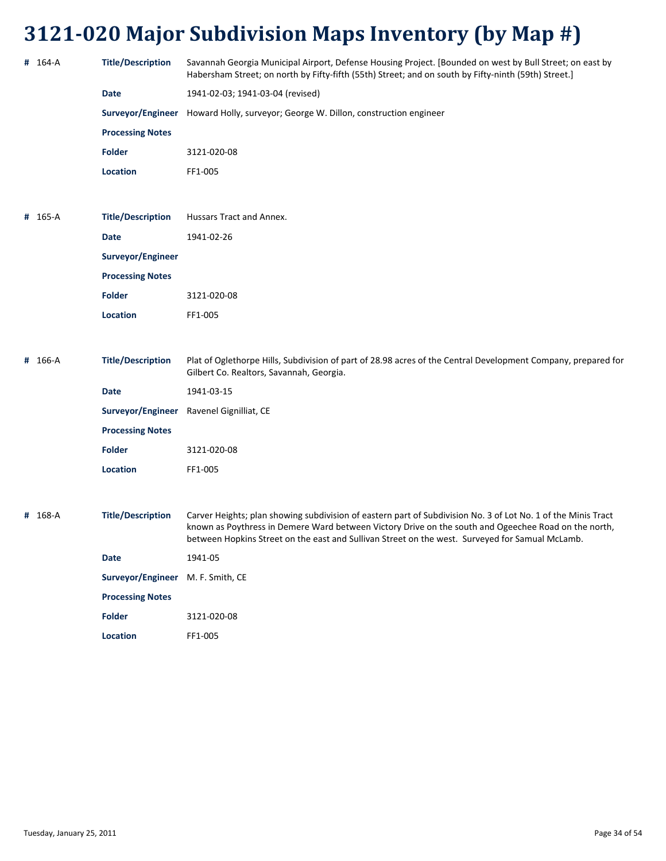| # 164-A | <b>Title/Description</b>          | Savannah Georgia Municipal Airport, Defense Housing Project. [Bounded on west by Bull Street; on east by<br>Habersham Street; on north by Fifty-fifth (55th) Street; and on south by Fifty-ninth (59th) Street.]                                                                                                         |
|---------|-----------------------------------|--------------------------------------------------------------------------------------------------------------------------------------------------------------------------------------------------------------------------------------------------------------------------------------------------------------------------|
|         | Date                              | 1941-02-03; 1941-03-04 (revised)                                                                                                                                                                                                                                                                                         |
|         | Surveyor/Engineer                 | Howard Holly, surveyor; George W. Dillon, construction engineer                                                                                                                                                                                                                                                          |
|         | <b>Processing Notes</b>           |                                                                                                                                                                                                                                                                                                                          |
|         | <b>Folder</b>                     | 3121-020-08                                                                                                                                                                                                                                                                                                              |
|         | Location                          | FF1-005                                                                                                                                                                                                                                                                                                                  |
|         |                                   |                                                                                                                                                                                                                                                                                                                          |
| # 165-A | <b>Title/Description</b>          | Hussars Tract and Annex.                                                                                                                                                                                                                                                                                                 |
|         | Date                              | 1941-02-26                                                                                                                                                                                                                                                                                                               |
|         | Surveyor/Engineer                 |                                                                                                                                                                                                                                                                                                                          |
|         | <b>Processing Notes</b>           |                                                                                                                                                                                                                                                                                                                          |
|         | <b>Folder</b>                     | 3121-020-08                                                                                                                                                                                                                                                                                                              |
|         | <b>Location</b>                   | FF1-005                                                                                                                                                                                                                                                                                                                  |
|         |                                   |                                                                                                                                                                                                                                                                                                                          |
| # 166-A | <b>Title/Description</b>          | Plat of Oglethorpe Hills, Subdivision of part of 28.98 acres of the Central Development Company, prepared for<br>Gilbert Co. Realtors, Savannah, Georgia.                                                                                                                                                                |
|         | Date                              | 1941-03-15                                                                                                                                                                                                                                                                                                               |
|         | Surveyor/Engineer                 | Ravenel Gignilliat, CE                                                                                                                                                                                                                                                                                                   |
|         | <b>Processing Notes</b>           |                                                                                                                                                                                                                                                                                                                          |
|         | <b>Folder</b>                     | 3121-020-08                                                                                                                                                                                                                                                                                                              |
|         | <b>Location</b>                   | FF1-005                                                                                                                                                                                                                                                                                                                  |
|         |                                   |                                                                                                                                                                                                                                                                                                                          |
| # 168-A | <b>Title/Description</b>          | Carver Heights; plan showing subdivision of eastern part of Subdivision No. 3 of Lot No. 1 of the Minis Tract<br>known as Poythress in Demere Ward between Victory Drive on the south and Ogeechee Road on the north,<br>between Hopkins Street on the east and Sullivan Street on the west. Surveyed for Samual McLamb. |
|         | Date                              | 1941-05                                                                                                                                                                                                                                                                                                                  |
|         | Surveyor/Engineer M. F. Smith, CE |                                                                                                                                                                                                                                                                                                                          |
|         | <b>Processing Notes</b>           |                                                                                                                                                                                                                                                                                                                          |
|         | <b>Folder</b>                     | 3121-020-08                                                                                                                                                                                                                                                                                                              |
|         | Location                          | FF1-005                                                                                                                                                                                                                                                                                                                  |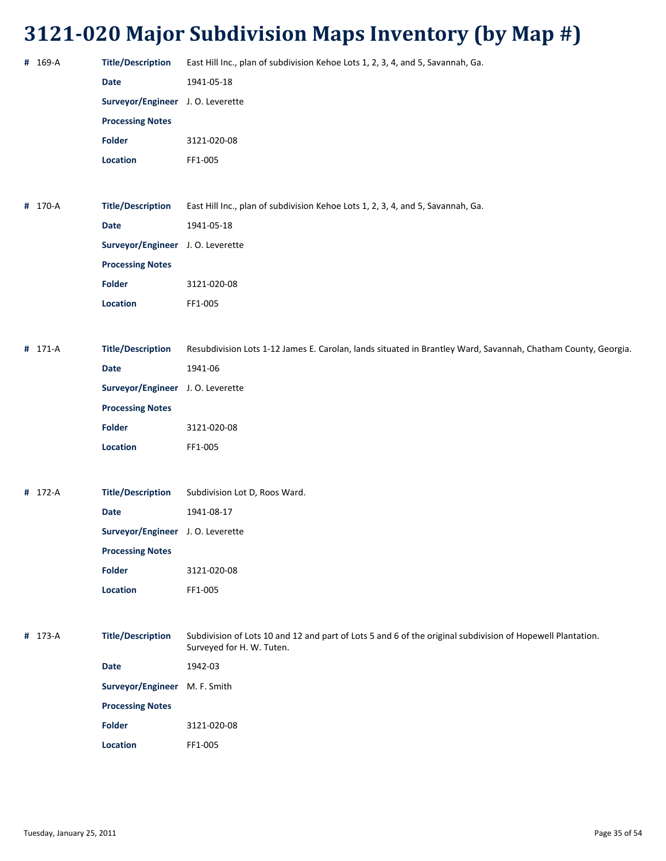| # 169-A | <b>Title/Description</b>          | East Hill Inc., plan of subdivision Kehoe Lots 1, 2, 3, 4, and 5, Savannah, Ga.                                                         |
|---------|-----------------------------------|-----------------------------------------------------------------------------------------------------------------------------------------|
|         | <b>Date</b>                       | 1941-05-18                                                                                                                              |
|         | Surveyor/Engineer J.O. Leverette  |                                                                                                                                         |
|         | <b>Processing Notes</b>           |                                                                                                                                         |
|         | <b>Folder</b>                     | 3121-020-08                                                                                                                             |
|         | Location                          | FF1-005                                                                                                                                 |
|         |                                   |                                                                                                                                         |
| # 170-A | <b>Title/Description</b>          | East Hill Inc., plan of subdivision Kehoe Lots 1, 2, 3, 4, and 5, Savannah, Ga.                                                         |
|         | <b>Date</b>                       | 1941-05-18                                                                                                                              |
|         | Surveyor/Engineer J.O. Leverette  |                                                                                                                                         |
|         | <b>Processing Notes</b>           |                                                                                                                                         |
|         | <b>Folder</b>                     | 3121-020-08                                                                                                                             |
|         | Location                          | FF1-005                                                                                                                                 |
|         |                                   |                                                                                                                                         |
| # 171-A | <b>Title/Description</b>          | Resubdivision Lots 1-12 James E. Carolan, lands situated in Brantley Ward, Savannah, Chatham County, Georgia.                           |
|         | Date                              | 1941-06                                                                                                                                 |
|         | Surveyor/Engineer J. O. Leverette |                                                                                                                                         |
|         | <b>Processing Notes</b>           |                                                                                                                                         |
|         | <b>Folder</b>                     | 3121-020-08                                                                                                                             |
|         | Location                          | FF1-005                                                                                                                                 |
|         |                                   |                                                                                                                                         |
| # 172-A | <b>Title/Description</b>          | Subdivision Lot D, Roos Ward.                                                                                                           |
|         | <b>Date</b>                       | 1941-08-17                                                                                                                              |
|         | Surveyor/Engineer J. O. Leverette |                                                                                                                                         |
|         | <b>Processing Notes</b>           |                                                                                                                                         |
|         | <b>Folder</b>                     | 3121-020-08                                                                                                                             |
|         | Location                          | FF1-005                                                                                                                                 |
|         |                                   |                                                                                                                                         |
| # 173-A | <b>Title/Description</b>          | Subdivision of Lots 10 and 12 and part of Lots 5 and 6 of the original subdivision of Hopewell Plantation.<br>Surveyed for H. W. Tuten. |
|         | <b>Date</b>                       | 1942-03                                                                                                                                 |
|         | Surveyor/Engineer M. F. Smith     |                                                                                                                                         |
|         | <b>Processing Notes</b>           |                                                                                                                                         |
|         | <b>Folder</b>                     | 3121-020-08                                                                                                                             |
|         | Location                          | FF1-005                                                                                                                                 |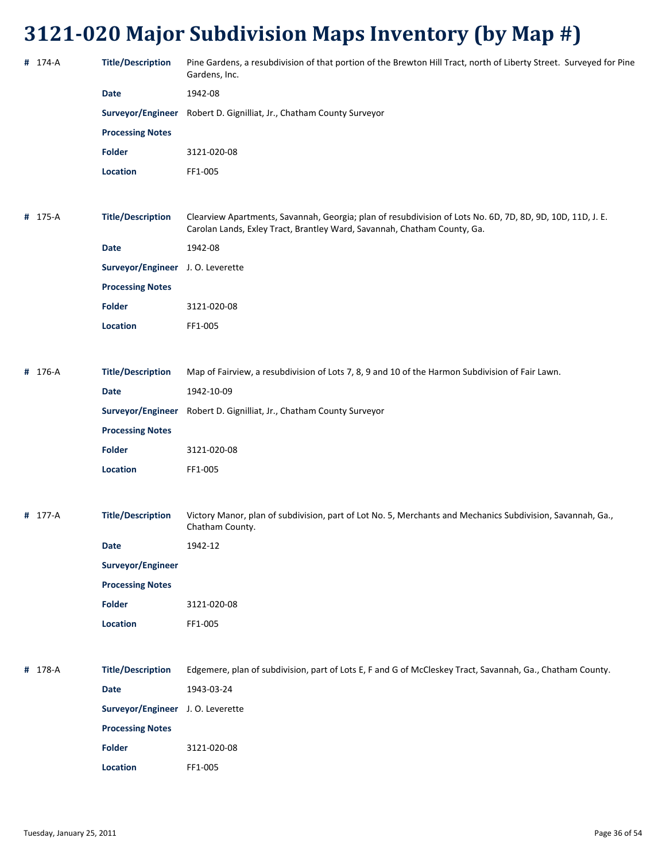| # 174-A | <b>Title/Description</b>          | Pine Gardens, a resubdivision of that portion of the Brewton Hill Tract, north of Liberty Street. Surveyed for Pine<br>Gardens, Inc.                                                   |
|---------|-----------------------------------|----------------------------------------------------------------------------------------------------------------------------------------------------------------------------------------|
|         | <b>Date</b>                       | 1942-08                                                                                                                                                                                |
|         |                                   | Surveyor/Engineer Robert D. Gignilliat, Jr., Chatham County Surveyor                                                                                                                   |
|         | <b>Processing Notes</b>           |                                                                                                                                                                                        |
|         | <b>Folder</b>                     | 3121-020-08                                                                                                                                                                            |
|         | Location                          | FF1-005                                                                                                                                                                                |
|         |                                   |                                                                                                                                                                                        |
| # 175-A | <b>Title/Description</b>          | Clearview Apartments, Savannah, Georgia; plan of resubdivision of Lots No. 6D, 7D, 8D, 9D, 10D, 11D, J. E.<br>Carolan Lands, Exley Tract, Brantley Ward, Savannah, Chatham County, Ga. |
|         | <b>Date</b>                       | 1942-08                                                                                                                                                                                |
|         | Surveyor/Engineer J. O. Leverette |                                                                                                                                                                                        |
|         | <b>Processing Notes</b>           |                                                                                                                                                                                        |
|         | <b>Folder</b>                     | 3121-020-08                                                                                                                                                                            |
|         | Location                          | FF1-005                                                                                                                                                                                |
|         |                                   |                                                                                                                                                                                        |
| # 176-A | <b>Title/Description</b>          | Map of Fairview, a resubdivision of Lots 7, 8, 9 and 10 of the Harmon Subdivision of Fair Lawn.                                                                                        |
|         | <b>Date</b>                       | 1942-10-09                                                                                                                                                                             |
|         |                                   | Surveyor/Engineer Robert D. Gignilliat, Jr., Chatham County Surveyor                                                                                                                   |
|         | <b>Processing Notes</b>           |                                                                                                                                                                                        |
|         | <b>Folder</b>                     | 3121-020-08                                                                                                                                                                            |
|         | Location                          | FF1-005                                                                                                                                                                                |
|         |                                   |                                                                                                                                                                                        |
| # 177-A | <b>Title/Description</b>          | Victory Manor, plan of subdivision, part of Lot No. 5, Merchants and Mechanics Subdivision, Savannah, Ga.,<br>Chatham County.                                                          |
|         | <b>Date</b>                       | 1942-12                                                                                                                                                                                |
|         | Surveyor/Engineer                 |                                                                                                                                                                                        |
|         | <b>Processing Notes</b>           |                                                                                                                                                                                        |
|         | <b>Folder</b>                     | 3121-020-08                                                                                                                                                                            |
|         | Location                          | FF1-005                                                                                                                                                                                |
|         |                                   |                                                                                                                                                                                        |
| # 178-A | <b>Title/Description</b>          | Edgemere, plan of subdivision, part of Lots E, F and G of McCleskey Tract, Savannah, Ga., Chatham County.                                                                              |
|         | <b>Date</b>                       | 1943-03-24                                                                                                                                                                             |
|         | Surveyor/Engineer J. O. Leverette |                                                                                                                                                                                        |
|         | <b>Processing Notes</b>           |                                                                                                                                                                                        |
|         | Folder                            | 3121-020-08                                                                                                                                                                            |
|         | Location                          | FF1-005                                                                                                                                                                                |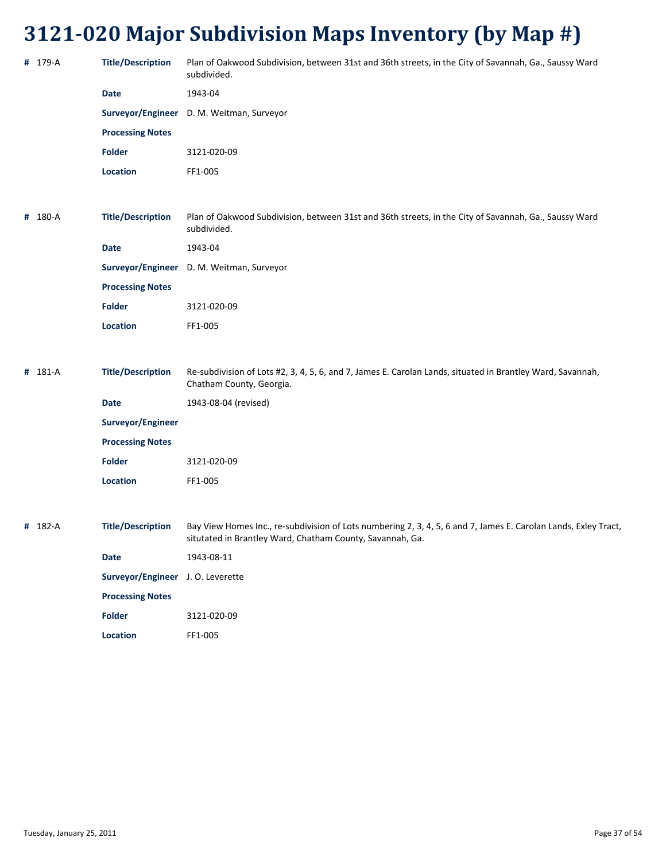| # 179-A | <b>Title/Description</b>          | Plan of Oakwood Subdivision, between 31st and 36th streets, in the City of Savannah, Ga., Saussy Ward<br>subdivided.                                                         |
|---------|-----------------------------------|------------------------------------------------------------------------------------------------------------------------------------------------------------------------------|
|         | <b>Date</b>                       | 1943-04                                                                                                                                                                      |
|         | Surveyor/Engineer                 | D. M. Weitman, Surveyor                                                                                                                                                      |
|         | <b>Processing Notes</b>           |                                                                                                                                                                              |
|         | <b>Folder</b>                     | 3121-020-09                                                                                                                                                                  |
|         | Location                          | FF1-005                                                                                                                                                                      |
|         |                                   |                                                                                                                                                                              |
| # 180-A | <b>Title/Description</b>          | Plan of Oakwood Subdivision, between 31st and 36th streets, in the City of Savannah, Ga., Saussy Ward<br>subdivided.                                                         |
|         | <b>Date</b>                       | 1943-04                                                                                                                                                                      |
|         |                                   | Surveyor/Engineer D. M. Weitman, Surveyor                                                                                                                                    |
|         | <b>Processing Notes</b>           |                                                                                                                                                                              |
|         | Folder                            | 3121-020-09                                                                                                                                                                  |
|         | Location                          | FF1-005                                                                                                                                                                      |
|         |                                   |                                                                                                                                                                              |
| # 181-A | <b>Title/Description</b>          | Re-subdivision of Lots #2, 3, 4, 5, 6, and 7, James E. Carolan Lands, situated in Brantley Ward, Savannah,<br>Chatham County, Georgia.                                       |
|         | <b>Date</b>                       | 1943-08-04 (revised)                                                                                                                                                         |
|         | Surveyor/Engineer                 |                                                                                                                                                                              |
|         | <b>Processing Notes</b>           |                                                                                                                                                                              |
|         | <b>Folder</b>                     | 3121-020-09                                                                                                                                                                  |
|         | Location                          | FF1-005                                                                                                                                                                      |
|         |                                   |                                                                                                                                                                              |
| # 182-A | <b>Title/Description</b>          | Bay View Homes Inc., re-subdivision of Lots numbering 2, 3, 4, 5, 6 and 7, James E. Carolan Lands, Exley Tract,<br>situtated in Brantley Ward, Chatham County, Savannah, Ga. |
|         | Date                              | 1943-08-11                                                                                                                                                                   |
|         | Surveyor/Engineer J. O. Leverette |                                                                                                                                                                              |
|         | <b>Processing Notes</b>           |                                                                                                                                                                              |
|         | Folder                            | 3121-020-09                                                                                                                                                                  |

Location FF1-005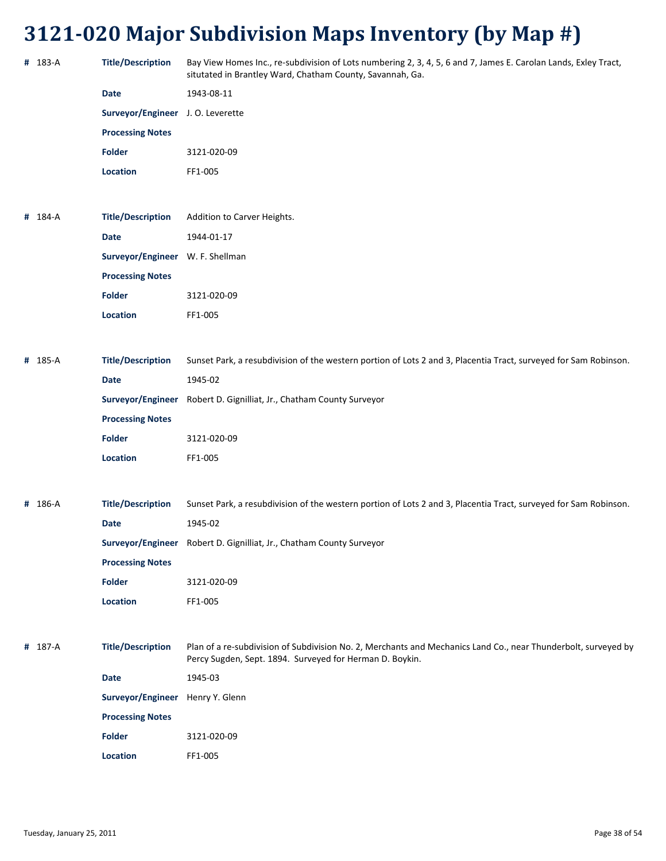| # 183-A | Title/Description Bay View Homes Inc., re-subdivision of Lots numbering 2, 3, 4, 5, 6 and 7, James E. Carolan Lands, Exley Tract, |
|---------|-----------------------------------------------------------------------------------------------------------------------------------|
|         | situtated in Brantley Ward, Chatham County, Savannah, Ga.                                                                         |

| Date                                     | 1943-08-11  |
|------------------------------------------|-------------|
| <b>Surveyor/Engineer</b> J. O. Leverette |             |
| <b>Processing Notes</b>                  |             |
| Folder                                   | 3121-020-09 |
| <b>Location</b>                          | FF1-005     |

**#** 184‐A **Title/Description** Addition to Carver Heights. **Date** 1944‐01‐17 **Surveyor/Engineer** W. F. Shellman **Processing Notes Folder** 3121‐020‐09 **Location** FF1‐005

| # 185-A | <b>Title/Description</b> | Sunset Park, a resubdivision of the western portion of Lots 2 and 3, Placentia Tract, surveyed for Sam Robinson. |
|---------|--------------------------|------------------------------------------------------------------------------------------------------------------|
|         | <b>Date</b>              | 1945-02                                                                                                          |
|         |                          | Surveyor/Engineer Robert D. Gignilliat, Jr., Chatham County Surveyor                                             |
|         | <b>Processing Notes</b>  |                                                                                                                  |
|         | <b>Folder</b>            | 3121-020-09                                                                                                      |
|         | <b>Location</b>          | FF1-005                                                                                                          |
|         |                          |                                                                                                                  |

| # 186-A | <b>Title/Description</b> | Sunset Park, a resubdivision of the western portion of Lots 2 and 3, Placentia Tract, surveyed for Sam Robinson. |
|---------|--------------------------|------------------------------------------------------------------------------------------------------------------|
|         | Date                     | 1945-02                                                                                                          |
|         | Surveyor/Engineer        | Robert D. Gignilliat, Jr., Chatham County Surveyor                                                               |
|         | <b>Processing Notes</b>  |                                                                                                                  |
|         | <b>Folder</b>            | 3121-020-09                                                                                                      |
|         | <b>Location</b>          | FF1-005                                                                                                          |

**#** 187‐A **Title/Description** Plan of a re‐subdivision of Subdivision No. 2, Merchants and Mechanics Land Co., near Thunderbolt, surveyed by Percy Sugden, Sept. 1894. Surveyed for Herman D. Boykin. **Date** 1945‐03 **Surveyor/Engineer** Henry Y. Glenn **Processing Notes Folder** 3121‐020‐09 **Location** FF1‐005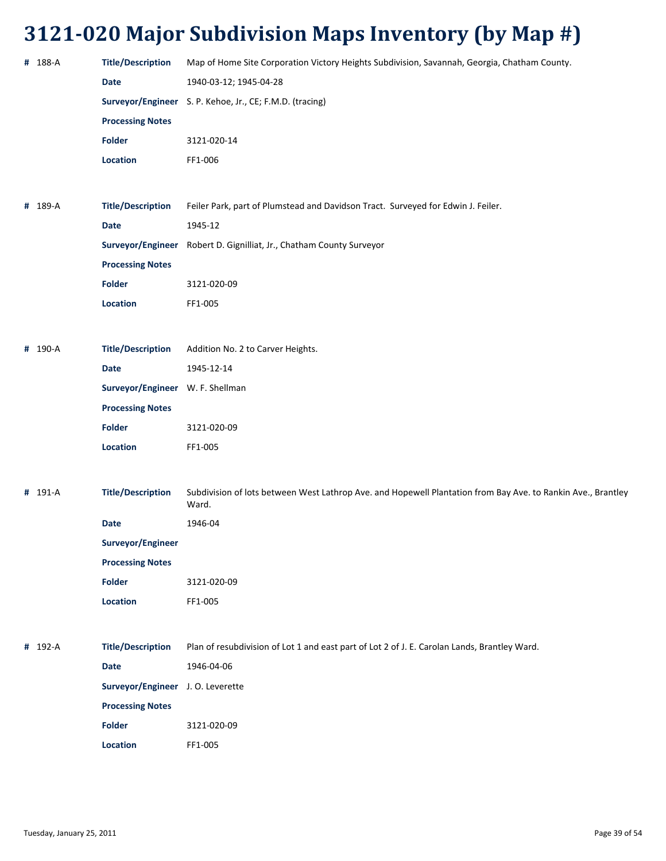| # 188-A | <b>Title/Description</b>          | Map of Home Site Corporation Victory Heights Subdivision, Savannah, Georgia, Chatham County.                          |
|---------|-----------------------------------|-----------------------------------------------------------------------------------------------------------------------|
|         | Date                              | 1940-03-12; 1945-04-28                                                                                                |
|         |                                   | Surveyor/Engineer S. P. Kehoe, Jr., CE; F.M.D. (tracing)                                                              |
|         | <b>Processing Notes</b>           |                                                                                                                       |
|         | Folder                            | 3121-020-14                                                                                                           |
|         | Location                          | FF1-006                                                                                                               |
|         |                                   |                                                                                                                       |
| # 189-A | <b>Title/Description</b>          | Feiler Park, part of Plumstead and Davidson Tract. Surveyed for Edwin J. Feiler.                                      |
|         | Date                              | 1945-12                                                                                                               |
|         |                                   | Surveyor/Engineer Robert D. Gignilliat, Jr., Chatham County Surveyor                                                  |
|         | <b>Processing Notes</b>           |                                                                                                                       |
|         | Folder                            | 3121-020-09                                                                                                           |
|         | Location                          | FF1-005                                                                                                               |
|         |                                   |                                                                                                                       |
| # 190-A | <b>Title/Description</b>          | Addition No. 2 to Carver Heights.                                                                                     |
|         | Date                              | 1945-12-14                                                                                                            |
|         | Surveyor/Engineer W. F. Shellman  |                                                                                                                       |
|         | <b>Processing Notes</b>           |                                                                                                                       |
|         | <b>Folder</b>                     | 3121-020-09                                                                                                           |
|         | Location                          | FF1-005                                                                                                               |
|         |                                   |                                                                                                                       |
| # 191-A | <b>Title/Description</b>          | Subdivision of lots between West Lathrop Ave. and Hopewell Plantation from Bay Ave. to Rankin Ave., Brantley<br>Ward. |
|         | Date                              | 1946-04                                                                                                               |
|         | Surveyor/Engineer                 |                                                                                                                       |
|         | <b>Processing Notes</b>           |                                                                                                                       |
|         | <b>Folder</b>                     | 3121-020-09                                                                                                           |
|         | Location                          | FF1-005                                                                                                               |
|         |                                   |                                                                                                                       |
| # 192-A | <b>Title/Description</b>          | Plan of resubdivision of Lot 1 and east part of Lot 2 of J. E. Carolan Lands, Brantley Ward.                          |
|         | Date                              | 1946-04-06                                                                                                            |
|         | Surveyor/Engineer J. O. Leverette |                                                                                                                       |
|         | <b>Processing Notes</b>           |                                                                                                                       |
|         | <b>Folder</b>                     | 3121-020-09                                                                                                           |
|         | Location                          | FF1-005                                                                                                               |
|         |                                   |                                                                                                                       |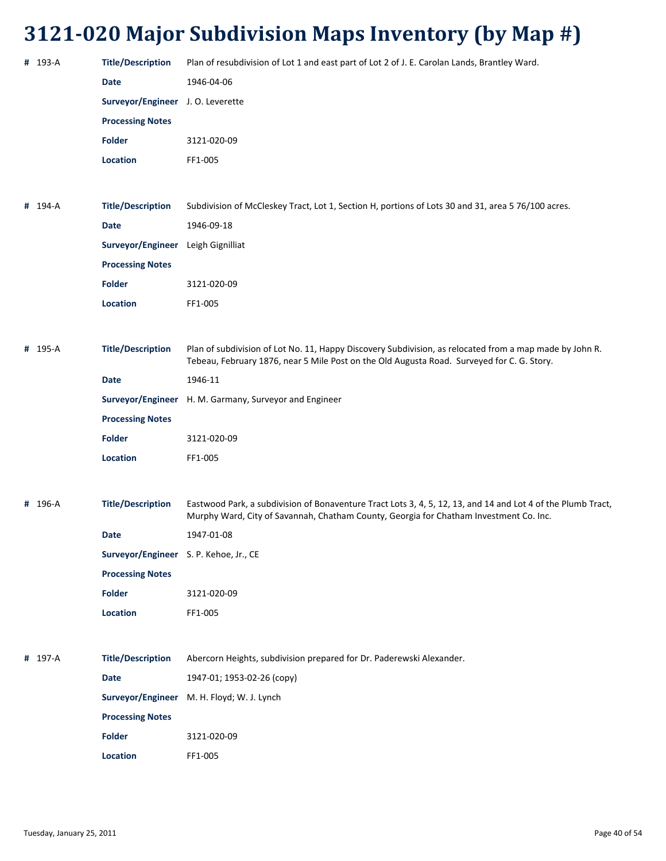| # 193-A | <b>Title/Description</b>               | Plan of resubdivision of Lot 1 and east part of Lot 2 of J. E. Carolan Lands, Brantley Ward.                                                                                                           |
|---------|----------------------------------------|--------------------------------------------------------------------------------------------------------------------------------------------------------------------------------------------------------|
|         | <b>Date</b>                            | 1946-04-06                                                                                                                                                                                             |
|         | Surveyor/Engineer J.O. Leverette       |                                                                                                                                                                                                        |
|         | <b>Processing Notes</b>                |                                                                                                                                                                                                        |
|         | <b>Folder</b>                          | 3121-020-09                                                                                                                                                                                            |
|         | <b>Location</b>                        | FF1-005                                                                                                                                                                                                |
|         |                                        |                                                                                                                                                                                                        |
| # 194-A | <b>Title/Description</b>               | Subdivision of McCleskey Tract, Lot 1, Section H, portions of Lots 30 and 31, area 5 76/100 acres.                                                                                                     |
|         | <b>Date</b>                            | 1946-09-18                                                                                                                                                                                             |
|         | Surveyor/Engineer                      | Leigh Gignilliat                                                                                                                                                                                       |
|         | <b>Processing Notes</b>                |                                                                                                                                                                                                        |
|         | Folder                                 | 3121-020-09                                                                                                                                                                                            |
|         | <b>Location</b>                        | FF1-005                                                                                                                                                                                                |
|         |                                        |                                                                                                                                                                                                        |
| # 195-A | <b>Title/Description</b>               | Plan of subdivision of Lot No. 11, Happy Discovery Subdivision, as relocated from a map made by John R.<br>Tebeau, February 1876, near 5 Mile Post on the Old Augusta Road. Surveyed for C. G. Story.  |
|         | <b>Date</b>                            | 1946-11                                                                                                                                                                                                |
|         | Surveyor/Engineer                      | H. M. Garmany, Surveyor and Engineer                                                                                                                                                                   |
|         | <b>Processing Notes</b>                |                                                                                                                                                                                                        |
|         | <b>Folder</b>                          | 3121-020-09                                                                                                                                                                                            |
|         | Location                               | FF1-005                                                                                                                                                                                                |
|         |                                        |                                                                                                                                                                                                        |
| # 196-A | <b>Title/Description</b>               | Eastwood Park, a subdivision of Bonaventure Tract Lots 3, 4, 5, 12, 13, and 14 and Lot 4 of the Plumb Tract,<br>Murphy Ward, City of Savannah, Chatham County, Georgia for Chatham Investment Co. Inc. |
|         | Date                                   | 1947-01-08                                                                                                                                                                                             |
|         | Surveyor/Engineer S. P. Kehoe, Jr., CE |                                                                                                                                                                                                        |
|         | <b>Processing Notes</b>                |                                                                                                                                                                                                        |
|         | <b>Folder</b>                          | 3121-020-09                                                                                                                                                                                            |
|         | Location                               | FF1-005                                                                                                                                                                                                |
|         |                                        |                                                                                                                                                                                                        |
| # 197-A | <b>Title/Description</b>               | Abercorn Heights, subdivision prepared for Dr. Paderewski Alexander.                                                                                                                                   |
|         | <b>Date</b>                            | 1947-01; 1953-02-26 (сору)                                                                                                                                                                             |
|         |                                        | Surveyor/Engineer M. H. Floyd; W. J. Lynch                                                                                                                                                             |
|         | <b>Processing Notes</b>                |                                                                                                                                                                                                        |
|         | <b>Folder</b>                          | 3121-020-09                                                                                                                                                                                            |
|         | Location                               | FF1-005                                                                                                                                                                                                |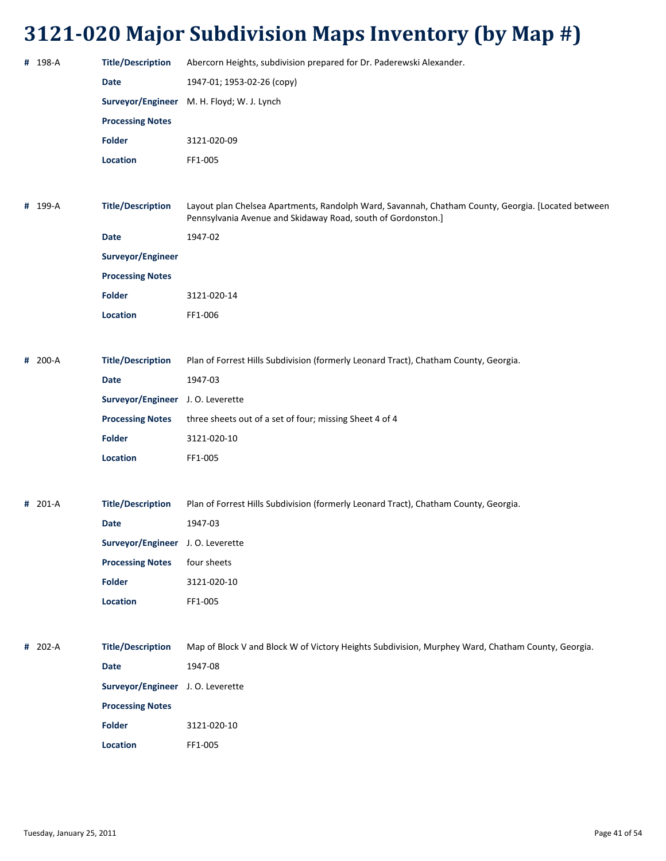| # 198-A | <b>Title/Description</b>          | Abercorn Heights, subdivision prepared for Dr. Paderewski Alexander.                                                                                               |
|---------|-----------------------------------|--------------------------------------------------------------------------------------------------------------------------------------------------------------------|
|         | Date                              | 1947-01; 1953-02-26 (copy)                                                                                                                                         |
|         | Surveyor/Engineer                 | M. H. Floyd; W. J. Lynch                                                                                                                                           |
|         | <b>Processing Notes</b>           |                                                                                                                                                                    |
|         | <b>Folder</b>                     | 3121-020-09                                                                                                                                                        |
|         | Location                          | FF1-005                                                                                                                                                            |
|         |                                   |                                                                                                                                                                    |
| # 199-A | <b>Title/Description</b>          | Layout plan Chelsea Apartments, Randolph Ward, Savannah, Chatham County, Georgia. [Located between<br>Pennsylvania Avenue and Skidaway Road, south of Gordonston.] |
|         | <b>Date</b>                       | 1947-02                                                                                                                                                            |
|         | Surveyor/Engineer                 |                                                                                                                                                                    |
|         | <b>Processing Notes</b>           |                                                                                                                                                                    |
|         | <b>Folder</b>                     | 3121-020-14                                                                                                                                                        |
|         | Location                          | FF1-006                                                                                                                                                            |
|         |                                   |                                                                                                                                                                    |
| # 200-A | <b>Title/Description</b>          | Plan of Forrest Hills Subdivision (formerly Leonard Tract), Chatham County, Georgia.                                                                               |
|         | <b>Date</b>                       | 1947-03                                                                                                                                                            |
|         | Surveyor/Engineer                 | J. O. Leverette                                                                                                                                                    |
|         | <b>Processing Notes</b>           | three sheets out of a set of four; missing Sheet 4 of 4                                                                                                            |
|         | <b>Folder</b>                     | 3121-020-10                                                                                                                                                        |
|         | <b>Location</b>                   | FF1-005                                                                                                                                                            |
|         |                                   |                                                                                                                                                                    |
| # 201-A | <b>Title/Description</b>          | Plan of Forrest Hills Subdivision (formerly Leonard Tract), Chatham County, Georgia.                                                                               |
|         | <b>Date</b>                       | 1947-03                                                                                                                                                            |
|         | Surveyor/Engineer J. O. Leverette |                                                                                                                                                                    |
|         | <b>Processing Notes</b>           | four sheets                                                                                                                                                        |
|         | <b>Folder</b>                     | 3121-020-10                                                                                                                                                        |
|         | Location                          | FF1-005                                                                                                                                                            |
|         |                                   |                                                                                                                                                                    |
| # 202-A | <b>Title/Description</b>          | Map of Block V and Block W of Victory Heights Subdivision, Murphey Ward, Chatham County, Georgia.                                                                  |
|         | <b>Date</b>                       | 1947-08                                                                                                                                                            |
|         | Surveyor/Engineer J. O. Leverette |                                                                                                                                                                    |
|         | <b>Processing Notes</b>           |                                                                                                                                                                    |
|         | <b>Folder</b>                     | 3121-020-10                                                                                                                                                        |
|         | Location                          | FF1-005                                                                                                                                                            |
|         |                                   |                                                                                                                                                                    |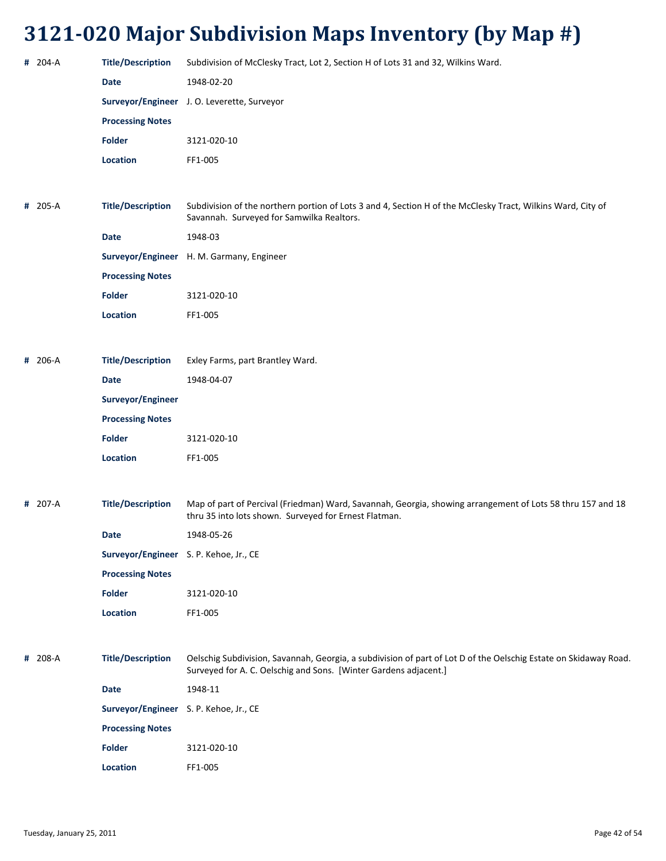| # 204-A | <b>Title/Description</b>               | Subdivision of McClesky Tract, Lot 2, Section H of Lots 31 and 32, Wilkins Ward.                                                                                                     |
|---------|----------------------------------------|--------------------------------------------------------------------------------------------------------------------------------------------------------------------------------------|
|         | Date                                   | 1948-02-20                                                                                                                                                                           |
|         |                                        | Surveyor/Engineer J. O. Leverette, Surveyor                                                                                                                                          |
|         | <b>Processing Notes</b>                |                                                                                                                                                                                      |
|         | <b>Folder</b>                          | 3121-020-10                                                                                                                                                                          |
|         | Location                               | FF1-005                                                                                                                                                                              |
|         |                                        |                                                                                                                                                                                      |
| # 205-A | <b>Title/Description</b>               | Subdivision of the northern portion of Lots 3 and 4, Section H of the McClesky Tract, Wilkins Ward, City of<br>Savannah. Surveyed for Samwilka Realtors.                             |
|         | <b>Date</b>                            | 1948-03                                                                                                                                                                              |
|         |                                        | Surveyor/Engineer H. M. Garmany, Engineer                                                                                                                                            |
|         | <b>Processing Notes</b>                |                                                                                                                                                                                      |
|         | <b>Folder</b>                          | 3121-020-10                                                                                                                                                                          |
|         | Location                               | FF1-005                                                                                                                                                                              |
|         |                                        |                                                                                                                                                                                      |
| # 206-A | <b>Title/Description</b>               | Exley Farms, part Brantley Ward.                                                                                                                                                     |
|         | Date                                   | 1948-04-07                                                                                                                                                                           |
|         | Surveyor/Engineer                      |                                                                                                                                                                                      |
|         | <b>Processing Notes</b>                |                                                                                                                                                                                      |
|         | <b>Folder</b>                          | 3121-020-10                                                                                                                                                                          |
|         | Location                               | FF1-005                                                                                                                                                                              |
|         |                                        |                                                                                                                                                                                      |
| # 207-A | <b>Title/Description</b>               | Map of part of Percival (Friedman) Ward, Savannah, Georgia, showing arrangement of Lots 58 thru 157 and 18<br>thru 35 into lots shown. Surveyed for Ernest Flatman.                  |
|         | Date                                   | 1948-05-26                                                                                                                                                                           |
|         | Surveyor/Engineer S. P. Kehoe, Jr., CE |                                                                                                                                                                                      |
|         | <b>Processing Notes</b>                |                                                                                                                                                                                      |
|         | <b>Folder</b>                          | 3121-020-10                                                                                                                                                                          |
|         | Location                               | FF1-005                                                                                                                                                                              |
|         |                                        |                                                                                                                                                                                      |
| # 208-A | <b>Title/Description</b>               | Oelschig Subdivision, Savannah, Georgia, a subdivision of part of Lot D of the Oelschig Estate on Skidaway Road.<br>Surveyed for A. C. Oelschig and Sons. [Winter Gardens adjacent.] |
|         | Date                                   | 1948-11                                                                                                                                                                              |
|         | Surveyor/Engineer S. P. Kehoe, Jr., CE |                                                                                                                                                                                      |
|         | <b>Processing Notes</b>                |                                                                                                                                                                                      |
|         | <b>Folder</b>                          | 3121-020-10                                                                                                                                                                          |
|         | Location                               | FF1-005                                                                                                                                                                              |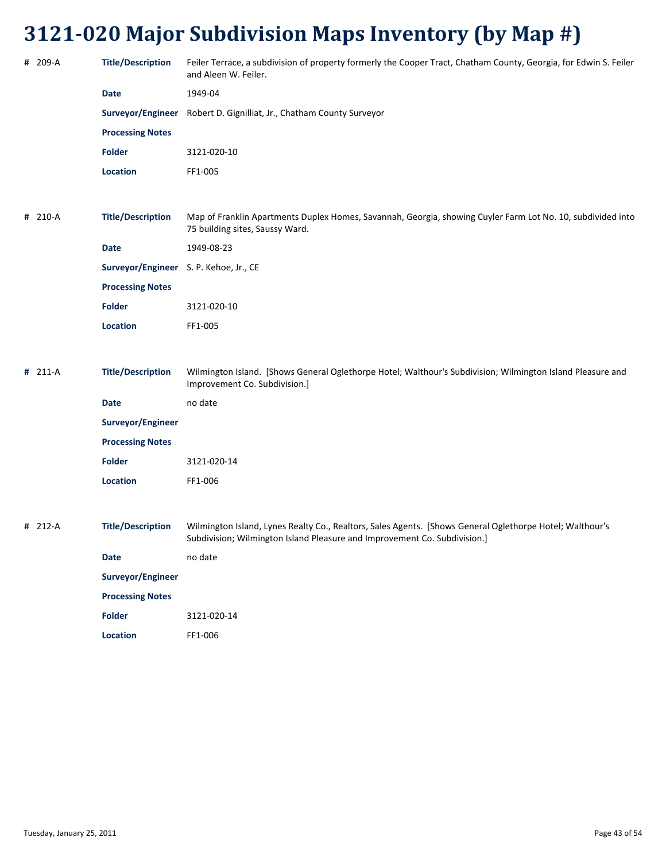| # 209-A   | <b>Title/Description</b>               | Feiler Terrace, a subdivision of property formerly the Cooper Tract, Chatham County, Georgia, for Edwin S. Feiler<br>and Aleen W. Feiler.                                             |
|-----------|----------------------------------------|---------------------------------------------------------------------------------------------------------------------------------------------------------------------------------------|
|           | <b>Date</b>                            | 1949-04                                                                                                                                                                               |
|           | Surveyor/Engineer                      | Robert D. Gignilliat, Jr., Chatham County Surveyor                                                                                                                                    |
|           | <b>Processing Notes</b>                |                                                                                                                                                                                       |
|           | <b>Folder</b>                          | 3121-020-10                                                                                                                                                                           |
|           | Location                               | FF1-005                                                                                                                                                                               |
|           |                                        |                                                                                                                                                                                       |
| # 210-A   | <b>Title/Description</b>               | Map of Franklin Apartments Duplex Homes, Savannah, Georgia, showing Cuyler Farm Lot No. 10, subdivided into<br>75 building sites, Saussy Ward.                                        |
|           | <b>Date</b>                            | 1949-08-23                                                                                                                                                                            |
|           | Surveyor/Engineer S. P. Kehoe, Jr., CE |                                                                                                                                                                                       |
|           | <b>Processing Notes</b>                |                                                                                                                                                                                       |
|           | <b>Folder</b>                          | 3121-020-10                                                                                                                                                                           |
|           | Location                               | FF1-005                                                                                                                                                                               |
|           |                                        |                                                                                                                                                                                       |
| $# 211-A$ | <b>Title/Description</b>               | Wilmington Island. [Shows General Oglethorpe Hotel; Walthour's Subdivision; Wilmington Island Pleasure and<br>Improvement Co. Subdivision.]                                           |
|           | <b>Date</b>                            | no date                                                                                                                                                                               |
|           | Surveyor/Engineer                      |                                                                                                                                                                                       |
|           | <b>Processing Notes</b>                |                                                                                                                                                                                       |
|           | <b>Folder</b>                          | 3121-020-14                                                                                                                                                                           |
|           | Location                               | FF1-006                                                                                                                                                                               |
|           |                                        |                                                                                                                                                                                       |
| # 212-A   | <b>Title/Description</b>               | Wilmington Island, Lynes Realty Co., Realtors, Sales Agents. [Shows General Oglethorpe Hotel; Walthour's<br>Subdivision; Wilmington Island Pleasure and Improvement Co. Subdivision.] |
|           | <b>Date</b>                            | no date                                                                                                                                                                               |
|           | Surveyor/Engineer                      |                                                                                                                                                                                       |
|           | <b>Processing Notes</b>                |                                                                                                                                                                                       |
|           | Folder                                 | 3121-020-14                                                                                                                                                                           |
|           | Location                               | FF1-006                                                                                                                                                                               |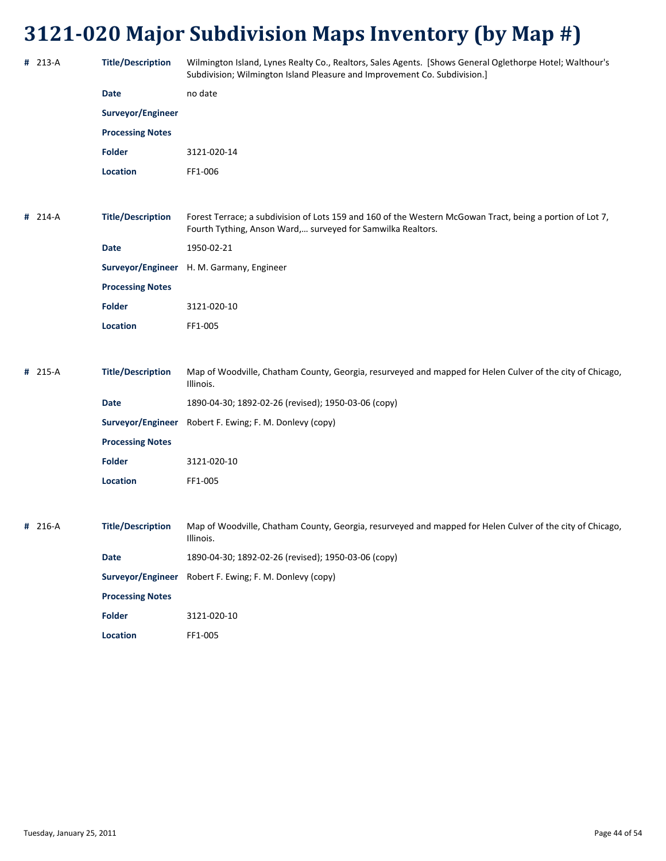| # 213-A | <b>Title/Description</b> | Wilmington Island, Lynes Realty Co., Realtors, Sales Agents. [Shows General Oglethorpe Hotel; Walthour's<br>Subdivision; Wilmington Island Pleasure and Improvement Co. Subdivision.] |
|---------|--------------------------|---------------------------------------------------------------------------------------------------------------------------------------------------------------------------------------|
|         | <b>Date</b>              | no date                                                                                                                                                                               |
|         | Surveyor/Engineer        |                                                                                                                                                                                       |
|         | <b>Processing Notes</b>  |                                                                                                                                                                                       |
|         | <b>Folder</b>            | 3121-020-14                                                                                                                                                                           |
|         | Location                 | FF1-006                                                                                                                                                                               |
|         |                          |                                                                                                                                                                                       |
| # 214-A | <b>Title/Description</b> | Forest Terrace; a subdivision of Lots 159 and 160 of the Western McGowan Tract, being a portion of Lot 7,<br>Fourth Tything, Anson Ward, surveyed for Samwilka Realtors.              |
|         | <b>Date</b>              | 1950-02-21                                                                                                                                                                            |
|         |                          | Surveyor/Engineer H. M. Garmany, Engineer                                                                                                                                             |
|         | <b>Processing Notes</b>  |                                                                                                                                                                                       |
|         | <b>Folder</b>            | 3121-020-10                                                                                                                                                                           |
|         | <b>Location</b>          | FF1-005                                                                                                                                                                               |
|         |                          |                                                                                                                                                                                       |
| # 215-A | <b>Title/Description</b> | Map of Woodville, Chatham County, Georgia, resurveyed and mapped for Helen Culver of the city of Chicago,<br>Illinois.                                                                |
|         | <b>Date</b>              | 1890-04-30; 1892-02-26 (revised); 1950-03-06 (copy)                                                                                                                                   |
|         | Surveyor/Engineer        | Robert F. Ewing; F. M. Donlevy (copy)                                                                                                                                                 |
|         | <b>Processing Notes</b>  |                                                                                                                                                                                       |
|         | <b>Folder</b>            | 3121-020-10                                                                                                                                                                           |
|         | <b>Location</b>          | FF1-005                                                                                                                                                                               |
|         |                          |                                                                                                                                                                                       |
| # 216-A | <b>Title/Description</b> | Map of Woodville, Chatham County, Georgia, resurveyed and mapped for Helen Culver of the city of Chicago,<br>Illinois.                                                                |
|         | <b>Date</b>              | 1890-04-30; 1892-02-26 (revised); 1950-03-06 (copy)                                                                                                                                   |
|         |                          | Surveyor/Engineer Robert F. Ewing; F. M. Donlevy (copy)                                                                                                                               |
|         | <b>Processing Notes</b>  |                                                                                                                                                                                       |
|         | Folder                   | 3121-020-10                                                                                                                                                                           |
|         | Location                 | FF1-005                                                                                                                                                                               |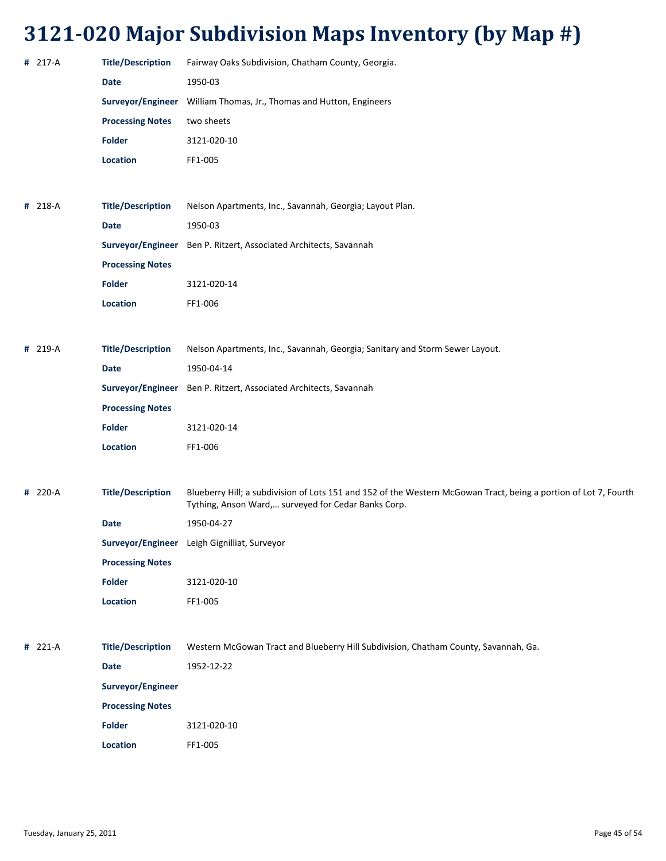| # 217-A | <b>Title/Description</b> | Fairway Oaks Subdivision, Chatham County, Georgia.                                                                                                                      |
|---------|--------------------------|-------------------------------------------------------------------------------------------------------------------------------------------------------------------------|
|         | Date                     | 1950-03                                                                                                                                                                 |
|         | Surveyor/Engineer        | William Thomas, Jr., Thomas and Hutton, Engineers                                                                                                                       |
|         | <b>Processing Notes</b>  | two sheets                                                                                                                                                              |
|         | <b>Folder</b>            | 3121-020-10                                                                                                                                                             |
|         | <b>Location</b>          | FF1-005                                                                                                                                                                 |
|         |                          |                                                                                                                                                                         |
| # 218-A | <b>Title/Description</b> | Nelson Apartments, Inc., Savannah, Georgia; Layout Plan.                                                                                                                |
|         | <b>Date</b>              | 1950-03                                                                                                                                                                 |
|         |                          | Surveyor/Engineer Ben P. Ritzert, Associated Architects, Savannah                                                                                                       |
|         | <b>Processing Notes</b>  |                                                                                                                                                                         |
|         | <b>Folder</b>            | 3121-020-14                                                                                                                                                             |
|         | <b>Location</b>          | FF1-006                                                                                                                                                                 |
|         |                          |                                                                                                                                                                         |
| # 219-A | <b>Title/Description</b> | Nelson Apartments, Inc., Savannah, Georgia; Sanitary and Storm Sewer Layout.                                                                                            |
|         | <b>Date</b>              | 1950-04-14                                                                                                                                                              |
|         |                          | Surveyor/Engineer Ben P. Ritzert, Associated Architects, Savannah                                                                                                       |
|         | <b>Processing Notes</b>  |                                                                                                                                                                         |
|         | <b>Folder</b>            | 3121-020-14                                                                                                                                                             |
|         | <b>Location</b>          | FF1-006                                                                                                                                                                 |
|         |                          |                                                                                                                                                                         |
| # 220-A | <b>Title/Description</b> | Blueberry Hill; a subdivision of Lots 151 and 152 of the Western McGowan Tract, being a portion of Lot 7, Fourth<br>Tything, Anson Ward, surveyed for Cedar Banks Corp. |
|         | Date                     | 1950-04-27                                                                                                                                                              |
|         |                          | Surveyor/Engineer Leigh Gignilliat, Surveyor                                                                                                                            |

**Processing Notes**

| Folder   | 3121-020-10 |
|----------|-------------|
| Location | FF1-005     |

**#** 221‐A **Title/Description** Western McGowan Tract and Blueberry Hill Subdivision, Chatham County, Savannah, Ga. **Date** 1952‐12‐22 **Surveyor/Engineer Processing Notes Folder** 3121‐020‐10 **Location** FF1‐005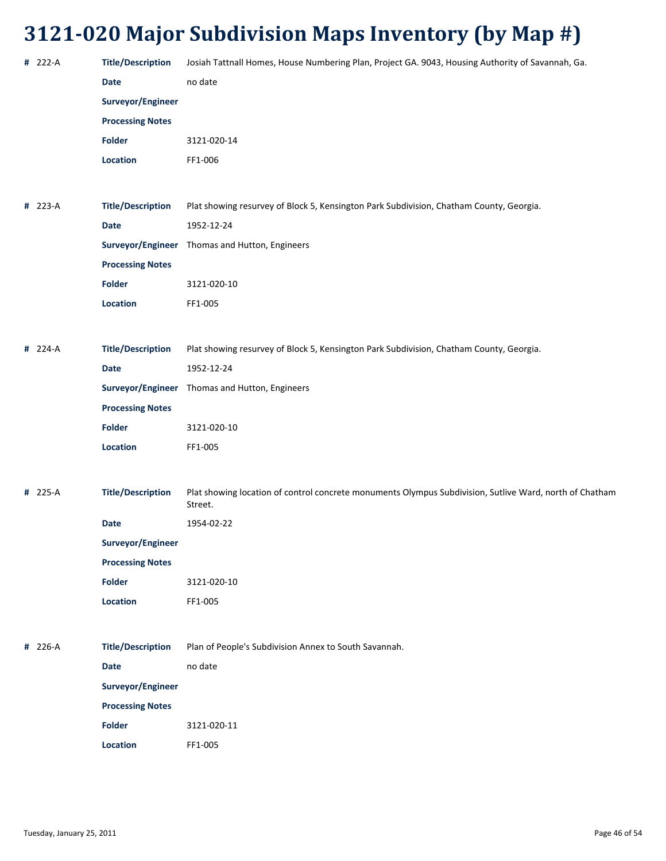| # 222-A | <b>Title/Description</b> | Josiah Tattnall Homes, House Numbering Plan, Project GA. 9043, Housing Authority of Savannah, Ga.                  |
|---------|--------------------------|--------------------------------------------------------------------------------------------------------------------|
|         | <b>Date</b>              | no date                                                                                                            |
|         | Surveyor/Engineer        |                                                                                                                    |
|         | <b>Processing Notes</b>  |                                                                                                                    |
|         | Folder                   | 3121-020-14                                                                                                        |
|         | Location                 | FF1-006                                                                                                            |
|         |                          |                                                                                                                    |
| # 223-A | <b>Title/Description</b> | Plat showing resurvey of Block 5, Kensington Park Subdivision, Chatham County, Georgia.                            |
|         | <b>Date</b>              | 1952-12-24                                                                                                         |
|         |                          | Surveyor/Engineer Thomas and Hutton, Engineers                                                                     |
|         | <b>Processing Notes</b>  |                                                                                                                    |
|         | Folder                   | 3121-020-10                                                                                                        |
|         | Location                 | FF1-005                                                                                                            |
|         |                          |                                                                                                                    |
| # 224-A | <b>Title/Description</b> | Plat showing resurvey of Block 5, Kensington Park Subdivision, Chatham County, Georgia.                            |
|         | <b>Date</b>              | 1952-12-24                                                                                                         |
|         |                          | Surveyor/Engineer Thomas and Hutton, Engineers                                                                     |
|         | <b>Processing Notes</b>  |                                                                                                                    |
|         | Folder                   | 3121-020-10                                                                                                        |
|         | Location                 | FF1-005                                                                                                            |
|         |                          |                                                                                                                    |
| # 225-A | <b>Title/Description</b> | Plat showing location of control concrete monuments Olympus Subdivision, Sutlive Ward, north of Chatham<br>Street. |
|         | Date                     | 1954-02-22                                                                                                         |
|         | Surveyor/Engineer        |                                                                                                                    |
|         | <b>Processing Notes</b>  |                                                                                                                    |
|         | <b>Folder</b>            | 3121-020-10                                                                                                        |
|         | Location                 | FF1-005                                                                                                            |
|         |                          |                                                                                                                    |
| # 226-A | <b>Title/Description</b> | Plan of People's Subdivision Annex to South Savannah.                                                              |
|         | <b>Date</b>              | no date                                                                                                            |
|         | Surveyor/Engineer        |                                                                                                                    |
|         | <b>Processing Notes</b>  |                                                                                                                    |
|         | <b>Folder</b>            | 3121-020-11                                                                                                        |
|         | Location                 | FF1-005                                                                                                            |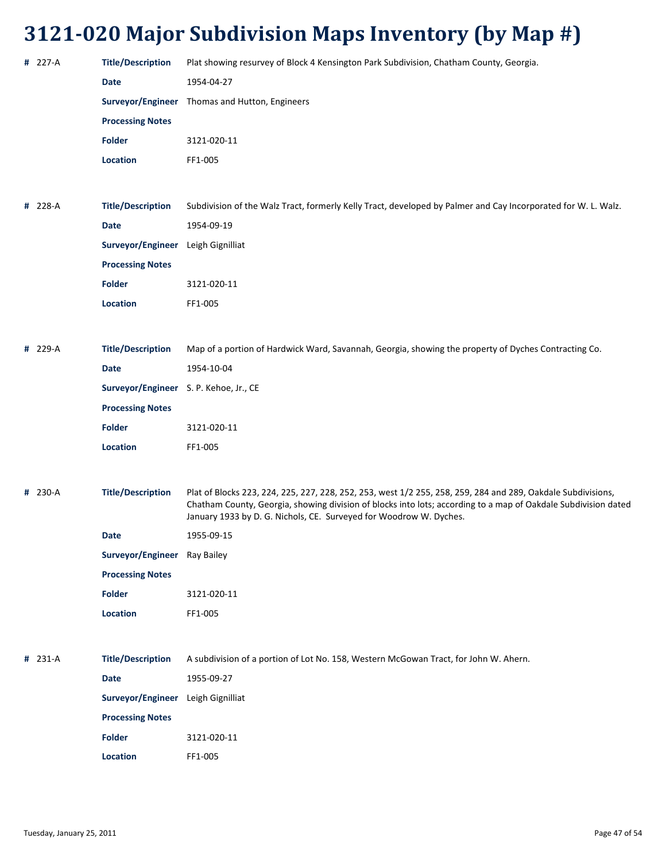| # 227-A | <b>Title/Description</b>               | Plat showing resurvey of Block 4 Kensington Park Subdivision, Chatham County, Georgia.                                                                                                                                                                                                               |
|---------|----------------------------------------|------------------------------------------------------------------------------------------------------------------------------------------------------------------------------------------------------------------------------------------------------------------------------------------------------|
|         | <b>Date</b>                            | 1954-04-27                                                                                                                                                                                                                                                                                           |
|         |                                        | Surveyor/Engineer Thomas and Hutton, Engineers                                                                                                                                                                                                                                                       |
|         | <b>Processing Notes</b>                |                                                                                                                                                                                                                                                                                                      |
|         | <b>Folder</b>                          | 3121-020-11                                                                                                                                                                                                                                                                                          |
|         | Location                               | FF1-005                                                                                                                                                                                                                                                                                              |
|         |                                        |                                                                                                                                                                                                                                                                                                      |
| # 228-A | <b>Title/Description</b>               | Subdivision of the Walz Tract, formerly Kelly Tract, developed by Palmer and Cay Incorporated for W. L. Walz.                                                                                                                                                                                        |
|         | <b>Date</b>                            | 1954-09-19                                                                                                                                                                                                                                                                                           |
|         | Surveyor/Engineer Leigh Gignilliat     |                                                                                                                                                                                                                                                                                                      |
|         | <b>Processing Notes</b>                |                                                                                                                                                                                                                                                                                                      |
|         | <b>Folder</b>                          | 3121-020-11                                                                                                                                                                                                                                                                                          |
|         | Location                               | FF1-005                                                                                                                                                                                                                                                                                              |
|         |                                        |                                                                                                                                                                                                                                                                                                      |
| # 229-A | <b>Title/Description</b>               | Map of a portion of Hardwick Ward, Savannah, Georgia, showing the property of Dyches Contracting Co.                                                                                                                                                                                                 |
|         | <b>Date</b>                            | 1954-10-04                                                                                                                                                                                                                                                                                           |
|         | Surveyor/Engineer S. P. Kehoe, Jr., CE |                                                                                                                                                                                                                                                                                                      |
|         | <b>Processing Notes</b>                |                                                                                                                                                                                                                                                                                                      |
|         | <b>Folder</b>                          | 3121-020-11                                                                                                                                                                                                                                                                                          |
|         | Location                               | FF1-005                                                                                                                                                                                                                                                                                              |
|         |                                        |                                                                                                                                                                                                                                                                                                      |
| # 230-A | <b>Title/Description</b>               | Plat of Blocks 223, 224, 225, 227, 228, 252, 253, west 1/2 255, 258, 259, 284 and 289, Oakdale Subdivisions,<br>Chatham County, Georgia, showing division of blocks into lots; according to a map of Oakdale Subdivision dated<br>January 1933 by D. G. Nichols, CE. Surveyed for Woodrow W. Dyches. |
|         | Date                                   | 1955-09-15                                                                                                                                                                                                                                                                                           |
|         | Surveyor/Engineer Ray Bailey           |                                                                                                                                                                                                                                                                                                      |
|         | <b>Processing Notes</b>                |                                                                                                                                                                                                                                                                                                      |
|         | <b>Folder</b>                          | 3121-020-11                                                                                                                                                                                                                                                                                          |
|         | Location                               | FF1-005                                                                                                                                                                                                                                                                                              |
|         |                                        |                                                                                                                                                                                                                                                                                                      |
| # 231-A | <b>Title/Description</b>               | A subdivision of a portion of Lot No. 158, Western McGowan Tract, for John W. Ahern.                                                                                                                                                                                                                 |
|         | <b>Date</b>                            | 1955-09-27                                                                                                                                                                                                                                                                                           |
|         | Surveyor/Engineer Leigh Gignilliat     |                                                                                                                                                                                                                                                                                                      |
|         | <b>Processing Notes</b>                |                                                                                                                                                                                                                                                                                                      |
|         | <b>Folder</b>                          | 3121-020-11                                                                                                                                                                                                                                                                                          |
|         | Location                               | FF1-005                                                                                                                                                                                                                                                                                              |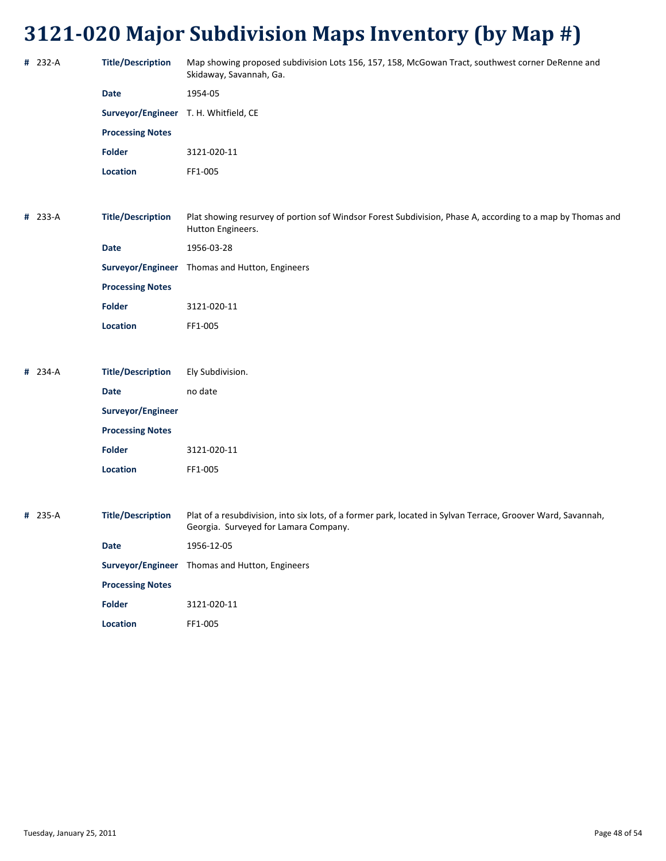| # 232-A | <b>Title/Description</b>              | Map showing proposed subdivision Lots 156, 157, 158, McGowan Tract, southwest corner DeRenne and<br>Skidaway, Savannah, Ga.                           |
|---------|---------------------------------------|-------------------------------------------------------------------------------------------------------------------------------------------------------|
|         | Date                                  | 1954-05                                                                                                                                               |
|         | Surveyor/Engineer T. H. Whitfield, CE |                                                                                                                                                       |
|         | <b>Processing Notes</b>               |                                                                                                                                                       |
|         | <b>Folder</b>                         | 3121-020-11                                                                                                                                           |
|         | Location                              | FF1-005                                                                                                                                               |
|         |                                       |                                                                                                                                                       |
| # 233-A | <b>Title/Description</b>              | Plat showing resurvey of portion sof Windsor Forest Subdivision, Phase A, according to a map by Thomas and<br>Hutton Engineers.                       |
|         | <b>Date</b>                           | 1956-03-28                                                                                                                                            |
|         |                                       | Surveyor/Engineer Thomas and Hutton, Engineers                                                                                                        |
|         | <b>Processing Notes</b>               |                                                                                                                                                       |
|         | <b>Folder</b>                         | 3121-020-11                                                                                                                                           |
|         | Location                              | FF1-005                                                                                                                                               |
|         |                                       |                                                                                                                                                       |
| # 234-A | <b>Title/Description</b>              | Ely Subdivision.                                                                                                                                      |
|         | <b>Date</b>                           | no date                                                                                                                                               |
|         | Surveyor/Engineer                     |                                                                                                                                                       |
|         | <b>Processing Notes</b>               |                                                                                                                                                       |
|         | <b>Folder</b>                         | 3121-020-11                                                                                                                                           |
|         | <b>Location</b>                       | FF1-005                                                                                                                                               |
|         |                                       |                                                                                                                                                       |
| # 235-A | <b>Title/Description</b>              | Plat of a resubdivision, into six lots, of a former park, located in Sylvan Terrace, Groover Ward, Savannah,<br>Georgia. Surveyed for Lamara Company. |
|         | <b>Date</b>                           | 1956-12-05                                                                                                                                            |
|         |                                       | Surveyor/Engineer Thomas and Hutton, Engineers                                                                                                        |
|         | <b>Processing Notes</b>               |                                                                                                                                                       |
|         | <b>Folder</b>                         | 3121-020-11                                                                                                                                           |

**Location** FF1‐005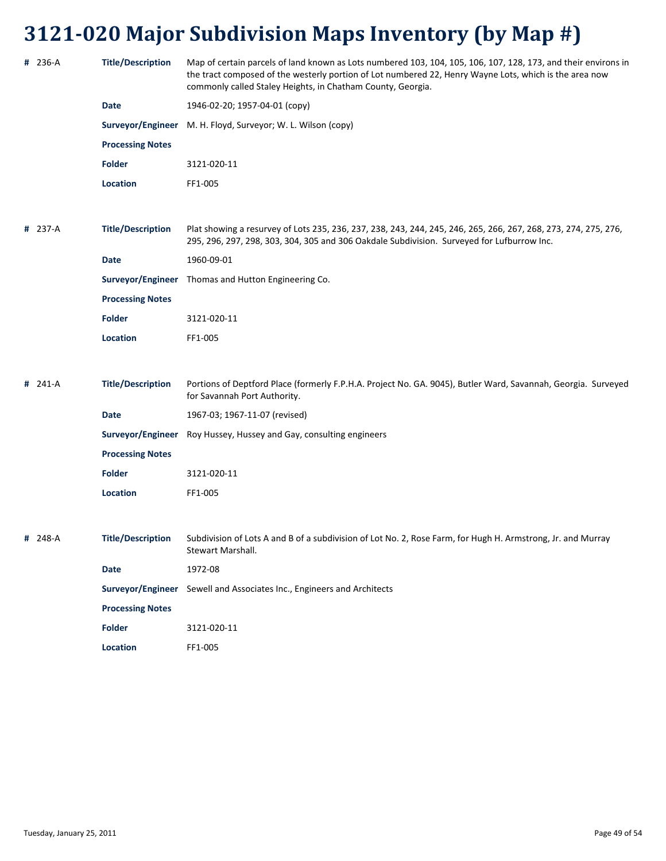| # 236-A   | <b>Title/Description</b> | Map of certain parcels of land known as Lots numbered 103, 104, 105, 106, 107, 128, 173, and their environs in<br>the tract composed of the westerly portion of Lot numbered 22, Henry Wayne Lots, which is the area now<br>commonly called Staley Heights, in Chatham County, Georgia. |
|-----------|--------------------------|-----------------------------------------------------------------------------------------------------------------------------------------------------------------------------------------------------------------------------------------------------------------------------------------|
|           | <b>Date</b>              | 1946-02-20; 1957-04-01 (copy)                                                                                                                                                                                                                                                           |
|           |                          | Surveyor/Engineer M. H. Floyd, Surveyor; W. L. Wilson (copy)                                                                                                                                                                                                                            |
|           | <b>Processing Notes</b>  |                                                                                                                                                                                                                                                                                         |
|           | Folder                   | 3121-020-11                                                                                                                                                                                                                                                                             |
|           | <b>Location</b>          | FF1-005                                                                                                                                                                                                                                                                                 |
|           |                          |                                                                                                                                                                                                                                                                                         |
| # 237-A   | <b>Title/Description</b> | Plat showing a resurvey of Lots 235, 236, 237, 238, 243, 244, 245, 246, 265, 266, 267, 268, 273, 274, 275, 276,<br>295, 296, 297, 298, 303, 304, 305 and 306 Oakdale Subdivision. Surveyed for Lufburrow Inc.                                                                           |
|           | <b>Date</b>              | 1960-09-01                                                                                                                                                                                                                                                                              |
|           |                          | Surveyor/Engineer Thomas and Hutton Engineering Co.                                                                                                                                                                                                                                     |
|           | <b>Processing Notes</b>  |                                                                                                                                                                                                                                                                                         |
|           | <b>Folder</b>            | 3121-020-11                                                                                                                                                                                                                                                                             |
|           | Location                 | FF1-005                                                                                                                                                                                                                                                                                 |
|           |                          |                                                                                                                                                                                                                                                                                         |
| $# 241-A$ | <b>Title/Description</b> | Portions of Deptford Place (formerly F.P.H.A. Project No. GA. 9045), Butler Ward, Savannah, Georgia. Surveyed<br>for Savannah Port Authority.                                                                                                                                           |
|           | <b>Date</b>              | 1967-03; 1967-11-07 (revised)                                                                                                                                                                                                                                                           |
|           |                          | Surveyor/Engineer Roy Hussey, Hussey and Gay, consulting engineers                                                                                                                                                                                                                      |
|           | <b>Processing Notes</b>  |                                                                                                                                                                                                                                                                                         |
|           | <b>Folder</b>            | 3121-020-11                                                                                                                                                                                                                                                                             |
|           | Location                 | FF1-005                                                                                                                                                                                                                                                                                 |
|           |                          |                                                                                                                                                                                                                                                                                         |
| # 248-A   | <b>Title/Description</b> | Subdivision of Lots A and B of a subdivision of Lot No. 2, Rose Farm, for Hugh H. Armstrong, Jr. and Murray<br>Stewart Marshall.                                                                                                                                                        |
|           | <b>Date</b>              | 1972-08                                                                                                                                                                                                                                                                                 |
|           |                          | Surveyor/Engineer Sewell and Associates Inc., Engineers and Architects                                                                                                                                                                                                                  |
|           | <b>Processing Notes</b>  |                                                                                                                                                                                                                                                                                         |
|           | <b>Folder</b>            | 3121-020-11                                                                                                                                                                                                                                                                             |
|           | Location                 | FF1-005                                                                                                                                                                                                                                                                                 |
|           |                          |                                                                                                                                                                                                                                                                                         |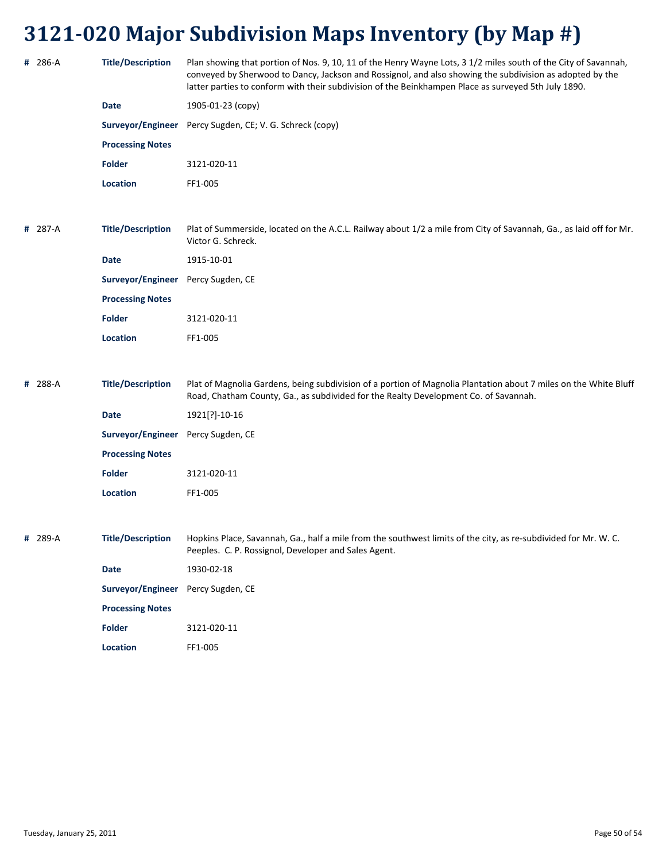|   | # 286-A | <b>Title/Description</b>           | Plan showing that portion of Nos. 9, 10, 11 of the Henry Wayne Lots, 3 1/2 miles south of the City of Savannah,<br>conveyed by Sherwood to Dancy, Jackson and Rossignol, and also showing the subdivision as adopted by the<br>latter parties to conform with their subdivision of the Beinkhampen Place as surveyed 5th July 1890. |
|---|---------|------------------------------------|-------------------------------------------------------------------------------------------------------------------------------------------------------------------------------------------------------------------------------------------------------------------------------------------------------------------------------------|
|   |         | <b>Date</b>                        | 1905-01-23 (copy)                                                                                                                                                                                                                                                                                                                   |
|   |         |                                    | Surveyor/Engineer Percy Sugden, CE; V. G. Schreck (copy)                                                                                                                                                                                                                                                                            |
|   |         | <b>Processing Notes</b>            |                                                                                                                                                                                                                                                                                                                                     |
|   |         | Folder                             | 3121-020-11                                                                                                                                                                                                                                                                                                                         |
|   |         | <b>Location</b>                    | FF1-005                                                                                                                                                                                                                                                                                                                             |
|   |         |                                    |                                                                                                                                                                                                                                                                                                                                     |
|   | # 287-A | <b>Title/Description</b>           | Plat of Summerside, located on the A.C.L. Railway about 1/2 a mile from City of Savannah, Ga., as laid off for Mr.<br>Victor G. Schreck.                                                                                                                                                                                            |
|   |         | <b>Date</b>                        | 1915-10-01                                                                                                                                                                                                                                                                                                                          |
|   |         | Surveyor/Engineer Percy Sugden, CE |                                                                                                                                                                                                                                                                                                                                     |
|   |         | <b>Processing Notes</b>            |                                                                                                                                                                                                                                                                                                                                     |
|   |         | <b>Folder</b>                      | 3121-020-11                                                                                                                                                                                                                                                                                                                         |
|   |         | <b>Location</b>                    | FF1-005                                                                                                                                                                                                                                                                                                                             |
|   |         |                                    |                                                                                                                                                                                                                                                                                                                                     |
| # | 288-A   | <b>Title/Description</b>           | Plat of Magnolia Gardens, being subdivision of a portion of Magnolia Plantation about 7 miles on the White Bluff<br>Road, Chatham County, Ga., as subdivided for the Realty Development Co. of Savannah.                                                                                                                            |
|   |         | <b>Date</b>                        | 1921[?]-10-16                                                                                                                                                                                                                                                                                                                       |
|   |         | Surveyor/Engineer                  | Percy Sugden, CE                                                                                                                                                                                                                                                                                                                    |
|   |         | <b>Processing Notes</b>            |                                                                                                                                                                                                                                                                                                                                     |
|   |         | <b>Folder</b>                      | 3121-020-11                                                                                                                                                                                                                                                                                                                         |
|   |         | <b>Location</b>                    | FF1-005                                                                                                                                                                                                                                                                                                                             |
|   |         |                                    |                                                                                                                                                                                                                                                                                                                                     |
|   | # 289-A | <b>Title/Description</b>           | Hopkins Place, Savannah, Ga., half a mile from the southwest limits of the city, as re-subdivided for Mr. W. C.<br>Peeples. C. P. Rossignol, Developer and Sales Agent.                                                                                                                                                             |
|   |         | Date                               | 1930-02-18                                                                                                                                                                                                                                                                                                                          |
|   |         | Surveyor/Engineer                  | Percy Sugden, CE                                                                                                                                                                                                                                                                                                                    |
|   |         | <b>Processing Notes</b>            |                                                                                                                                                                                                                                                                                                                                     |
|   |         |                                    |                                                                                                                                                                                                                                                                                                                                     |
|   |         | <b>Folder</b>                      | 3121-020-11                                                                                                                                                                                                                                                                                                                         |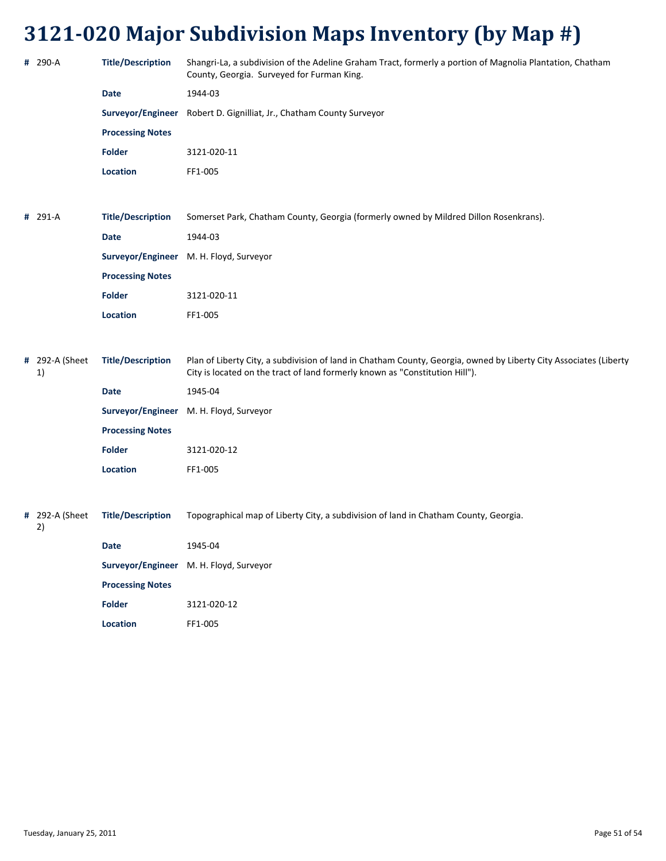| # 290-A              | <b>Title/Description</b> | Shangri-La, a subdivision of the Adeline Graham Tract, formerly a portion of Magnolia Plantation, Chatham<br>County, Georgia. Surveyed for Furman King.                                           |
|----------------------|--------------------------|---------------------------------------------------------------------------------------------------------------------------------------------------------------------------------------------------|
|                      | Date                     | 1944-03                                                                                                                                                                                           |
|                      |                          | Surveyor/Engineer Robert D. Gignilliat, Jr., Chatham County Surveyor                                                                                                                              |
|                      | <b>Processing Notes</b>  |                                                                                                                                                                                                   |
|                      | <b>Folder</b>            | 3121-020-11                                                                                                                                                                                       |
|                      | Location                 | FF1-005                                                                                                                                                                                           |
|                      |                          |                                                                                                                                                                                                   |
| # 291-A              | <b>Title/Description</b> | Somerset Park, Chatham County, Georgia (formerly owned by Mildred Dillon Rosenkrans).                                                                                                             |
|                      | <b>Date</b>              | 1944-03                                                                                                                                                                                           |
|                      |                          | Surveyor/Engineer M. H. Floyd, Surveyor                                                                                                                                                           |
|                      | <b>Processing Notes</b>  |                                                                                                                                                                                                   |
|                      | <b>Folder</b>            | 3121-020-11                                                                                                                                                                                       |
|                      | Location                 | FF1-005                                                                                                                                                                                           |
|                      |                          |                                                                                                                                                                                                   |
| # 292-A (Sheet<br>1) | <b>Title/Description</b> | Plan of Liberty City, a subdivision of land in Chatham County, Georgia, owned by Liberty City Associates (Liberty<br>City is located on the tract of land formerly known as "Constitution Hill"). |
|                      | <b>Date</b>              | 1945-04                                                                                                                                                                                           |
|                      |                          | Surveyor/Engineer M. H. Floyd, Surveyor                                                                                                                                                           |
|                      | <b>Processing Notes</b>  |                                                                                                                                                                                                   |
|                      | <b>Folder</b>            | 3121-020-12                                                                                                                                                                                       |
|                      | Location                 | FF1-005                                                                                                                                                                                           |
|                      |                          |                                                                                                                                                                                                   |
| # 292-A (Sheet<br>2) | <b>Title/Description</b> | Topographical map of Liberty City, a subdivision of land in Chatham County, Georgia.                                                                                                              |
|                      | <b>Date</b>              | 1945-04                                                                                                                                                                                           |
|                      |                          | Surveyor/Engineer M. H. Floyd, Surveyor                                                                                                                                                           |
|                      | <b>Processing Notes</b>  |                                                                                                                                                                                                   |
|                      | <b>Folder</b>            | 3121-020-12                                                                                                                                                                                       |

**Location** FF1‐005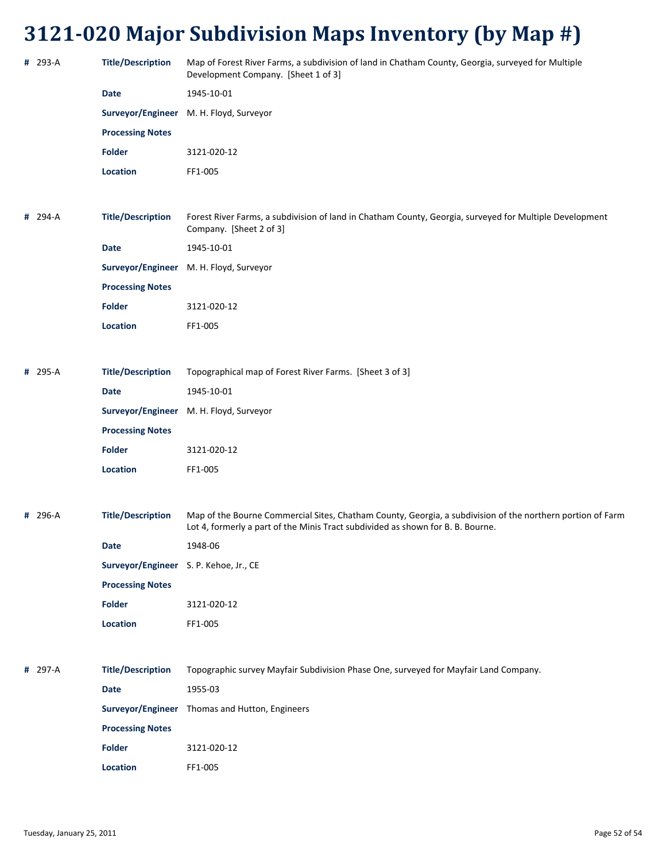| # 293-A | <b>Title/Description</b>               | Map of Forest River Farms, a subdivision of land in Chatham County, Georgia, surveyed for Multiple<br>Development Company. [Sheet 1 of 3]                                                     |
|---------|----------------------------------------|-----------------------------------------------------------------------------------------------------------------------------------------------------------------------------------------------|
|         | <b>Date</b>                            | 1945-10-01                                                                                                                                                                                    |
|         | Surveyor/Engineer                      | M. H. Floyd, Surveyor                                                                                                                                                                         |
|         | <b>Processing Notes</b>                |                                                                                                                                                                                               |
|         | <b>Folder</b>                          | 3121-020-12                                                                                                                                                                                   |
|         | Location                               | FF1-005                                                                                                                                                                                       |
|         |                                        |                                                                                                                                                                                               |
| # 294-A | <b>Title/Description</b>               | Forest River Farms, a subdivision of land in Chatham County, Georgia, surveyed for Multiple Development<br>Company. [Sheet 2 of 3]                                                            |
|         | <b>Date</b>                            | 1945-10-01                                                                                                                                                                                    |
|         |                                        | Surveyor/Engineer M. H. Floyd, Surveyor                                                                                                                                                       |
|         | <b>Processing Notes</b>                |                                                                                                                                                                                               |
|         | <b>Folder</b>                          | 3121-020-12                                                                                                                                                                                   |
|         | Location                               | FF1-005                                                                                                                                                                                       |
|         |                                        |                                                                                                                                                                                               |
| # 295-A | <b>Title/Description</b>               | Topographical map of Forest River Farms. [Sheet 3 of 3]                                                                                                                                       |
|         | <b>Date</b>                            | 1945-10-01                                                                                                                                                                                    |
|         |                                        | Surveyor/Engineer M. H. Floyd, Surveyor                                                                                                                                                       |
|         | <b>Processing Notes</b>                |                                                                                                                                                                                               |
|         | <b>Folder</b>                          | 3121-020-12                                                                                                                                                                                   |
|         | Location                               | FF1-005                                                                                                                                                                                       |
|         |                                        |                                                                                                                                                                                               |
| # 296-A | <b>Title/Description</b>               | Map of the Bourne Commercial Sites, Chatham County, Georgia, a subdivision of the northern portion of Farm<br>Lot 4, formerly a part of the Minis Tract subdivided as shown for B. B. Bourne. |
|         | <b>Date</b>                            | 1948-06                                                                                                                                                                                       |
|         | Surveyor/Engineer S. P. Kehoe, Jr., CE |                                                                                                                                                                                               |
|         | <b>Processing Notes</b>                |                                                                                                                                                                                               |
|         | <b>Folder</b>                          | 3121-020-12                                                                                                                                                                                   |
|         | Location                               | FF1-005                                                                                                                                                                                       |
|         |                                        |                                                                                                                                                                                               |
| # 297-A | <b>Title/Description</b>               | Topographic survey Mayfair Subdivision Phase One, surveyed for Mayfair Land Company.                                                                                                          |
|         | Date                                   | 1955-03                                                                                                                                                                                       |
|         |                                        | Surveyor/Engineer Thomas and Hutton, Engineers                                                                                                                                                |
|         | <b>Processing Notes</b>                |                                                                                                                                                                                               |
|         | <b>Folder</b>                          | 3121-020-12                                                                                                                                                                                   |
|         | Location                               | FF1-005                                                                                                                                                                                       |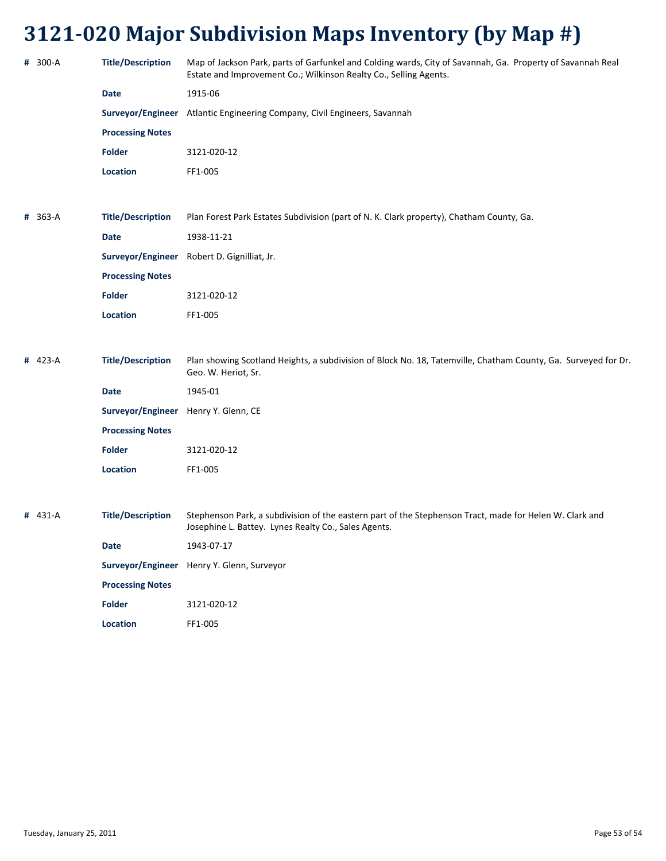| # 300-A | <b>Title/Description</b>             | Map of Jackson Park, parts of Garfunkel and Colding wards, City of Savannah, Ga. Property of Savannah Real<br>Estate and Improvement Co.; Wilkinson Realty Co., Selling Agents. |
|---------|--------------------------------------|---------------------------------------------------------------------------------------------------------------------------------------------------------------------------------|
|         | <b>Date</b>                          | 1915-06                                                                                                                                                                         |
|         |                                      | Surveyor/Engineer Atlantic Engineering Company, Civil Engineers, Savannah                                                                                                       |
|         | <b>Processing Notes</b>              |                                                                                                                                                                                 |
|         | <b>Folder</b>                        | 3121-020-12                                                                                                                                                                     |
|         | Location                             | FF1-005                                                                                                                                                                         |
|         |                                      |                                                                                                                                                                                 |
| # 363-A | <b>Title/Description</b>             | Plan Forest Park Estates Subdivision (part of N. K. Clark property), Chatham County, Ga.                                                                                        |
|         | <b>Date</b>                          | 1938-11-21                                                                                                                                                                      |
|         |                                      | Surveyor/Engineer Robert D. Gignilliat, Jr.                                                                                                                                     |
|         | <b>Processing Notes</b>              |                                                                                                                                                                                 |
|         | <b>Folder</b>                        | 3121-020-12                                                                                                                                                                     |
|         | Location                             | FF1-005                                                                                                                                                                         |
|         |                                      |                                                                                                                                                                                 |
| # 423-A | <b>Title/Description</b>             | Plan showing Scotland Heights, a subdivision of Block No. 18, Tatemville, Chatham County, Ga. Surveyed for Dr.<br>Geo. W. Heriot, Sr.                                           |
|         | <b>Date</b>                          | 1945-01                                                                                                                                                                         |
|         | Surveyor/Engineer Henry Y. Glenn, CE |                                                                                                                                                                                 |
|         | <b>Processing Notes</b>              |                                                                                                                                                                                 |
|         | <b>Folder</b>                        | 3121-020-12                                                                                                                                                                     |
|         | Location                             | FF1-005                                                                                                                                                                         |
|         |                                      |                                                                                                                                                                                 |
| # 431-A | <b>Title/Description</b>             | Stephenson Park, a subdivision of the eastern part of the Stephenson Tract, made for Helen W. Clark and<br>Josephine L. Battey. Lynes Realty Co., Sales Agents.                 |
|         | <b>Date</b>                          | 1943-07-17                                                                                                                                                                      |
|         |                                      | Surveyor/Engineer Henry Y. Glenn, Surveyor                                                                                                                                      |
|         | <b>Processing Notes</b>              |                                                                                                                                                                                 |
|         | <b>Folder</b>                        | 3121-020-12                                                                                                                                                                     |
|         | Location                             | FF1-005                                                                                                                                                                         |